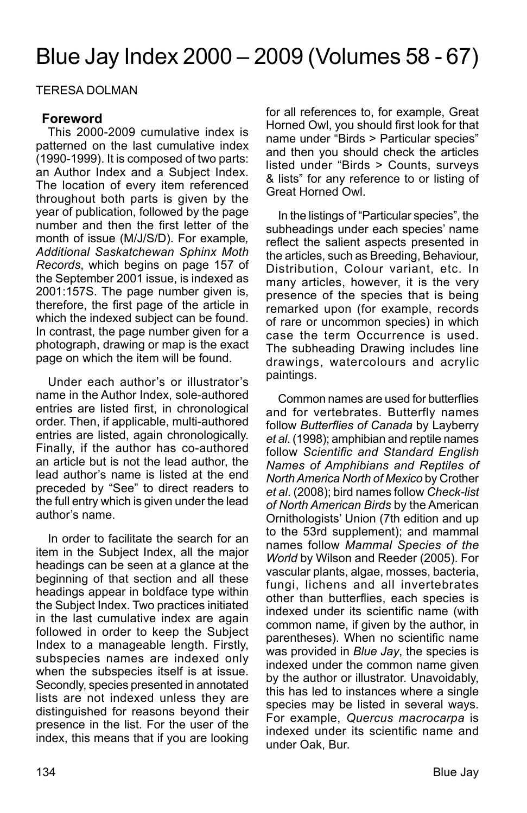# Blue Jay Index 2000 – 2009 (Volumes 58 - 67)

TERESA DOLMAN

# **Foreword**

This 2000-2009 cumulative index is patterned on the last cumulative index (1990-1999). It is composed of two parts: an Author Index and a Subject Index. The location of every item referenced throughout both parts is given by the year of publication, followed by the page number and then the first letter of the month of issue (M/J/S/D). For example*, Additional Saskatchewan Sphinx Moth Records*, which begins on page 157 of the September 2001 issue, is indexed as 2001:157S. The page number given is, therefore, the first page of the article in which the indexed subject can be found. In contrast, the page number given for a photograph, drawing or map is the exact page on which the item will be found.

Under each author's or illustrator's name in the Author Index, sole-authored entries are listed first, in chronological order. Then, if applicable, multi-authored entries are listed, again chronologically. Finally, if the author has co-authored an article but is not the lead author, the lead author's name is listed at the end preceded by "See" to direct readers to the full entry which is given under the lead author's name.

In order to facilitate the search for an item in the Subject Index, all the major headings can be seen at a glance at the beginning of that section and all these headings appear in boldface type within the Subject Index. Two practices initiated in the last cumulative index are again followed in order to keep the Subject Index to a manageable length. Firstly, subspecies names are indexed only when the subspecies itself is at issue. Secondly, species presented in annotated lists are not indexed unless they are distinguished for reasons beyond their presence in the list. For the user of the index, this means that if you are looking

for all references to, for example, Great Horned Owl, you should first look for that name under "Birds > Particular species" and then you should check the articles listed under "Birds > Counts, surveys & lists" for any reference to or listing of Great Horned Owl.

In the listings of "Particular species", the subheadings under each species' name reflect the salient aspects presented in the articles, such as Breeding, Behaviour, Distribution, Colour variant, etc. In many articles, however, it is the very presence of the species that is being remarked upon (for example, records of rare or uncommon species) in which case the term Occurrence is used. The subheading Drawing includes line drawings, watercolours and acrylic paintings.

Common names are used for butterflies and for vertebrates. Butterfly names follow *Butterflies of Canada* by Layberry *et al*. (1998); amphibian and reptile names follow *Scientific and Standard English Names of Amphibians and Reptiles of North America North of Mexico* by Crother *et al*. (2008); bird names follow *Check-list of North American Birds* by the American Ornithologists' Union (7th edition and up to the 53rd supplement); and mammal names follow *Mammal Species of the World* by Wilson and Reeder (2005). For vascular plants, algae, mosses, bacteria, fungi, lichens and all invertebrates other than butterflies, each species is indexed under its scientific name (with common name, if given by the author, in parentheses). When no scientific name was provided in *Blue Jay*, the species is indexed under the common name given by the author or illustrator. Unavoidably, this has led to instances where a single species may be listed in several ways. For example, *Quercus macrocarpa* is indexed under its scientific name and under Oak, Bur.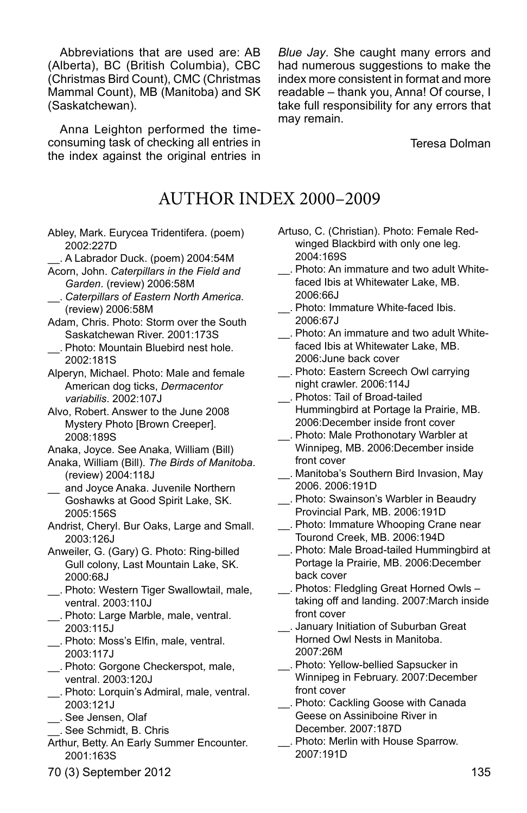Abbreviations that are used are: AB (Alberta), BC (British Columbia), CBC (Christmas Bird Count), CMC (Christmas Mammal Count), MB (Manitoba) and SK (Saskatchewan).

Anna Leighton performed the timeconsuming task of checking all entries in the index against the original entries in

*Blue Jay*. She caught many errors and had numerous suggestions to make the index more consistent in format and more readable – thank you, Anna! Of course, I take full responsibility for any errors that may remain.

Teresa Dolman

# AUTHOR INDEX 2000–2009

Abley, Mark. Eurycea Tridentifera. (poem) 2002:227D

\_\_. A Labrador Duck. (poem) 2004:54M

- Acorn, John. *Caterpillars in the Field and Garden*. (review) 2006:58M
- \_\_. *Caterpillars of Eastern North America*. (review) 2006:58M
- Adam, Chris. Photo: Storm over the South Saskatchewan River. 2001:173S
- \_\_. Photo: Mountain Bluebird nest hole. 2002:181S

Alperyn, Michael. Photo: Male and female American dog ticks, *Dermacentor variabilis*. 2002:107J

Alvo, Robert. Answer to the June 2008 Mystery Photo [Brown Creeper]. 2008:189S

- Anaka, Joyce. See Anaka, William (Bill)
- Anaka, William (Bill). *The Birds of Manitoba*. (review) 2004:118J
- and Joyce Anaka. Juvenile Northern Goshawks at Good Spirit Lake, SK. 2005:156S
- Andrist, Cheryl. Bur Oaks, Large and Small. 2003:126J
- Anweiler, G. (Gary) G. Photo: Ring-billed Gull colony, Last Mountain Lake, SK. 2000:68J
- \_\_. Photo: Western Tiger Swallowtail, male, ventral. 2003:110J
- \_\_. Photo: Large Marble, male, ventral. 2003:115J
- \_\_. Photo: Moss's Elfin, male, ventral. 2003:117J
- \_\_. Photo: Gorgone Checkerspot, male, ventral. 2003:120J
- \_\_. Photo: Lorquin's Admiral, male, ventral. 2003:121J
- \_\_. See Jensen, Olaf
- \_\_. See Schmidt, B. Chris
- Arthur, Betty. An Early Summer Encounter. 2001:163S
- Artuso, C. (Christian). Photo: Female Redwinged Blackbird with only one leg. 2004:169S
- \_\_. Photo: An immature and two adult Whitefaced Ibis at Whitewater Lake, MB. 2006:66J
- \_\_. Photo: Immature White-faced Ibis. 2006:67J
- \_\_. Photo: An immature and two adult Whitefaced Ibis at Whitewater Lake, MB. 2006:June back cover
- \_\_. Photo: Eastern Screech Owl carrying night crawler. 2006:114J
- \_\_. Photos: Tail of Broad-tailed Hummingbird at Portage la Prairie, MB. 2006:December inside front cover
- \_\_. Photo: Male Prothonotary Warbler at Winnipeg, MB. 2006:December inside front cover
- \_\_. Manitoba's Southern Bird Invasion, May 2006. 2006:191D
- \_\_. Photo: Swainson's Warbler in Beaudry Provincial Park, MB. 2006:191D
- \_\_. Photo: Immature Whooping Crane near Tourond Creek, MB. 2006:194D
- \_\_. Photo: Male Broad-tailed Hummingbird at Portage la Prairie, MB. 2006:December back cover
- \_\_. Photos: Fledgling Great Horned Owls taking off and landing. 2007:March inside front cover
- \_\_. January Initiation of Suburban Great Horned Owl Nests in Manitoba. 2007:26M
- \_\_. Photo: Yellow-bellied Sapsucker in Winnipeg in February. 2007:December front cover
- \_\_. Photo: Cackling Goose with Canada Geese on Assiniboine River in December. 2007:187D
- \_\_. Photo: Merlin with House Sparrow. 2007:191D
- 70 (3) September 2012 135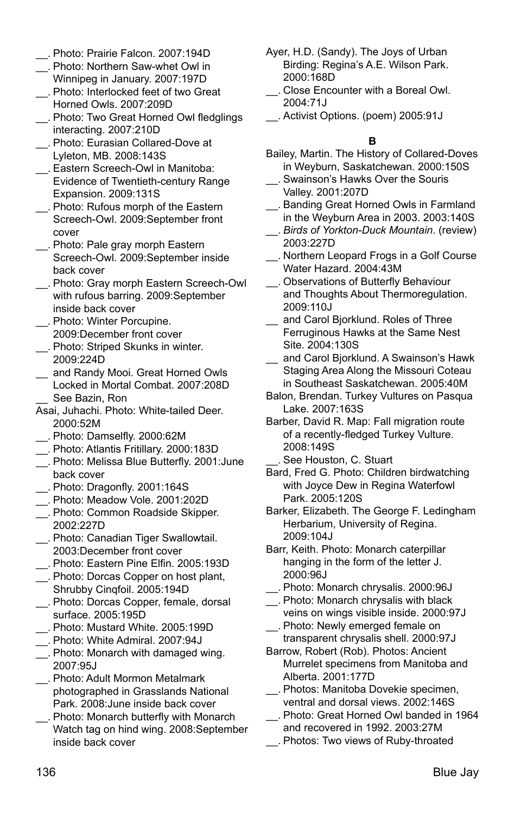- \_\_. Photo: Prairie Falcon. 2007:194D
- \_\_. Photo: Northern Saw-whet Owl in Winnipeg in January. 2007:197D
- \_\_. Photo: Interlocked feet of two Great Horned Owls. 2007:209D
- \_\_. Photo: Two Great Horned Owl fledglings interacting. 2007:210D
- \_\_. Photo: Eurasian Collared-Dove at Lyleton, MB. 2008:143S
- \_\_. Eastern Screech-Owl in Manitoba: Evidence of Twentieth-century Range Expansion. 2009:131S
- \_\_. Photo: Rufous morph of the Eastern Screech-Owl. 2009:September front cover
- \_\_. Photo: Pale gray morph Eastern Screech-Owl. 2009:September inside back cover
- \_\_. Photo: Gray morph Eastern Screech-Owl with rufous barring. 2009:September inside back cover
- \_\_. Photo: Winter Porcupine. 2009:December front cover
- \_\_. Photo: Striped Skunks in winter. 2009:224D
- \_\_ and Randy Mooi. Great Horned Owls Locked in Mortal Combat. 2007:208D
- See Bazin, Ron
- Asai, Juhachi. Photo: White-tailed Deer. 2000:52M
- \_\_. Photo: Damselfly. 2000:62M
- \_\_. Photo: Atlantis Fritillary. 2000:183D
- \_\_. Photo: Melissa Blue Butterfly. 2001:June back cover
- \_\_. Photo: Dragonfly. 2001:164S
- \_\_. Photo: Meadow Vole. 2001:202D
- \_\_. Photo: Common Roadside Skipper. 2002:227D
- \_\_. Photo: Canadian Tiger Swallowtail. 2003:December front cover
- \_\_. Photo: Eastern Pine Elfin. 2005:193D
- \_\_. Photo: Dorcas Copper on host plant, Shrubby Cinqfoil. 2005:194D
- \_\_. Photo: Dorcas Copper, female, dorsal surface. 2005:195D
- \_\_. Photo: Mustard White. 2005:199D
- \_\_. Photo: White Admiral. 2007:94J
- \_\_. Photo: Monarch with damaged wing. 2007:95J
- \_\_. Photo: Adult Mormon Metalmark photographed in Grasslands National Park. 2008:June inside back cover
- \_\_. Photo: Monarch butterfly with Monarch Watch tag on hind wing. 2008:September inside back cover
- Ayer, H.D. (Sandy). The Joys of Urban Birding: Regina's A.E. Wilson Park. 2000:168D
- \_\_. Close Encounter with a Boreal Owl. 2004:71J
- \_\_. Activist Options. (poem) 2005:91J

#### **B**

- Bailey, Martin. The History of Collared-Doves in Weyburn, Saskatchewan. 2000:150S
- \_\_. Swainson's Hawks Over the Souris Valley. 2001:207D
- \_\_. Banding Great Horned Owls in Farmland in the Weyburn Area in 2003. 2003:140S
- \_\_. *Birds of Yorkton-Duck Mountain*. (review) 2003:227D
- \_\_. Northern Leopard Frogs in a Golf Course Water Hazard. 2004:43M
- \_\_. Observations of Butterfly Behaviour and Thoughts About Thermoregulation. 2009:110J
- \_\_ and Carol Bjorklund. Roles of Three Ferruginous Hawks at the Same Nest Site. 2004:130S
- and Carol Biorklund. A Swainson's Hawk Staging Area Along the Missouri Coteau in Southeast Saskatchewan. 2005:40M
- Balon, Brendan. Turkey Vultures on Pasqua Lake. 2007:163S
- Barber, David R. Map: Fall migration route of a recently-fledged Turkey Vulture. 2008:149S
- \_\_. See Houston, C. Stuart
- Bard, Fred G. Photo: Children birdwatching with Joyce Dew in Regina Waterfowl Park. 2005:120S
- Barker, Elizabeth. The George F. Ledingham Herbarium, University of Regina. 2009:104J
- Barr, Keith. Photo: Monarch caterpillar hanging in the form of the letter J. 2000:96J
- \_\_. Photo: Monarch chrysalis. 2000:96J
- \_\_. Photo: Monarch chrysalis with black veins on wings visible inside. 2000:97J
- \_\_. Photo: Newly emerged female on transparent chrysalis shell. 2000:97J
- Barrow, Robert (Rob). Photos: Ancient Murrelet specimens from Manitoba and Alberta. 2001:177D
- \_\_. Photos: Manitoba Dovekie specimen, ventral and dorsal views. 2002:146S
- \_\_. Photo: Great Horned Owl banded in 1964 and recovered in 1992. 2003:27M
- \_\_. Photos: Two views of Ruby-throated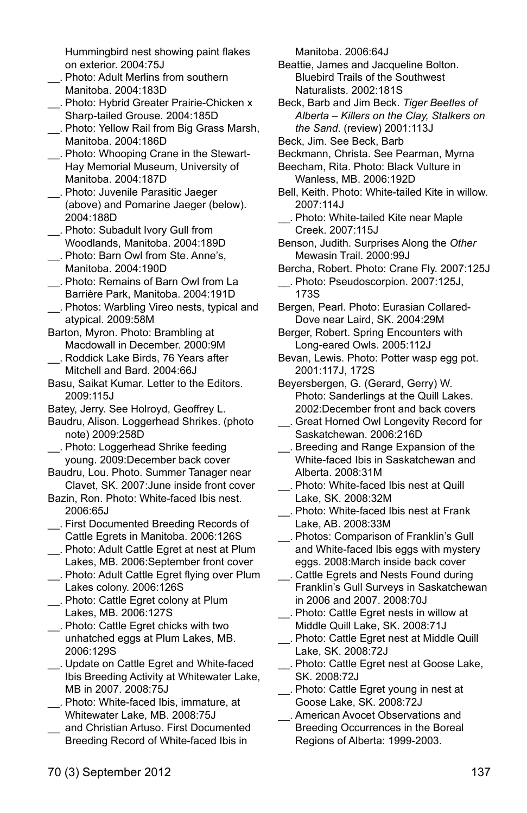Hummingbird nest showing paint flakes on exterior. 2004:75J

- \_\_. Photo: Adult Merlins from southern Manitoba. 2004:183D
- \_\_. Photo: Hybrid Greater Prairie-Chicken x Sharp-tailed Grouse. 2004:185D
- \_\_. Photo: Yellow Rail from Big Grass Marsh, Manitoba. 2004:186D
- \_\_. Photo: Whooping Crane in the Stewart-Hay Memorial Museum, University of Manitoba. 2004:187D
- \_\_. Photo: Juvenile Parasitic Jaeger (above) and Pomarine Jaeger (below). 2004:188D
- \_\_. Photo: Subadult Ivory Gull from Woodlands, Manitoba. 2004:189D
- \_\_. Photo: Barn Owl from Ste. Anne's, Manitoba. 2004:190D
- \_\_. Photo: Remains of Barn Owl from La Barrière Park, Manitoba. 2004:191D
- \_\_. Photos: Warbling Vireo nests, typical and atypical. 2009:58M
- Barton, Myron. Photo: Brambling at Macdowall in December. 2000:9M
- \_\_. Roddick Lake Birds, 76 Years after Mitchell and Bard. 2004:66J
- Basu, Saikat Kumar. Letter to the Editors. 2009:115J
- Batey, Jerry. See Holroyd, Geoffrey L.
- Baudru, Alison. Loggerhead Shrikes. (photo note) 2009:258D
- \_\_. Photo: Loggerhead Shrike feeding young. 2009:December back cover
- Baudru, Lou. Photo. Summer Tanager near Clavet, SK. 2007:June inside front cover
- Bazin, Ron. Photo: White-faced Ibis nest. 2006:65J
- \_\_. First Documented Breeding Records of Cattle Egrets in Manitoba. 2006:126S
- \_\_. Photo: Adult Cattle Egret at nest at Plum Lakes, MB. 2006:September front cover
- \_\_. Photo: Adult Cattle Egret flying over Plum Lakes colony. 2006:126S
- \_\_. Photo: Cattle Egret colony at Plum Lakes, MB. 2006:127S
- \_\_. Photo: Cattle Egret chicks with two unhatched eggs at Plum Lakes, MB. 2006:129S
- \_\_. Update on Cattle Egret and White-faced Ibis Breeding Activity at Whitewater Lake, MB in 2007. 2008:75J
- \_\_. Photo: White-faced Ibis, immature, at Whitewater Lake, MB. 2008:75J
- and Christian Artuso. First Documented Breeding Record of White-faced Ibis in
- Beattie, James and Jacqueline Bolton. Bluebird Trails of the Southwest Naturalists. 2002:181S
- Beck, Barb and Jim Beck. *Tiger Beetles of Alberta – Killers on the Clay, Stalkers on the Sand*. (review) 2001:113J
- Beck, Jim. See Beck, Barb
- Beckmann, Christa. See Pearman, Myrna
- Beecham, Rita. Photo: Black Vulture in Wanless, MB. 2006:192D
- Bell, Keith. Photo: White-tailed Kite in willow. 2007:114J
- \_\_. Photo: White-tailed Kite near Maple Creek. 2007:115J
- Benson, Judith. Surprises Along the *Other* Mewasin Trail. 2000:99J
- Bercha, Robert. Photo: Crane Fly. 2007:125J
- \_\_. Photo: Pseudoscorpion. 2007:125J, 173S
- Bergen, Pearl. Photo: Eurasian Collared-Dove near Laird, SK. 2004:29M
- Berger, Robert. Spring Encounters with Long-eared Owls. 2005:112J
- Bevan, Lewis. Photo: Potter wasp egg pot. 2001:117J, 172S
- Beyersbergen, G. (Gerard, Gerry) W. Photo: Sanderlings at the Quill Lakes. 2002:December front and back covers
- \_\_. Great Horned Owl Longevity Record for Saskatchewan. 2006:216D
- \_\_. Breeding and Range Expansion of the White-faced Ibis in Saskatchewan and Alberta. 2008:31M
- \_\_. Photo: White-faced Ibis nest at Quill Lake, SK. 2008:32M
- \_\_. Photo: White-faced Ibis nest at Frank Lake, AB. 2008:33M
- \_\_. Photos: Comparison of Franklin's Gull and White-faced Ibis eggs with mystery eggs. 2008:March inside back cover
- \_\_. Cattle Egrets and Nests Found during Franklin's Gull Surveys in Saskatchewan in 2006 and 2007. 2008:70J
- \_\_. Photo: Cattle Egret nests in willow at Middle Quill Lake, SK. 2008:71J
- \_\_. Photo: Cattle Egret nest at Middle Quill Lake, SK. 2008:72J
- \_\_. Photo: Cattle Egret nest at Goose Lake, SK. 2008:72J
- \_\_. Photo: Cattle Egret young in nest at Goose Lake, SK. 2008:72J
- \_\_. American Avocet Observations and Breeding Occurrences in the Boreal Regions of Alberta: 1999-2003.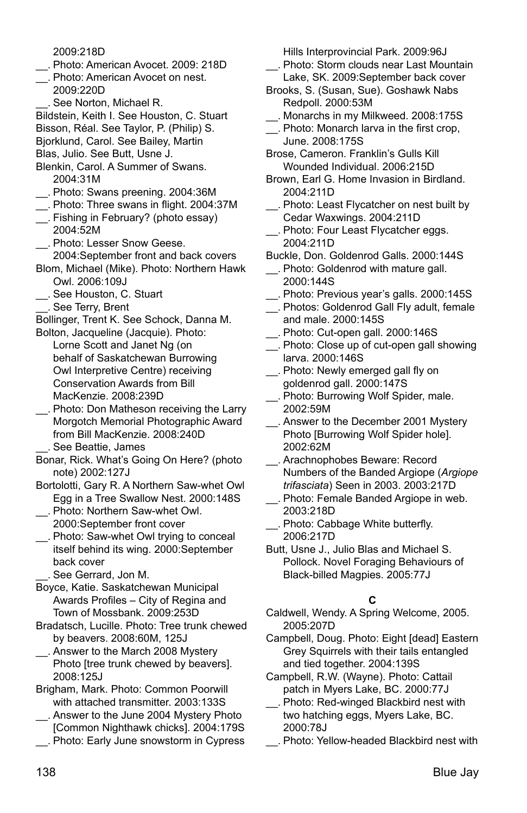2009:218D

- \_\_. Photo: American Avocet. 2009: 218D
- \_\_. Photo: American Avocet on nest. 2009:220D
	- \_\_. See Norton, Michael R.

Bildstein, Keith I. See Houston, C. Stuart Bisson, Réal. See Taylor, P. (Philip) S.

Bjorklund, Carol. See Bailey, Martin

Blas, Julio. See Butt, Usne J.

- Blenkin, Carol. A Summer of Swans. 2004:31M
- \_\_. Photo: Swans preening. 2004:36M
- \_\_. Photo: Three swans in flight. 2004:37M
- \_\_. Fishing in February? (photo essay) 2004:52M
- \_\_. Photo: Lesser Snow Geese. 2004:September front and back covers
- Blom, Michael (Mike). Photo: Northern Hawk Owl. 2006:109J
- \_\_. See Houston, C. Stuart
- \_\_. See Terry, Brent

Bollinger, Trent K. See Schock, Danna M. Bolton, Jacqueline (Jacquie). Photo:

Lorne Scott and Janet Ng (on behalf of Saskatchewan Burrowing Owl Interpretive Centre) receiving Conservation Awards from Bill MacKenzie. 2008:239D

- \_\_. Photo: Don Matheson receiving the Larry Morgotch Memorial Photographic Award from Bill MacKenzie. 2008:240D \_\_. See Beattie, James
- Bonar, Rick. What's Going On Here? (photo note) 2002:127J
- Bortolotti, Gary R. A Northern Saw-whet Owl Egg in a Tree Swallow Nest. 2000:148S
- \_\_. Photo: Northern Saw-whet Owl. 2000:September front cover
- \_\_. Photo: Saw-whet Owl trying to conceal itself behind its wing. 2000:September back cover

See Gerrard, Jon M.

Boyce, Katie. Saskatchewan Municipal Awards Profiles – City of Regina and Town of Mossbank. 2009:253D

- Bradatsch, Lucille. Photo: Tree trunk chewed by beavers. 2008:60M, 125J
- \_\_. Answer to the March 2008 Mystery Photo [tree trunk chewed by beavers]. 2008:125J

Brigham, Mark. Photo: Common Poorwill with attached transmitter. 2003:133S

- \_\_. Answer to the June 2004 Mystery Photo [Common Nighthawk chicks]. 2004:179S
- \_\_. Photo: Early June snowstorm in Cypress

Hills Interprovincial Park. 2009:96J

- \_\_. Photo: Storm clouds near Last Mountain Lake, SK. 2009:September back cover
- Brooks, S. (Susan, Sue). Goshawk Nabs Redpoll. 2000:53M
- \_\_. Monarchs in my Milkweed. 2008:175S
- \_\_. Photo: Monarch larva in the first crop, June. 2008:175S
- Brose, Cameron. Franklin's Gulls Kill Wounded Individual. 2006:215D
- Brown, Earl G. Home Invasion in Birdland. 2004:211D
- \_\_. Photo: Least Flycatcher on nest built by Cedar Waxwings. 2004:211D
- \_\_. Photo: Four Least Flycatcher eggs. 2004:211D
- Buckle, Don. Goldenrod Galls. 2000:144S
- \_\_. Photo: Goldenrod with mature gall. 2000:144S
- \_\_. Photo: Previous year's galls. 2000:145S
- \_\_. Photos: Goldenrod Gall Fly adult, female and male. 2000:145S
- \_\_. Photo: Cut-open gall. 2000:146S
- \_\_. Photo: Close up of cut-open gall showing larva. 2000:146S
- \_\_. Photo: Newly emerged gall fly on goldenrod gall. 2000:147S
- \_\_. Photo: Burrowing Wolf Spider, male. 2002:59M
- \_\_. Answer to the December 2001 Mystery Photo [Burrowing Wolf Spider hole]. 2002:62M
- \_\_. Arachnophobes Beware: Record Numbers of the Banded Argiope (*Argiope trifasciata*) Seen in 2003. 2003:217D
- \_\_. Photo: Female Banded Argiope in web. 2003:218D
- \_\_. Photo: Cabbage White butterfly. 2006:217D
- Butt, Usne J., Julio Blas and Michael S. Pollock. Novel Foraging Behaviours of Black-billed Magpies. 2005:77J

# **C**

- Caldwell, Wendy. A Spring Welcome, 2005. 2005:207D
- Campbell, Doug. Photo: Eight [dead] Eastern Grey Squirrels with their tails entangled and tied together. 2004:139S
- Campbell, R.W. (Wayne). Photo: Cattail patch in Myers Lake, BC. 2000:77J
- \_\_. Photo: Red-winged Blackbird nest with two hatching eggs, Myers Lake, BC. 2000:78J
- \_\_. Photo: Yellow-headed Blackbird nest with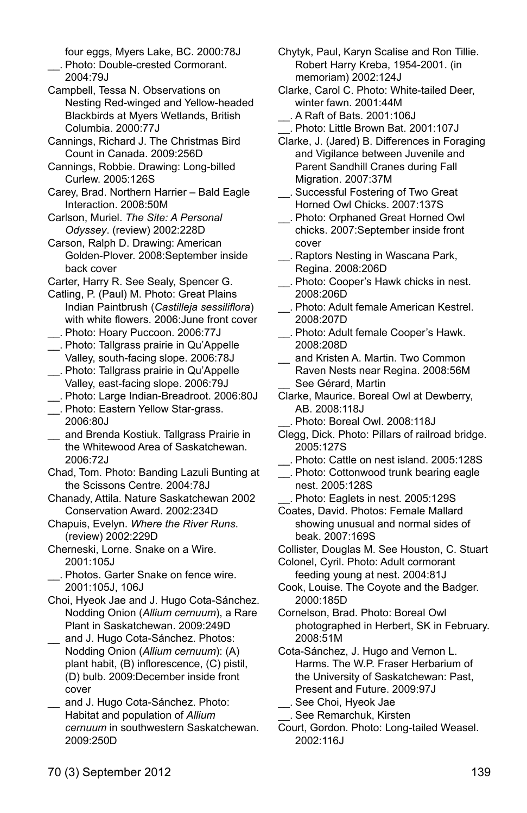four eggs, Myers Lake, BC. 2000:78J \_\_. Photo: Double-crested Cormorant.

 $2004.79$ 

- Campbell, Tessa N. Observations on Nesting Red-winged and Yellow-headed Blackbirds at Myers Wetlands, British Columbia. 2000:77J
- Cannings, Richard J. The Christmas Bird Count in Canada. 2009:256D
- Cannings, Robbie. Drawing: Long-billed Curlew. 2005:126S
- Carey, Brad. Northern Harrier Bald Eagle Interaction. 2008:50M
- Carlson, Muriel. *The Site: A Personal Odyssey*. (review) 2002:228D
- Carson, Ralph D. Drawing: American Golden-Plover. 2008:September inside back cover
- Carter, Harry R. See Sealy, Spencer G.
- Catling, P. (Paul) M. Photo: Great Plains Indian Paintbrush (*Castilleja sessiliflora*) with white flowers. 2006:June front cover \_\_. Photo: Hoary Puccoon. 2006:77J
- \_\_. Photo: Tallgrass prairie in Qu'Appelle Valley, south-facing slope. 2006:78J
- \_\_. Photo: Tallgrass prairie in Qu'Appelle Valley, east-facing slope. 2006:79J
- \_\_. Photo: Large Indian-Breadroot. 2006:80J
- \_\_. Photo: Eastern Yellow Star-grass. 2006:80J
- and Brenda Kostiuk. Tallgrass Prairie in the Whitewood Area of Saskatchewan. 2006:72J
- Chad, Tom. Photo: Banding Lazuli Bunting at the Scissons Centre. 2004:78J
- Chanady, Attila. Nature Saskatchewan 2002 Conservation Award. 2002:234D
- Chapuis, Evelyn. *Where the River Runs*. (review) 2002:229D
- Cherneski, Lorne. Snake on a Wire. 2001:105J
- \_\_. Photos. Garter Snake on fence wire. 2001:105J, 106J
- Choi, Hyeok Jae and J. Hugo Cota-Sánchez. Nodding Onion (*Allium cernuum*), a Rare Plant in Saskatchewan. 2009:249D and J. Hugo Cota-Sánchez. Photos:
- Nodding Onion (*Allium cernuum*): (A) plant habit, (B) inflorescence, (C) pistil, (D) bulb. 2009:December inside front cover
- and J. Hugo Cota-Sánchez. Photo: Habitat and population of *Allium cernuum* in southwestern Saskatchewan. 2009:250D
- Chytyk, Paul, Karyn Scalise and Ron Tillie. Robert Harry Kreba, 1954-2001. (in memoriam) 2002:124J
- Clarke, Carol C. Photo: White-tailed Deer, winter fawn. 2001:44M \_\_. A Raft of Bats. 2001:106J
- \_\_. Photo: Little Brown Bat. 2001:107J
- Clarke, J. (Jared) B. Differences in Foraging and Vigilance between Juvenile and Parent Sandhill Cranes during Fall Migration. 2007:37M
- \_\_. Successful Fostering of Two Great Horned Owl Chicks. 2007:137S
- \_\_. Photo: Orphaned Great Horned Owl chicks. 2007:September inside front cover
- \_\_. Raptors Nesting in Wascana Park, Regina. 2008:206D
- \_\_. Photo: Cooper's Hawk chicks in nest. 2008:206D
- \_\_. Photo: Adult female American Kestrel. 2008:207D
- \_\_. Photo: Adult female Cooper's Hawk. 2008:208D
- and Kristen A. Martin. Two Common Raven Nests near Regina. 2008:56M See Gérard, Martin
- Clarke, Maurice. Boreal Owl at Dewberry, AB. 2008:118J
	- Photo: Boreal Owl. 2008:118J
- Clegg, Dick. Photo: Pillars of railroad bridge. 2005:127S
- \_\_. Photo: Cattle on nest island. 2005:128S
- \_\_. Photo: Cottonwood trunk bearing eagle nest. 2005:128S
- \_\_. Photo: Eaglets in nest. 2005:129S
- Coates, David. Photos: Female Mallard showing unusual and normal sides of beak. 2007:169S
- Collister, Douglas M. See Houston, C. Stuart
- Colonel, Cyril. Photo: Adult cormorant feeding young at nest. 2004:81J
- Cook, Louise. The Coyote and the Badger. 2000:185D
- Cornelson, Brad. Photo: Boreal Owl photographed in Herbert, SK in February. 2008:51M
- Cota-Sánchez, J. Hugo and Vernon L. Harms. The W.P. Fraser Herbarium of the University of Saskatchewan: Past, Present and Future. 2009:97J
- \_\_. See Choi, Hyeok Jae \_\_. See Remarchuk, Kirsten
- Court, Gordon. Photo: Long-tailed Weasel. 2002:116J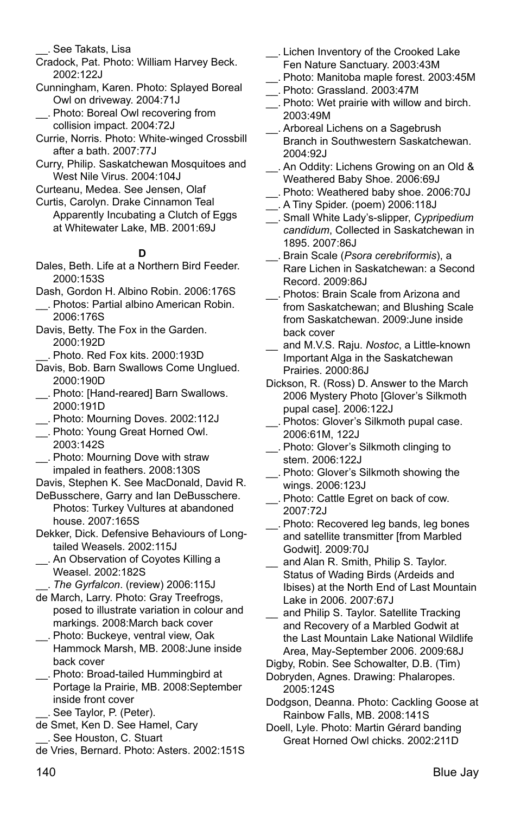\_\_. See Takats, Lisa

- Cradock, Pat. Photo: William Harvey Beck. 2002:122J
- Cunningham, Karen. Photo: Splayed Boreal Owl on driveway. 2004:71J
- \_\_. Photo: Boreal Owl recovering from collision impact. 2004:72J
- Currie, Norris. Photo: White-winged Crossbill after a bath. 2007:77J
- Curry, Philip. Saskatchewan Mosquitoes and West Nile Virus. 2004:104J
- Curteanu, Medea. See Jensen, Olaf
- Curtis, Carolyn. Drake Cinnamon Teal Apparently Incubating a Clutch of Eggs at Whitewater Lake, MB. 2001:69J

### **D**

- Dales, Beth. Life at a Northern Bird Feeder. 2000:153S
- Dash, Gordon H. Albino Robin. 2006:176S
- \_\_. Photos: Partial albino American Robin. 2006:176S
- Davis, Betty. The Fox in the Garden. 2000:192D
- \_\_. Photo. Red Fox kits. 2000:193D
- Davis, Bob. Barn Swallows Come Unglued. 2000:190D
- \_\_. Photo: [Hand-reared] Barn Swallows. 2000:191D
- \_\_. Photo: Mourning Doves. 2002:112J
- \_\_. Photo: Young Great Horned Owl. 2003:142S
- \_\_. Photo: Mourning Dove with straw impaled in feathers. 2008:130S
- Davis, Stephen K. See MacDonald, David R.
- DeBusschere, Garry and Ian DeBusschere. Photos: Turkey Vultures at abandoned house. 2007:165S
- Dekker, Dick. Defensive Behaviours of Longtailed Weasels. 2002:115J
- \_\_. An Observation of Coyotes Killing a Weasel. 2002:182S
- \_\_. *The Gyrfalcon*. (review) 2006:115J
- de March, Larry. Photo: Gray Treefrogs, posed to illustrate variation in colour and markings. 2008:March back cover
- \_\_. Photo: Buckeye, ventral view, Oak Hammock Marsh, MB. 2008:June inside back cover
- \_\_. Photo: Broad-tailed Hummingbird at Portage la Prairie, MB. 2008:September inside front cover \_\_. See Taylor, P. (Peter).
- de Smet, Ken D. See Hamel, Cary \_\_. See Houston, C. Stuart
- de Vries, Bernard. Photo: Asters. 2002:151S
- \_\_. Lichen Inventory of the Crooked Lake Fen Nature Sanctuary. 2003:43M
- \_\_. Photo: Manitoba maple forest. 2003:45M
- \_\_. Photo: Grassland. 2003:47M
- \_\_. Photo: Wet prairie with willow and birch. 2003:49M
- \_\_. Arboreal Lichens on a Sagebrush Branch in Southwestern Saskatchewan. 2004:92J
- \_\_. An Oddity: Lichens Growing on an Old & Weathered Baby Shoe. 2006:69J
- \_\_. Photo: Weathered baby shoe. 2006:70J \_\_. A Tiny Spider. (poem) 2006:118J
- \_\_. Small White Lady's-slipper, *Cypripedium*
- *candidum*, Collected in Saskatchewan in 1895. 2007:86J
- \_\_. Brain Scale (*Psora cerebriformis*), a Rare Lichen in Saskatchewan: a Second Record. 2009:86J
- \_\_. Photos: Brain Scale from Arizona and from Saskatchewan; and Blushing Scale from Saskatchewan. 2009:June inside back cover
- \_\_ and M.V.S. Raju. *Nostoc*, a Little-known Important Alga in the Saskatchewan Prairies. 2000:86J
- Dickson, R. (Ross) D. Answer to the March 2006 Mystery Photo [Glover's Silkmoth pupal case]. 2006:122J
- \_\_. Photos: Glover's Silkmoth pupal case. 2006:61M, 122J
- \_\_. Photo: Glover's Silkmoth clinging to stem. 2006:122J
- \_\_. Photo: Glover's Silkmoth showing the wings. 2006:123J
- \_\_. Photo: Cattle Egret on back of cow. 2007:72J
- \_\_. Photo: Recovered leg bands, leg bones and satellite transmitter [from Marbled Godwit]. 2009:70J
- and Alan R. Smith, Philip S. Taylor. Status of Wading Birds (Ardeids and Ibises) at the North End of Last Mountain Lake in 2006. 2007:67J
- and Philip S. Taylor. Satellite Tracking and Recovery of a Marbled Godwit at the Last Mountain Lake National Wildlife Area, May-September 2006. 2009:68J
- Digby, Robin. See Schowalter, D.B. (Tim)
- Dobryden, Agnes. Drawing: Phalaropes. 2005:124S
- Dodgson, Deanna. Photo: Cackling Goose at Rainbow Falls, MB. 2008:141S
- Doell, Lyle. Photo: Martin Gérard banding Great Horned Owl chicks. 2002:211D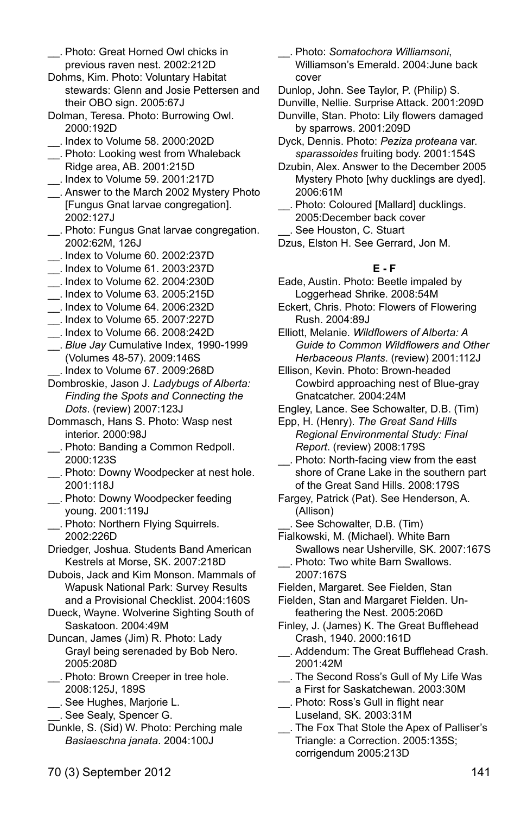- \_\_. Photo: Great Horned Owl chicks in previous raven nest. 2002:212D
- Dohms, Kim. Photo: Voluntary Habitat stewards: Glenn and Josie Pettersen and their OBO sign. 2005:67J
- Dolman, Teresa. Photo: Burrowing Owl. 2000:192D
- \_\_. Index to Volume 58. 2000:202D
- \_\_. Photo: Looking west from Whaleback Ridge area, AB. 2001:215D
- \_\_. Index to Volume 59. 2001:217D
- \_\_. Answer to the March 2002 Mystery Photo [Fungus Gnat larvae congregation]. 2002:127J
- \_\_. Photo: Fungus Gnat larvae congregation. 2002:62M, 126J
- \_\_. Index to Volume 60. 2002:237D
- \_\_. Index to Volume 61. 2003:237D
- \_\_. Index to Volume 62. 2004:230D
- \_\_. Index to Volume 63. 2005:215D
- \_\_. Index to Volume 64. 2006:232D
- \_\_. Index to Volume 65. 2007:227D
- \_\_. Index to Volume 66. 2008:242D
- \_\_. *Blue Jay* Cumulative Index, 1990-1999 (Volumes 48-57). 2009:146S
- \_\_. Index to Volume 67. 2009:268D

Dombroskie, Jason J. *Ladybugs of Alberta: Finding the Spots and Connecting the Dots*. (review) 2007:123J

- Dommasch, Hans S. Photo: Wasp nest interior. 2000:98J
- \_\_. Photo: Banding a Common Redpoll. 2000:123S
- \_\_. Photo: Downy Woodpecker at nest hole. 2001:118J
- \_\_. Photo: Downy Woodpecker feeding young. 2001:119J
- \_\_. Photo: Northern Flying Squirrels. 2002:226D
- Driedger, Joshua. Students Band American Kestrels at Morse, SK. 2007:218D
- Dubois, Jack and Kim Monson. Mammals of Wapusk National Park: Survey Results and a Provisional Checklist. 2004:160S
- Dueck, Wayne. Wolverine Sighting South of Saskatoon. 2004:49M

Duncan, James (Jim) R. Photo: Lady Grayl being serenaded by Bob Nero. 2005:208D

- \_\_. Photo: Brown Creeper in tree hole. 2008:125J, 189S
- \_\_. See Hughes, Marjorie L.
- \_\_. See Sealy, Spencer G.
- Dunkle, S. (Sid) W. Photo: Perching male *Basiaeschna janata*. 2004:100J
- \_\_. Photo: *Somatochora Williamsoni*, Williamson's Emerald. 2004:June back cover
- Dunlop, John. See Taylor, P. (Philip) S.
- Dunville, Nellie. Surprise Attack. 2001:209D
- Dunville, Stan. Photo: Lily flowers damaged by sparrows. 2001:209D
- Dyck, Dennis. Photo: *Peziza proteana* var. *sparassoides* fruiting body. 2001:154S
- Dzubin, Alex. Answer to the December 2005 Mystery Photo [why ducklings are dyed]. 2006:61M
- \_\_. Photo: Coloured [Mallard] ducklings. 2005:December back cover
- \_\_. See Houston, C. Stuart
- Dzus, Elston H. See Gerrard, Jon M.

# **E - F**

- Eade, Austin. Photo: Beetle impaled by Loggerhead Shrike. 2008:54M
- Eckert, Chris. Photo: Flowers of Flowering Rush. 2004:89J

Elliott, Melanie. *Wildflowers of Alberta: A Guide to Common Wildflowers and Other Herbaceous Plants*. (review) 2001:112J

Ellison, Kevin. Photo: Brown-headed Cowbird approaching nest of Blue-gray Gnatcatcher. 2004:24M

Engley, Lance. See Schowalter, D.B. (Tim)

Epp, H. (Henry). *The Great Sand Hills Regional Environmental Study: Final Report*. (review) 2008:179S

- \_\_. Photo: North-facing view from the east shore of Crane Lake in the southern part of the Great Sand Hills. 2008:179S
- Fargey, Patrick (Pat). See Henderson, A. (Allison)

\_\_. See Schowalter, D.B. (Tim)

- Fialkowski, M. (Michael). White Barn Swallows near Usherville, SK. 2007:167S
- \_\_. Photo: Two white Barn Swallows. 2007:167S
- Fielden, Margaret. See Fielden, Stan
- Fielden, Stan and Margaret Fielden. Unfeathering the Nest. 2005:206D
- Finley, J. (James) K. The Great Bufflehead Crash, 1940. 2000:161D
- \_\_. Addendum: The Great Bufflehead Crash. 2001:42M
- \_\_. The Second Ross's Gull of My Life Was a First for Saskatchewan. 2003:30M
- \_\_. Photo: Ross's Gull in flight near Luseland, SK. 2003:31M
- \_\_. The Fox That Stole the Apex of Palliser's Triangle: a Correction. 2005:135S; corrigendum 2005:213D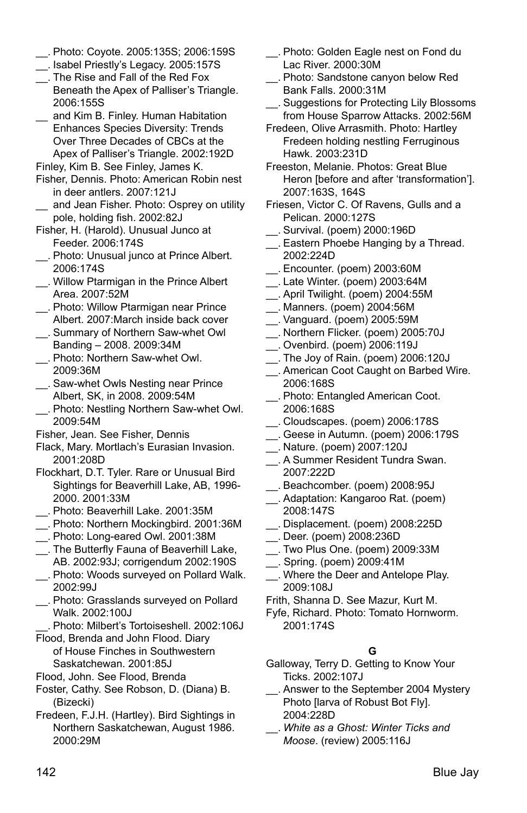- \_\_. Photo: Coyote. 2005:135S; 2006:159S
- \_\_. Isabel Priestly's Legacy. 2005:157S
- \_\_. The Rise and Fall of the Red Fox Beneath the Apex of Palliser's Triangle. 2006:155S
- \_\_ and Kim B. Finley. Human Habitation Enhances Species Diversity: Trends Over Three Decades of CBCs at the Apex of Palliser's Triangle. 2002:192D

Finley, Kim B. See Finley, James K.

- Fisher, Dennis. Photo: American Robin nest in deer antlers. 2007:121J
- and Jean Fisher. Photo: Osprey on utility pole, holding fish. 2002:82J
- Fisher, H. (Harold). Unusual Junco at Feeder. 2006:174S
- \_\_. Photo: Unusual junco at Prince Albert. 2006:174S
- \_\_. Willow Ptarmigan in the Prince Albert Area. 2007:52M
- \_\_. Photo: Willow Ptarmigan near Prince Albert. 2007:March inside back cover
- \_\_. Summary of Northern Saw-whet Owl Banding – 2008. 2009:34M
- \_\_. Photo: Northern Saw-whet Owl. 2009:36M
- \_\_. Saw-whet Owls Nesting near Prince Albert, SK, in 2008. 2009:54M
- \_\_. Photo: Nestling Northern Saw-whet Owl. 2009:54M
- Fisher, Jean. See Fisher, Dennis
- Flack, Mary. Mortlach's Eurasian Invasion. 2001:208D
- Flockhart, D.T. Tyler. Rare or Unusual Bird Sightings for Beaverhill Lake, AB, 1996- 2000. 2001:33M
- \_\_. Photo: Beaverhill Lake. 2001:35M
- \_\_. Photo: Northern Mockingbird. 2001:36M
- \_\_. Photo: Long-eared Owl. 2001:38M
- \_\_. The Butterfly Fauna of Beaverhill Lake, AB. 2002:93J; corrigendum 2002:190S
- \_\_. Photo: Woods surveyed on Pollard Walk. 2002:99J
- \_\_. Photo: Grasslands surveyed on Pollard Walk. 2002:100J
- \_\_. Photo: Milbert's Tortoiseshell. 2002:106J
- Flood, Brenda and John Flood. Diary of House Finches in Southwestern Saskatchewan. 2001:85J
- Flood, John. See Flood, Brenda
- Foster, Cathy. See Robson, D. (Diana) B. (Bizecki)
- Fredeen, F.J.H. (Hartley). Bird Sightings in Northern Saskatchewan, August 1986. 2000:29M
- \_\_. Photo: Golden Eagle nest on Fond du Lac River. 2000:30M
- \_\_. Photo: Sandstone canyon below Red Bank Falls. 2000:31M
- \_\_. Suggestions for Protecting Lily Blossoms from House Sparrow Attacks. 2002:56M
- Fredeen, Olive Arrasmith. Photo: Hartley Fredeen holding nestling Ferruginous Hawk. 2003:231D
- Freeston, Melanie. Photos: Great Blue Heron [before and after 'transformation']. 2007:163S, 164S
- Friesen, Victor C. Of Ravens, Gulls and a Pelican. 2000:127S
- \_\_. Survival. (poem) 2000:196D
- \_\_. Eastern Phoebe Hanging by a Thread. 2002:224D
- \_\_. Encounter. (poem) 2003:60M
- \_\_. Late Winter. (poem) 2003:64M
- \_\_. April Twilight. (poem) 2004:55M
- \_\_. Manners. (poem) 2004:56M
- \_\_. Vanguard. (poem) 2005:59M
- \_\_. Northern Flicker. (poem) 2005:70J
- \_\_. Ovenbird. (poem) 2006:119J
- \_\_. The Joy of Rain. (poem) 2006:120J
- \_\_. American Coot Caught on Barbed Wire. 2006:168S
- \_\_. Photo: Entangled American Coot. 2006:168S
- \_\_. Cloudscapes. (poem) 2006:178S
- \_\_. Geese in Autumn. (poem) 2006:179S
- \_\_. Nature. (poem) 2007:120J
- \_\_. A Summer Resident Tundra Swan. 2007:222D
- \_\_. Beachcomber. (poem) 2008:95J
- \_\_. Adaptation: Kangaroo Rat. (poem) 2008:147S
- \_\_. Displacement. (poem) 2008:225D
- \_\_. Deer. (poem) 2008:236D
- \_\_. Two Plus One. (poem) 2009:33M
- \_\_. Spring. (poem) 2009:41M
- \_\_. Where the Deer and Antelope Play. 2009:108J
- Frith, Shanna D. See Mazur, Kurt M.
- Fyfe, Richard. Photo: Tomato Hornworm. 2001:174S

# **G**

- Galloway, Terry D. Getting to Know Your Ticks. 2002:107J
- \_\_. Answer to the September 2004 Mystery Photo [larva of Robust Bot Fly]. 2004:228D
- \_\_. *White as a Ghost: Winter Ticks and Moose*. (review) 2005:116J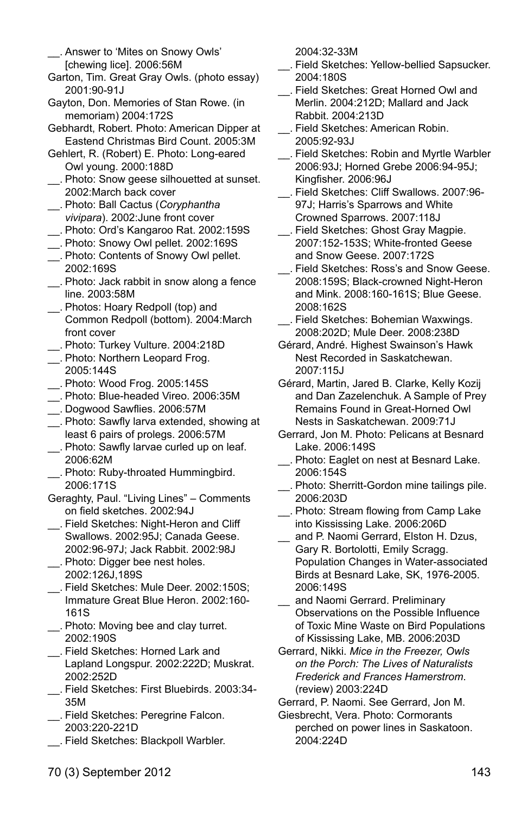- \_\_. Answer to 'Mites on Snowy Owls' [chewing lice]. 2006:56M
- Garton, Tim. Great Gray Owls. (photo essay) 2001:90-91J
- Gayton, Don. Memories of Stan Rowe. (in memoriam) 2004:172S
- Gebhardt, Robert. Photo: American Dipper at Eastend Christmas Bird Count. 2005:3M
- Gehlert, R. (Robert) E. Photo: Long-eared Owl young. 2000:188D
- \_\_. Photo: Snow geese silhouetted at sunset. 2002:March back cover
- \_\_. Photo: Ball Cactus (*Coryphantha vivipara*). 2002:June front cover
- \_\_. Photo: Ord's Kangaroo Rat. 2002:159S
- \_\_. Photo: Snowy Owl pellet. 2002:169S
- \_\_. Photo: Contents of Snowy Owl pellet. 2002:169S
- \_\_. Photo: Jack rabbit in snow along a fence line. 2003:58M
- \_\_. Photos: Hoary Redpoll (top) and Common Redpoll (bottom). 2004:March front cover
- \_\_. Photo: Turkey Vulture. 2004:218D
- \_\_. Photo: Northern Leopard Frog. 2005:144S
- \_\_. Photo: Wood Frog. 2005:145S
- \_\_. Photo: Blue-headed Vireo. 2006:35M
- \_\_. Dogwood Sawflies. 2006:57M
- \_\_. Photo: Sawfly larva extended, showing at least 6 pairs of prolegs. 2006:57M
- \_\_. Photo: Sawfly larvae curled up on leaf. 2006:62M
- \_\_. Photo: Ruby-throated Hummingbird. 2006:171S
- Geraghty, Paul. "Living Lines" Comments on field sketches. 2002:94J
- \_\_. Field Sketches: Night-Heron and Cliff Swallows. 2002:95J; Canada Geese. 2002:96-97J; Jack Rabbit. 2002:98J
- \_\_. Photo: Digger bee nest holes. 2002:126J,189S
- \_\_. Field Sketches: Mule Deer. 2002:150S; Immature Great Blue Heron. 2002:160- 161S
- \_\_. Photo: Moving bee and clay turret. 2002:190S
- \_\_. Field Sketches: Horned Lark and Lapland Longspur. 2002:222D; Muskrat. 2002:252D
- \_\_. Field Sketches: First Bluebirds. 2003:34- 35M
- \_\_. Field Sketches: Peregrine Falcon. 2003:220-221D
- \_\_. Field Sketches: Blackpoll Warbler.

2004:32-33M

- \_\_. Field Sketches: Yellow-bellied Sapsucker. 2004:180S
- \_\_. Field Sketches: Great Horned Owl and Merlin. 2004:212D; Mallard and Jack Rabbit. 2004:213D
- \_\_. Field Sketches: American Robin. 2005:92-93J
- \_\_. Field Sketches: Robin and Myrtle Warbler 2006:93J; Horned Grebe 2006:94-95J; Kingfisher. 2006:96J
- \_\_. Field Sketches: Cliff Swallows. 2007:96- 97J; Harris's Sparrows and White Crowned Sparrows. 2007:118J
- \_\_. Field Sketches: Ghost Gray Magpie. 2007:152-153S; White-fronted Geese and Snow Geese. 2007:172S \_\_. Field Sketches: Ross's and Snow Geese.
- 2008:159S; Black-crowned Night-Heron and Mink. 2008:160-161S; Blue Geese. 2008:162S
- \_\_. Field Sketches: Bohemian Waxwings. 2008:202D; Mule Deer. 2008:238D
- Gérard, André. Highest Swainson's Hawk Nest Recorded in Saskatchewan. 2007:115J
- Gérard, Martin, Jared B. Clarke, Kelly Kozij and Dan Zazelenchuk. A Sample of Prey Remains Found in Great-Horned Owl Nests in Saskatchewan. 2009:71J
- Gerrard, Jon M. Photo: Pelicans at Besnard Lake. 2006:149S
- \_\_. Photo: Eaglet on nest at Besnard Lake. 2006:154S
- \_\_. Photo: Sherritt-Gordon mine tailings pile. 2006:203D
- \_\_. Photo: Stream flowing from Camp Lake into Kississing Lake. 2006:206D
- and P. Naomi Gerrard, Elston H. Dzus, Gary R. Bortolotti, Emily Scragg. Population Changes in Water-associated Birds at Besnard Lake, SK, 1976-2005. 2006:149S
- and Naomi Gerrard. Preliminary Observations on the Possible Influence of Toxic Mine Waste on Bird Populations of Kississing Lake, MB. 2006:203D
- Gerrard, Nikki. *Mice in the Freezer, Owls on the Porch: The Lives of Naturalists Frederick and Frances Hamerstrom*. (review) 2003:224D
- Gerrard, P. Naomi. See Gerrard, Jon M.
- Giesbrecht, Vera. Photo: Cormorants perched on power lines in Saskatoon. 2004:224D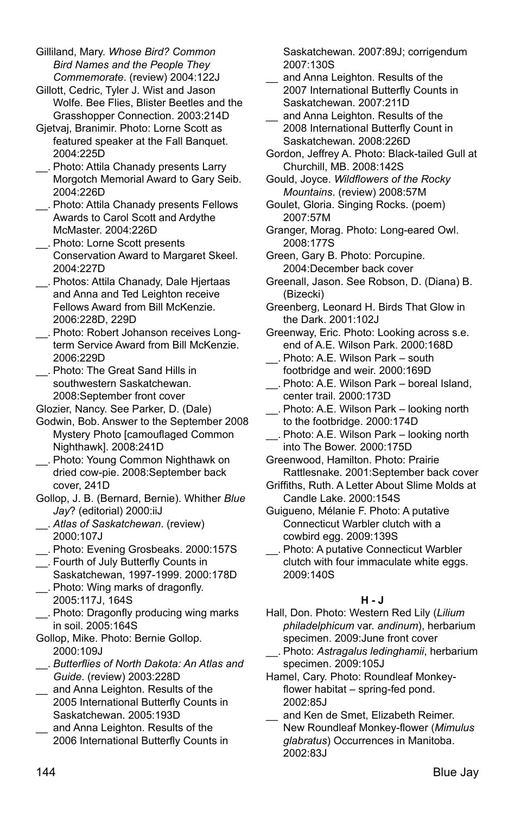Gilliland, Mary. *Whose Bird? Common Bird Names and the People They Commemorate*. (review) 2004:122J

Gillott, Cedric, Tyler J. Wist and Jason Wolfe. Bee Flies, Blister Beetles and the Grasshopper Connection. 2003:214D

Gjetvaj, Branimir. Photo: Lorne Scott as featured speaker at the Fall Banquet. 2004:225D

- \_\_. Photo: Attila Chanady presents Larry Morgotch Memorial Award to Gary Seib. 2004:226D
- \_\_. Photo: Attila Chanady presents Fellows Awards to Carol Scott and Ardythe McMaster. 2004:226D
- \_\_. Photo: Lorne Scott presents Conservation Award to Margaret Skeel. 2004:227D
- \_\_. Photos: Attila Chanady, Dale Hjertaas and Anna and Ted Leighton receive Fellows Award from Bill McKenzie. 2006:228D, 229D
- \_\_. Photo: Robert Johanson receives Longterm Service Award from Bill McKenzie. 2006:229D
- \_\_. Photo: The Great Sand Hills in southwestern Saskatchewan. 2008:September front cover

Glozier, Nancy. See Parker, D. (Dale)

- Godwin, Bob. Answer to the September 2008 Mystery Photo [camouflaged Common Nighthawk]. 2008:241D
- \_\_. Photo: Young Common Nighthawk on dried cow-pie. 2008:September back cover, 241D
- Gollop, J. B. (Bernard, Bernie). Whither *Blue Jay*? (editorial) 2000:iiJ
- \_\_. *Atlas of Saskatchewan*. (review) 2000:107J
- \_\_. Photo: Evening Grosbeaks. 2000:157S
- \_\_. Fourth of July Butterfly Counts in Saskatchewan, 1997-1999. 2000:178D
- \_\_. Photo: Wing marks of dragonfly. 2005:117J, 164S
- \_\_. Photo: Dragonfly producing wing marks in soil. 2005:164S
- Gollop, Mike. Photo: Bernie Gollop. 2000:109J
- \_\_. *Butterflies of North Dakota: An Atlas and Guide*. (review) 2003:228D
- \_\_ and Anna Leighton. Results of the 2005 International Butterfly Counts in Saskatchewan. 2005:193D
- and Anna Leighton. Results of the 2006 International Butterfly Counts in

Saskatchewan. 2007:89J; corrigendum 2007:130S

- and Anna Leighton. Results of the 2007 International Butterfly Counts in Saskatchewan. 2007:211D
- and Anna Leighton. Results of the 2008 International Butterfly Count in Saskatchewan. 2008:226D
- Gordon, Jeffrey A. Photo: Black-tailed Gull at Churchill, MB. 2008:142S
- Gould, Joyce. *Wildflowers of the Rocky Mountains*. (review) 2008:57M
- Goulet, Gloria. Singing Rocks. (poem) 2007:57M
- Granger, Morag. Photo: Long-eared Owl. 2008:177S
- Green, Gary B. Photo: Porcupine. 2004:December back cover
- Greenall, Jason. See Robson, D. (Diana) B. (Bizecki)
- Greenberg, Leonard H. Birds That Glow in the Dark. 2001:102J
- Greenway, Eric. Photo: Looking across s.e. end of A.E. Wilson Park. 2000:168D
- \_\_. Photo: A.E. Wilson Park south footbridge and weir. 2000:169D
- \_\_. Photo: A.E. Wilson Park boreal Island, center trail. 2000:173D
- \_\_. Photo: A.E. Wilson Park looking north to the footbridge. 2000:174D
- \_\_. Photo: A.E. Wilson Park looking north into The Bower. 2000:175D
- Greenwood, Hamilton. Photo: Prairie Rattlesnake. 2001:September back cover
- Griffiths, Ruth. A Letter About Slime Molds at Candle Lake. 2000:154S
- Guigueno, Mélanie F. Photo: A putative Connecticut Warbler clutch with a cowbird egg. 2009:139S
- \_\_. Photo: A putative Connecticut Warbler clutch with four immaculate white eggs. 2009:140S

#### **H - J**

- Hall, Don. Photo: Western Red Lily (*Lilium philadelphicum* var. *andinum*), herbarium specimen. 2009:June front cover
- \_\_. Photo: *Astragalus ledinghamii*, herbarium specimen. 2009:105J
- Hamel, Cary. Photo: Roundleaf Monkeyflower habitat – spring-fed pond. 2002:85J
- and Ken de Smet, Elizabeth Reimer. New Roundleaf Monkey-flower (*Mimulus glabratus*) Occurrences in Manitoba. 2002:83J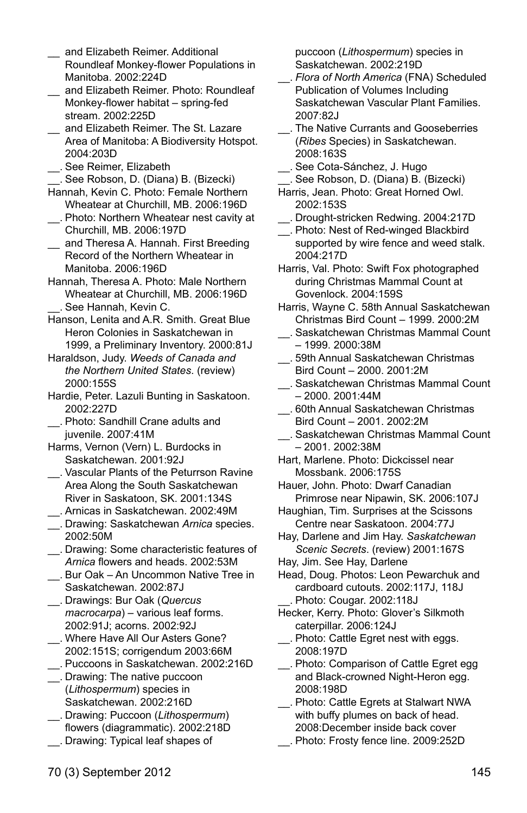- and Flizabeth Reimer. Additional Roundleaf Monkey-flower Populations in Manitoba. 2002:224D
- \_\_ and Elizabeth Reimer. Photo: Roundleaf Monkey-flower habitat – spring-fed stream. 2002:225D
- \_\_ and Elizabeth Reimer. The St. Lazare Area of Manitoba: A Biodiversity Hotspot. 2004:203D
- \_\_. See Reimer, Elizabeth
- \_\_. See Robson, D. (Diana) B. (Bizecki)
- Hannah, Kevin C. Photo: Female Northern Wheatear at Churchill, MB. 2006:196D \_\_. Photo: Northern Wheatear nest cavity at
- Churchill, MB. 2006:197D
- \_\_ and Theresa A. Hannah. First Breeding Record of the Northern Wheatear in Manitoba. 2006:196D
- Hannah, Theresa A. Photo: Male Northern Wheatear at Churchill, MB. 2006:196D \_\_. See Hannah, Kevin C.
- Hanson, Lenita and A.R. Smith. Great Blue Heron Colonies in Saskatchewan in 1999, a Preliminary Inventory. 2000:81J
- Haraldson, Judy. *Weeds of Canada and the Northern United States*. (review) 2000:155S
- Hardie, Peter. Lazuli Bunting in Saskatoon. 2002:227D
- \_\_. Photo: Sandhill Crane adults and juvenile. 2007:41M
- Harms, Vernon (Vern) L. Burdocks in Saskatchewan. 2001:92J
- \_\_. Vascular Plants of the Peturrson Ravine Area Along the South Saskatchewan River in Saskatoon, SK. 2001:134S
- \_\_. Arnicas in Saskatchewan. 2002:49M
- \_\_. Drawing: Saskatchewan *Arnica* species. 2002:50M
- \_\_. Drawing: Some characteristic features of *Arnica* flowers and heads. 2002:53M
- \_\_. Bur Oak An Uncommon Native Tree in Saskatchewan. 2002:87J
- \_\_. Drawings: Bur Oak (*Quercus macrocarpa*) – various leaf forms. 2002:91J; acorns. 2002:92J
- \_\_. Where Have All Our Asters Gone? 2002:151S; corrigendum 2003:66M
- \_\_. Puccoons in Saskatchewan. 2002:216D
- \_\_. Drawing: The native puccoon (*Lithospermum*) species in Saskatchewan. 2002:216D
- \_\_. Drawing: Puccoon (*Lithospermum*) flowers (diagrammatic). 2002:218D
- \_\_. Drawing: Typical leaf shapes of

puccoon (*Lithospermum*) species in Saskatchewan. 2002:219D

- \_\_. *Flora of North America* (FNA) Scheduled Publication of Volumes Including Saskatchewan Vascular Plant Families. 2007:82J
- \_\_. The Native Currants and Gooseberries (*Ribes* Species) in Saskatchewan. 2008:163S
- \_\_. See Cota-Sánchez, J. Hugo
- \_\_. See Robson, D. (Diana) B. (Bizecki) Harris, Jean. Photo: Great Horned Owl. 2002:153S
- \_\_. Drought-stricken Redwing. 2004:217D
- \_\_. Photo: Nest of Red-winged Blackbird supported by wire fence and weed stalk. 2004:217D
- Harris, Val. Photo: Swift Fox photographed during Christmas Mammal Count at Govenlock. 2004:159S
- Harris, Wayne C. 58th Annual Saskatchewan Christmas Bird Count – 1999. 2000:2M
- \_\_. Saskatchewan Christmas Mammal Count – 1999. 2000:38M
- \_\_. 59th Annual Saskatchewan Christmas Bird Count – 2000. 2001:2M
- \_\_. Saskatchewan Christmas Mammal Count  $-2000.2001:44M$
- \_\_. 60th Annual Saskatchewan Christmas Bird Count – 2001. 2002:2M
- \_\_. Saskatchewan Christmas Mammal Count – 2001. 2002:38M
- Hart, Marlene. Photo: Dickcissel near Mossbank. 2006:175S
- Hauer, John. Photo: Dwarf Canadian Primrose near Nipawin, SK. 2006:107J
- Haughian, Tim. Surprises at the Scissons Centre near Saskatoon. 2004:77J
- Hay, Darlene and Jim Hay. *Saskatchewan Scenic Secrets*. (review) 2001:167S
- Hay, Jim. See Hay, Darlene
- Head, Doug. Photos: Leon Pewarchuk and cardboard cutouts. 2002:117J, 118J \_\_. Photo: Cougar. 2002:118J
- Hecker, Kerry. Photo: Glover's Silkmoth caterpillar. 2006:124J
- \_\_. Photo: Cattle Egret nest with eggs. 2008:197D
- \_\_. Photo: Comparison of Cattle Egret egg and Black-crowned Night-Heron egg. 2008:198D
- \_\_. Photo: Cattle Egrets at Stalwart NWA with buffy plumes on back of head. 2008:December inside back cover
- \_\_. Photo: Frosty fence line. 2009:252D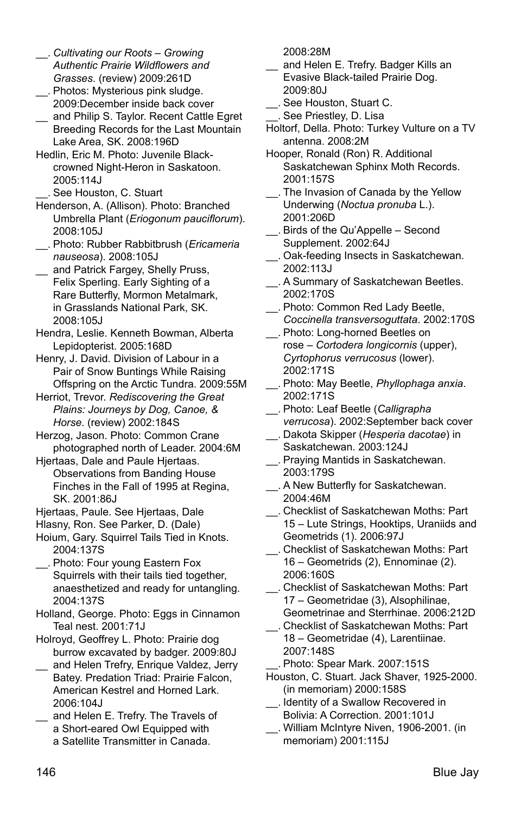- \_\_. *Cultivating our Roots – Growing Authentic Prairie Wildflowers and Grasses*. (review) 2009:261D
- \_\_. Photos: Mysterious pink sludge. 2009:December inside back cover
- \_\_ and Philip S. Taylor. Recent Cattle Egret Breeding Records for the Last Mountain Lake Area, SK. 2008:196D
- Hedlin, Eric M. Photo: Juvenile Blackcrowned Night-Heron in Saskatoon. 2005:114J
- \_\_. See Houston, C. Stuart
- Henderson, A. (Allison). Photo: Branched Umbrella Plant (*Eriogonum pauciflorum*). 2008:105J
- \_\_. Photo: Rubber Rabbitbrush (*Ericameria nauseosa*). 2008:105J
- and Patrick Fargey, Shelly Pruss, Felix Sperling. Early Sighting of a Rare Butterfly, Mormon Metalmark, in Grasslands National Park, SK. 2008:105J
- Hendra, Leslie. Kenneth Bowman, Alberta Lepidopterist. 2005:168D
- Henry, J. David. Division of Labour in a Pair of Snow Buntings While Raising Offspring on the Arctic Tundra. 2009:55M
- Herriot, Trevor. *Rediscovering the Great Plains: Journeys by Dog, Canoe, & Horse*. (review) 2002:184S
- Herzog, Jason. Photo: Common Crane photographed north of Leader. 2004:6M
- Hjertaas, Dale and Paule Hjertaas. Observations from Banding House Finches in the Fall of 1995 at Regina, SK. 2001:86J
- Hjertaas, Paule. See Hjertaas, Dale
- Hlasny, Ron. See Parker, D. (Dale)
- Hoium, Gary. Squirrel Tails Tied in Knots. 2004:137S
- \_\_. Photo: Four young Eastern Fox Squirrels with their tails tied together, anaesthetized and ready for untangling. 2004:137S
- Holland, George. Photo: Eggs in Cinnamon Teal nest. 2001:71J
- Holroyd, Geoffrey L. Photo: Prairie dog burrow excavated by badger. 2009:80J
- and Helen Trefry, Enrique Valdez, Jerry Batey. Predation Triad: Prairie Falcon, American Kestrel and Horned Lark. 2006:104J
- \_\_ and Helen E. Trefry. The Travels of a Short-eared Owl Equipped with a Satellite Transmitter in Canada.

2008:28M

- and Helen E. Trefry. Badger Kills an Evasive Black-tailed Prairie Dog. 2009:80J
- \_\_. See Houston, Stuart C.
- \_\_. See Priestley, D. Lisa
- Holtorf, Della. Photo: Turkey Vulture on a TV antenna. 2008:2M
- Hooper, Ronald (Ron) R. Additional Saskatchewan Sphinx Moth Records. 2001:157S
- \_\_. The Invasion of Canada by the Yellow Underwing (*Noctua pronuba* L.). 2001:206D
- \_\_. Birds of the Qu'Appelle Second Supplement. 2002:64J
- \_\_. Oak-feeding Insects in Saskatchewan. 2002:113J
- \_\_. A Summary of Saskatchewan Beetles. 2002:170S
- \_\_. Photo: Common Red Lady Beetle, *Coccinella transversoguttata*. 2002:170S
- \_\_. Photo: Long-horned Beetles on rose – *Cortodera longicornis* (upper), *Cyrtophorus verrucosus* (lower). 2002:171S
- \_\_. Photo: May Beetle, *Phyllophaga anxia*. 2002:171S
- \_\_. Photo: Leaf Beetle (*Calligrapha verrucosa*). 2002:September back cover
- \_\_. Dakota Skipper (*Hesperia dacotae*) in Saskatchewan. 2003:124J
- \_\_. Praying Mantids in Saskatchewan. 2003:179S
- \_\_. A New Butterfly for Saskatchewan. 2004:46M
- \_\_. Checklist of Saskatchewan Moths: Part 15 – Lute Strings, Hooktips, Uraniids and Geometrids (1). 2006:97J
- \_\_. Checklist of Saskatchewan Moths: Part 16 – Geometrids (2), Ennominae (2). 2006:160S
- \_\_. Checklist of Saskatchewan Moths: Part 17 – Geometridae (3), Alsophilinae, Geometrinae and Sterrhinae. 2006:212D
- \_\_. Checklist of Saskatchewan Moths: Part 18 – Geometridae (4), Larentiinae. 2007:148S

\_\_. Photo: Spear Mark. 2007:151S

- Houston, C. Stuart. Jack Shaver, 1925-2000. (in memoriam) 2000:158S
- \_\_. Identity of a Swallow Recovered in Bolivia: A Correction. 2001:101J
- \_\_. William McIntyre Niven, 1906-2001. (in memoriam) 2001:115J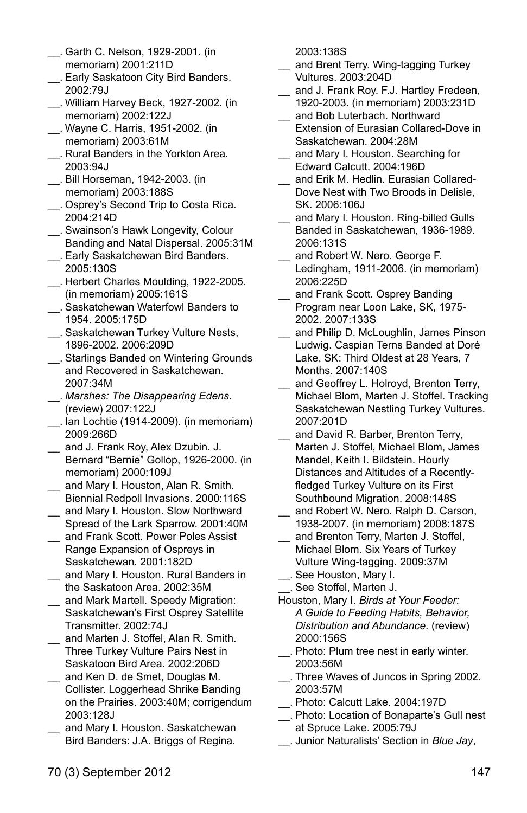- \_\_. Garth C. Nelson, 1929-2001. (in memoriam) 2001:211D
- \_\_. Early Saskatoon City Bird Banders. 2002:79J
- \_\_. William Harvey Beck, 1927-2002. (in memoriam) 2002:122J
- \_\_. Wayne C. Harris, 1951-2002. (in memoriam) 2003:61M
- \_\_. Rural Banders in the Yorkton Area. 2003:94J
- \_\_. Bill Horseman, 1942-2003. (in memoriam) 2003:188S
- \_\_. Osprey's Second Trip to Costa Rica. 2004:214D
- \_\_. Swainson's Hawk Longevity, Colour Banding and Natal Dispersal. 2005:31M
- \_\_. Early Saskatchewan Bird Banders. 2005:130S
- \_\_. Herbert Charles Moulding, 1922-2005. (in memoriam) 2005:161S
- \_\_. Saskatchewan Waterfowl Banders to 1954. 2005:175D
- \_\_. Saskatchewan Turkey Vulture Nests, 1896-2002. 2006:209D
- \_\_. Starlings Banded on Wintering Grounds and Recovered in Saskatchewan. 2007:34M
- \_\_. *Marshes: The Disappearing Edens*. (review) 2007:122J
- \_\_. Ian Lochtie (1914-2009). (in memoriam) 2009:266D
- \_\_ and J. Frank Roy, Alex Dzubin. J. Bernard "Bernie" Gollop, 1926-2000. (in memoriam) 2000:109J
- \_\_ and Mary I. Houston, Alan R. Smith. Biennial Redpoll Invasions. 2000:116S
- and Mary I. Houston. Slow Northward Spread of the Lark Sparrow. 2001:40M
- \_\_ and Frank Scott. Power Poles Assist Range Expansion of Ospreys in Saskatchewan. 2001:182D
- \_\_ and Mary I. Houston. Rural Banders in the Saskatoon Area. 2002:35M
- \_\_ and Mark Martell. Speedy Migration: Saskatchewan's First Osprey Satellite Transmitter. 2002:74J
- \_\_ and Marten J. Stoffel, Alan R. Smith. Three Turkey Vulture Pairs Nest in Saskatoon Bird Area. 2002:206D
- \_\_ and Ken D. de Smet, Douglas M. Collister. Loggerhead Shrike Banding on the Prairies. 2003:40M; corrigendum 2003:128J
- and Mary I. Houston. Saskatchewan Bird Banders: J.A. Briggs of Regina.

2003:138S

- and Brent Terry. Wing-tagging Turkey Vultures. 2003:204D
- and J. Frank Roy. F.J. Hartley Fredeen, 1920-2003. (in memoriam) 2003:231D and Bob Luterbach. Northward
- Extension of Eurasian Collared-Dove in Saskatchewan. 2004:28M
- and Mary I. Houston. Searching for Edward Calcutt. 2004:196D
- and Frik M. Hedlin. Eurasian Collared-Dove Nest with Two Broods in Delisle, SK. 2006:106J
- and Mary I. Houston. Ring-billed Gulls Banded in Saskatchewan, 1936-1989. 2006:131S
- and Robert W. Nero. George F. Ledingham, 1911-2006. (in memoriam) 2006:225D
- and Frank Scott. Osprey Banding Program near Loon Lake, SK, 1975- 2002. 2007:133S
- and Philip D. McLoughlin, James Pinson Ludwig. Caspian Terns Banded at Doré Lake, SK: Third Oldest at 28 Years, 7 Months. 2007:140S
- and Geoffrey L. Holroyd, Brenton Terry, Michael Blom, Marten J. Stoffel. Tracking Saskatchewan Nestling Turkey Vultures. 2007:201D
- and David R. Barber, Brenton Terry, Marten J. Stoffel, Michael Blom, James Mandel, Keith I. Bildstein. Hourly Distances and Altitudes of a Recentlyfledged Turkey Vulture on its First Southbound Migration. 2008:148S
- and Robert W. Nero. Ralph D. Carson, 1938-2007. (in memoriam) 2008:187S
- and Brenton Terry, Marten J. Stoffel, Michael Blom. Six Years of Turkey Vulture Wing-tagging. 2009:37M
- \_\_. See Houston, Mary I. \_\_. See Stoffel, Marten J.
- Houston, Mary I. *Birds at Your Feeder: A Guide to Feeding Habits, Behavior, Distribution and Abundance*. (review) 2000:156S
- \_\_. Photo: Plum tree nest in early winter. 2003:56M
- \_\_. Three Waves of Juncos in Spring 2002. 2003:57M
- \_\_. Photo: Calcutt Lake. 2004:197D
- \_\_. Photo: Location of Bonaparte's Gull nest at Spruce Lake. 2005:79J
- \_\_. Junior Naturalists' Section in *Blue Jay*,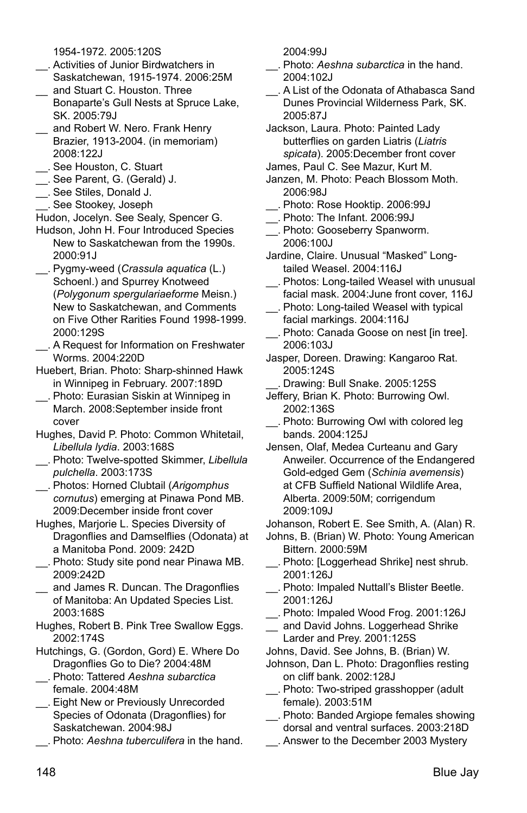1954-1972. 2005:120S

- \_\_. Activities of Junior Birdwatchers in Saskatchewan, 1915-1974. 2006:25M
- and Stuart C. Houston. Three Bonaparte's Gull Nests at Spruce Lake, SK. 2005:79J
- \_\_ and Robert W. Nero. Frank Henry Brazier, 1913-2004. (in memoriam) 2008:122J
- \_\_. See Houston, C. Stuart
- \_\_. See Parent, G. (Gerald) J.
- \_\_. See Stiles, Donald J.
- \_\_. See Stookey, Joseph

Hudon, Jocelyn. See Sealy, Spencer G.

- Hudson, John H. Four Introduced Species New to Saskatchewan from the 1990s. 2000:91J
- \_\_. Pygmy-weed (*Crassula aquatica* (L.) Schoenl.) and Spurrey Knotweed (*Polygonum spergulariaeforme* Meisn.) New to Saskatchewan, and Comments on Five Other Rarities Found 1998-1999. 2000:129S
- \_\_. A Request for Information on Freshwater Worms. 2004:220D
- Huebert, Brian. Photo: Sharp-shinned Hawk in Winnipeg in February. 2007:189D
- \_\_. Photo: Eurasian Siskin at Winnipeg in March. 2008:September inside front cover
- Hughes, David P. Photo: Common Whitetail, *Libellula lydia*. 2003:168S
- \_\_. Photo: Twelve-spotted Skimmer, *Libellula pulchella*. 2003:173S
- \_\_. Photos: Horned Clubtail (*Arigomphus cornutus*) emerging at Pinawa Pond MB. 2009:December inside front cover
- Hughes, Marjorie L. Species Diversity of Dragonflies and Damselflies (Odonata) at a Manitoba Pond. 2009: 242D
- \_\_. Photo: Study site pond near Pinawa MB. 2009:242D
- and James R. Duncan. The Dragonflies of Manitoba: An Updated Species List. 2003:168S
- Hughes, Robert B. Pink Tree Swallow Eggs. 2002:174S
- Hutchings, G. (Gordon, Gord) E. Where Do Dragonflies Go to Die? 2004:48M
- \_\_. Photo: Tattered *Aeshna subarctica* female. 2004:48M
- \_\_. Eight New or Previously Unrecorded Species of Odonata (Dragonflies) for Saskatchewan. 2004:98J
- \_\_. Photo: *Aeshna tuberculifera* in the hand.

2004:99J

- \_\_. Photo: *Aeshna subarctica* in the hand. 2004:102J
- \_\_. A List of the Odonata of Athabasca Sand Dunes Provincial Wilderness Park, SK. 2005:87J

Jackson, Laura. Photo: Painted Lady butterflies on garden Liatris (*Liatris spicata*). 2005:December front cover

- James, Paul C. See Mazur, Kurt M.
- Janzen, M. Photo: Peach Blossom Moth. 2006:98J
- \_\_. Photo: Rose Hooktip. 2006:99J
- \_\_. Photo: The Infant. 2006:99J
- \_\_. Photo: Gooseberry Spanworm. 2006:100J
- Jardine, Claire. Unusual "Masked" Longtailed Weasel. 2004:116J
- \_\_. Photos: Long-tailed Weasel with unusual facial mask. 2004:June front cover, 116J
- \_\_. Photo: Long-tailed Weasel with typical facial markings. 2004:116J
- \_\_. Photo: Canada Goose on nest [in tree]. 2006:103J
- Jasper, Doreen. Drawing: Kangaroo Rat. 2005:124S
	- Drawing: Bull Snake. 2005:125S
- Jeffery, Brian K. Photo: Burrowing Owl. 2002:136S
- \_\_. Photo: Burrowing Owl with colored leg bands. 2004:125J
- Jensen, Olaf, Medea Curteanu and Gary Anweiler. Occurrence of the Endangered Gold-edged Gem (*Schinia avemensis*) at CFB Suffield National Wildlife Area, Alberta. 2009:50M; corrigendum 2009:109J

Johanson, Robert E. See Smith, A. (Alan) R.

- Johns, B. (Brian) W. Photo: Young American Bittern. 2000:59M
- \_\_. Photo: [Loggerhead Shrike] nest shrub. 2001:126J
- \_\_. Photo: Impaled Nuttall's Blister Beetle. 2001:126J
- \_\_. Photo: Impaled Wood Frog. 2001:126J
- and David Johns. Loggerhead Shrike Larder and Prey. 2001:125S
- Johns, David. See Johns, B. (Brian) W.
- Johnson, Dan L. Photo: Dragonflies resting on cliff bank. 2002:128J
- \_\_. Photo: Two-striped grasshopper (adult female). 2003:51M
- \_\_. Photo: Banded Argiope females showing dorsal and ventral surfaces. 2003:218D
- \_\_. Answer to the December 2003 Mystery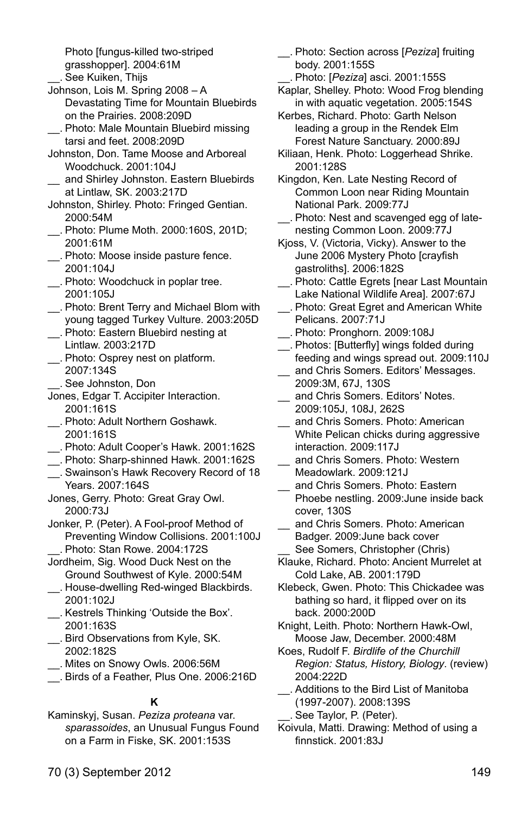Photo [fungus-killed two-striped grasshopper]. 2004:61M

- \_\_. See Kuiken, Thijs
- Johnson, Lois M. Spring 2008 A Devastating Time for Mountain Bluebirds on the Prairies. 2008:209D
- \_\_. Photo: Male Mountain Bluebird missing tarsi and feet. 2008:209D
- Johnston, Don. Tame Moose and Arboreal Woodchuck. 2001:104J
- and Shirley Johnston. Eastern Bluebirds at Lintlaw, SK. 2003:217D
- Johnston, Shirley. Photo: Fringed Gentian. 2000:54M
- \_\_. Photo: Plume Moth. 2000:160S, 201D; 2001:61M
- \_\_. Photo: Moose inside pasture fence. 2001:104J
- \_\_. Photo: Woodchuck in poplar tree. 2001:105J
- \_\_. Photo: Brent Terry and Michael Blom with young tagged Turkey Vulture. 2003:205D
- \_\_. Photo: Eastern Bluebird nesting at Lintlaw. 2003:217D
- \_\_. Photo: Osprey nest on platform. 2007:134S
	- \_\_. See Johnston, Don
- Jones, Edgar T. Accipiter Interaction. 2001:161S
- \_\_. Photo: Adult Northern Goshawk. 2001:161S
- \_\_. Photo: Adult Cooper's Hawk. 2001:162S
- \_\_. Photo: Sharp-shinned Hawk. 2001:162S
- \_\_. Swainson's Hawk Recovery Record of 18 Years. 2007:164S
- Jones, Gerry. Photo: Great Gray Owl. 2000:73J
- Jonker, P. (Peter). A Fool-proof Method of Preventing Window Collisions. 2001:100J Photo: Stan Rowe. 2004:172S
- Jordheim, Sig. Wood Duck Nest on the Ground Southwest of Kyle. 2000:54M \_\_. House-dwelling Red-winged Blackbirds.
- 2001:102J \_\_. Kestrels Thinking 'Outside the Box'.
- 2001:163S
- \_\_. Bird Observations from Kyle, SK. 2002:182S
- \_\_. Mites on Snowy Owls. 2006:56M
- \_\_. Birds of a Feather, Plus One. 2006:216D

#### **K**

Kaminskyj, Susan. *Peziza proteana* var. *sparassoides*, an Unusual Fungus Found on a Farm in Fiske, SK. 2001:153S

- \_\_. Photo: Section across [*Peziza*] fruiting body. 2001:155S
- \_\_. Photo: [*Peziza*] asci. 2001:155S
- Kaplar, Shelley. Photo: Wood Frog blending in with aquatic vegetation. 2005:154S
- Kerbes, Richard. Photo: Garth Nelson leading a group in the Rendek Elm Forest Nature Sanctuary. 2000:89J
- Kiliaan, Henk. Photo: Loggerhead Shrike. 2001:128S
- Kingdon, Ken. Late Nesting Record of Common Loon near Riding Mountain National Park. 2009:77J
- \_\_. Photo: Nest and scavenged egg of latenesting Common Loon. 2009:77J
- Kjoss, V. (Victoria, Vicky). Answer to the June 2006 Mystery Photo [crayfish gastroliths]. 2006:182S
- \_\_. Photo: Cattle Egrets [near Last Mountain Lake National Wildlife Areal. 2007:67J
- \_\_. Photo: Great Egret and American White Pelicans. 2007:71J
- \_\_. Photo: Pronghorn. 2009:108J
- \_\_. Photos: [Butterfly] wings folded during feeding and wings spread out. 2009:110J \_\_ and Chris Somers. Editors' Messages.
- 2009:3M, 67J, 130S
- \_\_ and Chris Somers. Editors' Notes. 2009:105J, 108J, 262S
- and Chris Somers. Photo: American White Pelican chicks during aggressive interaction. 2009:117J
- and Chris Somers. Photo: Western Meadowlark. 2009:121J
- and Chris Somers. Photo: Eastern Phoebe nestling. 2009:June inside back cover, 130S
- and Chris Somers. Photo: American Badger. 2009:June back cover See Somers, Christopher (Chris)
- Klauke, Richard. Photo: Ancient Murrelet at Cold Lake, AB. 2001:179D
- Klebeck, Gwen. Photo: This Chickadee was bathing so hard, it flipped over on its back. 2000:200D
- Knight, Leith. Photo: Northern Hawk-Owl, Moose Jaw, December. 2000:48M
- Koes, Rudolf F. *Birdlife of the Churchill Region: Status, History, Biology*. (review) 2004:222D
	- \_\_. Additions to the Bird List of Manitoba
- (1997-2007). 2008:139S See Taylor, P. (Peter).
- Koivula, Matti. Drawing: Method of using a finnstick. 2001:83J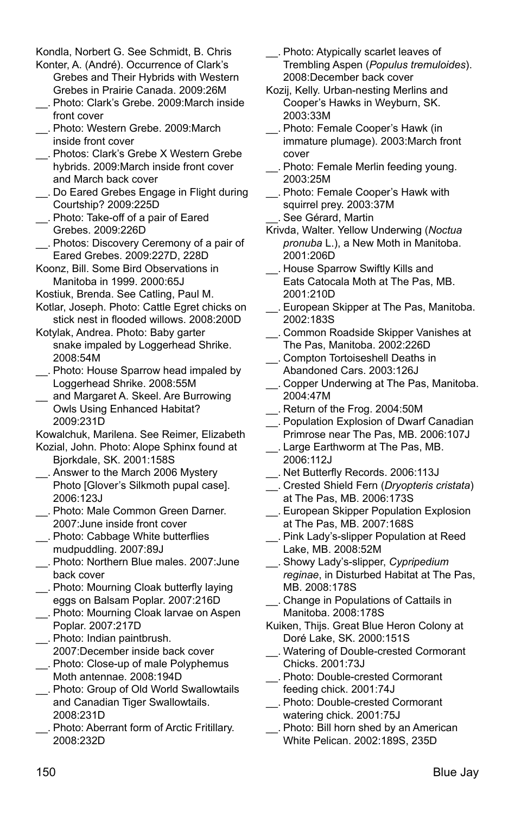Kondla, Norbert G. See Schmidt, B. Chris

- Konter, A. (André). Occurrence of Clark's Grebes and Their Hybrids with Western Grebes in Prairie Canada. 2009:26M
- \_\_. Photo: Clark's Grebe. 2009:March inside front cover
- \_\_. Photo: Western Grebe. 2009:March inside front cover
- \_\_. Photos: Clark's Grebe X Western Grebe hybrids. 2009:March inside front cover and March back cover
- \_\_. Do Eared Grebes Engage in Flight during Courtship? 2009:225D
- \_\_. Photo: Take-off of a pair of Eared Grebes. 2009:226D
- \_\_. Photos: Discovery Ceremony of a pair of Eared Grebes. 2009:227D, 228D
- Koonz, Bill. Some Bird Observations in Manitoba in 1999. 2000:65J
- Kostiuk, Brenda. See Catling, Paul M.
- Kotlar, Joseph. Photo: Cattle Egret chicks on stick nest in flooded willows. 2008:200D
- Kotylak, Andrea. Photo: Baby garter snake impaled by Loggerhead Shrike. 2008:54M
- \_\_. Photo: House Sparrow head impaled by Loggerhead Shrike. 2008:55M
- \_\_ and Margaret A. Skeel. Are Burrowing Owls Using Enhanced Habitat? 2009:231D

Kowalchuk, Marilena. See Reimer, Elizabeth

- Kozial, John. Photo: Alope Sphinx found at Bjorkdale, SK. 2001:158S
- \_\_. Answer to the March 2006 Mystery Photo [Glover's Silkmoth pupal case]. 2006:123J
- \_\_. Photo: Male Common Green Darner. 2007:June inside front cover
- \_\_. Photo: Cabbage White butterflies mudpuddling. 2007:89J
- \_\_. Photo: Northern Blue males. 2007:June back cover
- \_\_. Photo: Mourning Cloak butterfly laying eggs on Balsam Poplar. 2007:216D
- \_\_. Photo: Mourning Cloak larvae on Aspen Poplar. 2007:217D
- \_\_. Photo: Indian paintbrush. 2007:December inside back cover
- \_\_. Photo: Close-up of male Polyphemus Moth antennae. 2008:194D
- \_\_. Photo: Group of Old World Swallowtails and Canadian Tiger Swallowtails. 2008:231D
- \_\_. Photo: Aberrant form of Arctic Fritillary. 2008:232D
- \_\_. Photo: Atypically scarlet leaves of Trembling Aspen (*Populus tremuloides*). 2008:December back cover
- Kozij, Kelly. Urban-nesting Merlins and Cooper's Hawks in Weyburn, SK. 2003:33M
- \_\_. Photo: Female Cooper's Hawk (in immature plumage). 2003:March front cover
- \_\_. Photo: Female Merlin feeding young. 2003:25M
- \_\_. Photo: Female Cooper's Hawk with squirrel prey. 2003:37M See Gérard, Martin
- Krivda, Walter. Yellow Underwing (*Noctua pronuba* L.), a New Moth in Manitoba. 2001:206D
- \_\_. House Sparrow Swiftly Kills and Eats Catocala Moth at The Pas, MB. 2001:210D
- \_\_. European Skipper at The Pas, Manitoba. 2002:183S
- \_\_. Common Roadside Skipper Vanishes at The Pas, Manitoba. 2002:226D
- \_\_. Compton Tortoiseshell Deaths in Abandoned Cars. 2003:126J
- \_\_. Copper Underwing at The Pas, Manitoba. 2004:47M
- \_\_. Return of the Frog. 2004:50M
- \_\_. Population Explosion of Dwarf Canadian Primrose near The Pas, MB. 2006:107J
- \_\_. Large Earthworm at The Pas, MB. 2006:112J
- \_\_. Net Butterfly Records. 2006:113J
- \_\_. Crested Shield Fern (*Dryopteris cristata*) at The Pas, MB. 2006:173S
- \_\_. European Skipper Population Explosion at The Pas, MB. 2007:168S
- \_\_. Pink Lady's-slipper Population at Reed Lake, MB. 2008:52M
- \_\_. Showy Lady's-slipper, *Cypripedium reginae*, in Disturbed Habitat at The Pas, MB. 2008:178S
- \_\_. Change in Populations of Cattails in Manitoba. 2008:178S
- Kuiken, Thijs. Great Blue Heron Colony at Doré Lake, SK. 2000:151S
- \_\_. Watering of Double-crested Cormorant Chicks. 2001:73J
- \_\_. Photo: Double-crested Cormorant feeding chick. 2001:74J
- \_\_. Photo: Double-crested Cormorant watering chick. 2001:75J
- \_\_. Photo: Bill horn shed by an American White Pelican. 2002:189S, 235D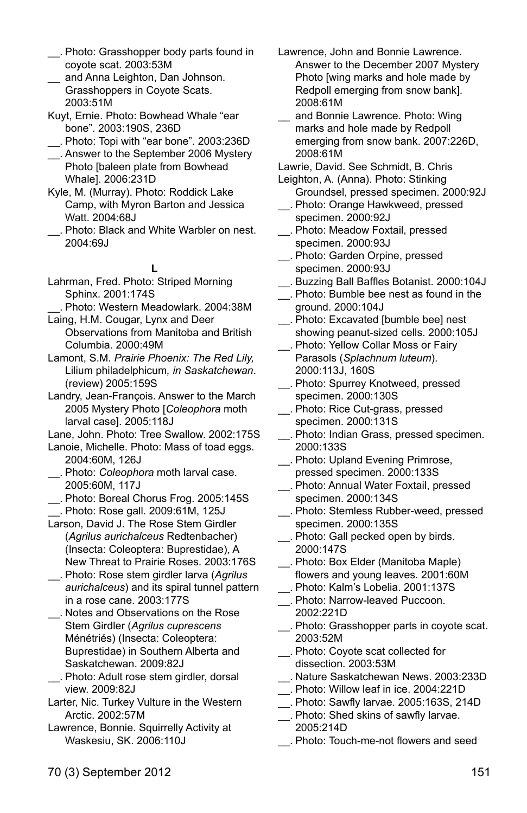- \_\_. Photo: Grasshopper body parts found in coyote scat. 2003:53M
- and Anna Leighton, Dan Johnson. Grasshoppers in Coyote Scats. 2003:51M
- Kuyt, Ernie. Photo: Bowhead Whale "ear bone". 2003:190S, 236D
- \_\_. Photo: Topi with "ear bone". 2003:236D
- \_\_. Answer to the September 2006 Mystery Photo [baleen plate from Bowhead Whale]. 2006:231D
- Kyle, M. (Murray). Photo: Roddick Lake Camp, with Myron Barton and Jessica Watt. 2004:68J
- \_\_. Photo: Black and White Warbler on nest. 2004:69J

#### **L**

- Lahrman, Fred. Photo: Striped Morning Sphinx. 2001:174S
- \_\_. Photo: Western Meadowlark. 2004:38M Laing, H.M. Cougar, Lynx and Deer
- Observations from Manitoba and British Columbia. 2000:49M
- Lamont, S.M. *Prairie Phoenix: The Red Lily,* Lilium philadelphicum*, in Saskatchewan*. (review) 2005:159S
- Landry, Jean-François. Answer to the March 2005 Mystery Photo [*Coleophora* moth larval case]. 2005:118J
- Lane, John. Photo: Tree Swallow. 2002:175S
- Lanoie, Michelle. Photo: Mass of toad eggs. 2004:60M, 126J
- \_\_. Photo: *Coleophora* moth larval case. 2005:60M, 117J
- \_\_. Photo: Boreal Chorus Frog. 2005:145S \_\_. Photo: Rose gall. 2009:61M, 125J
- Larson, David J. The Rose Stem Girdler (*Agrilus aurichalceus* Redtenbacher) (Insecta: Coleoptera: Buprestidae), A New Threat to Prairie Roses. 2003:176S
- \_\_. Photo: Rose stem girdler larva (*Agrilus aurichalceus*) and its spiral tunnel pattern in a rose cane. 2003:177S
- \_\_. Notes and Observations on the Rose Stem Girdler (*Agrilus cuprescens* Ménétriés) (Insecta: Coleoptera: Buprestidae) in Southern Alberta and Saskatchewan. 2009:82J
- \_\_. Photo: Adult rose stem girdler, dorsal view. 2009:82J
- Larter, Nic. Turkey Vulture in the Western Arctic. 2002:57M
- Lawrence, Bonnie. Squirrelly Activity at Waskesiu, SK. 2006:110J
- Lawrence, John and Bonnie Lawrence. Answer to the December 2007 Mystery Photo [wing marks and hole made by Redpoll emerging from snow bank]. 2008:61M
- and Bonnie Lawrence. Photo: Wing marks and hole made by Redpoll emerging from snow bank. 2007:226D, 2008:61M
- Lawrie, David. See Schmidt, B. Chris
- Leighton, A. (Anna). Photo: Stinking Groundsel, pressed specimen. 2000:92J
- \_\_. Photo: Orange Hawkweed, pressed specimen. 2000:92J
- \_\_. Photo: Meadow Foxtail, pressed specimen. 2000:93J
- \_\_. Photo: Garden Orpine, pressed specimen. 2000:93J
- \_\_. Buzzing Ball Baffles Botanist. 2000:104J
- \_\_. Photo: Bumble bee nest as found in the ground. 2000:104J
- \_\_. Photo: Excavated [bumble bee] nest showing peanut-sized cells. 2000:105J
- \_\_. Photo: Yellow Collar Moss or Fairy Parasols (*Splachnum luteum*). 2000:113J, 160S
- \_\_. Photo: Spurrey Knotweed, pressed specimen. 2000:130S
- \_\_. Photo: Rice Cut-grass, pressed specimen. 2000:131S
- \_\_. Photo: Indian Grass, pressed specimen. 2000:133S
- \_\_. Photo: Upland Evening Primrose, pressed specimen. 2000:133S
- \_\_. Photo: Annual Water Foxtail, pressed specimen. 2000:134S
- \_\_. Photo: Stemless Rubber-weed, pressed specimen. 2000:135S
- \_\_. Photo: Gall pecked open by birds. 2000:147S
- \_\_. Photo: Box Elder (Manitoba Maple) flowers and young leaves. 2001:60M
- \_\_. Photo: Kalm's Lobelia. 2001:137S
- \_\_. Photo: Narrow-leaved Puccoon. 2002:221D
- \_\_. Photo: Grasshopper parts in coyote scat. 2003:52M
- \_\_. Photo: Coyote scat collected for dissection. 2003:53M
- \_\_. Nature Saskatchewan News. 2003:233D
- \_\_. Photo: Willow leaf in ice. 2004:221D
- \_\_. Photo: Sawfly larvae. 2005:163S, 214D
- \_\_. Photo: Shed skins of sawfly larvae. 2005:214D
- \_\_. Photo: Touch-me-not flowers and seed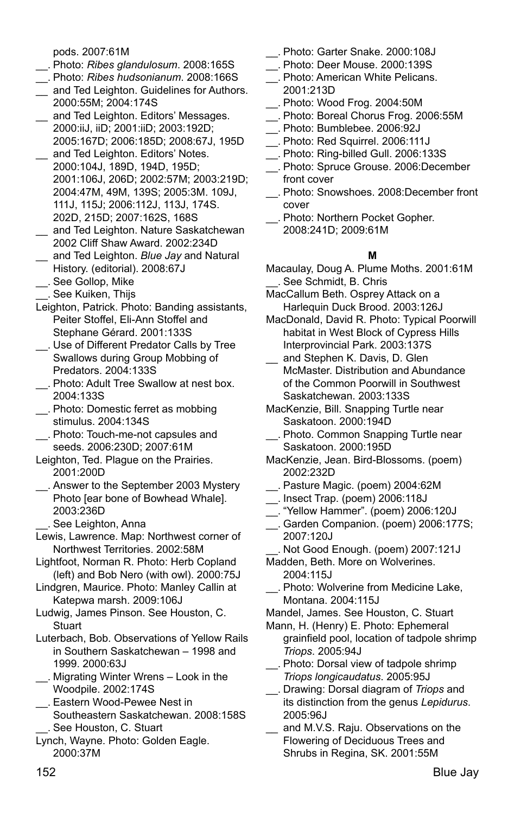pods. 2007:61M

- \_\_. Photo: *Ribes glandulosum*. 2008:165S
- \_\_. Photo: *Ribes hudsonianum*. 2008:166S
- and Ted Leighton. Guidelines for Authors. 2000:55M; 2004:174S
- \_\_ and Ted Leighton. Editors' Messages. 2000:iiJ, iiD; 2001:iiD; 2003:192D; 2005:167D; 2006:185D; 2008:67J, 195D
- \_\_ and Ted Leighton. Editors' Notes. 2000:104J, 189D, 194D, 195D; 2001:106J, 206D; 2002:57M; 2003:219D; 2004:47M, 49M, 139S; 2005:3M. 109J, 111J, 115J; 2006:112J, 113J, 174S. 202D, 215D; 2007:162S, 168S
- \_\_ and Ted Leighton. Nature Saskatchewan 2002 Cliff Shaw Award. 2002:234D
- \_\_ and Ted Leighton. *Blue Jay* and Natural History. (editorial). 2008:67J
- \_\_. See Gollop, Mike
- \_\_. See Kuiken, Thijs
- Leighton, Patrick. Photo: Banding assistants, Peiter Stoffel, Eli-Ann Stoffel and Stephane Gérard. 2001:133S
- \_\_. Use of Different Predator Calls by Tree Swallows during Group Mobbing of Predators. 2004:133S
- \_\_. Photo: Adult Tree Swallow at nest box. 2004:133S
- \_\_. Photo: Domestic ferret as mobbing stimulus. 2004:134S
- \_\_. Photo: Touch-me-not capsules and seeds. 2006:230D; 2007:61M
- Leighton, Ted. Plague on the Prairies. 2001:200D
- \_\_. Answer to the September 2003 Mystery Photo [ear bone of Bowhead Whale]. 2003:236D
	- \_\_. See Leighton, Anna
- Lewis, Lawrence. Map: Northwest corner of Northwest Territories. 2002:58M
- Lightfoot, Norman R. Photo: Herb Copland (left) and Bob Nero (with owl). 2000:75J
- Lindgren, Maurice. Photo: Manley Callin at Katepwa marsh. 2009:106J
- Ludwig, James Pinson. See Houston, C. **Stuart**
- Luterbach, Bob. Observations of Yellow Rails in Southern Saskatchewan – 1998 and 1999. 2000:63J
- \_\_. Migrating Winter Wrens Look in the Woodpile. 2002:174S
- \_\_. Eastern Wood-Pewee Nest in Southeastern Saskatchewan. 2008:158S \_\_. See Houston, C. Stuart
- Lynch, Wayne. Photo: Golden Eagle. 2000:37M
- \_\_. Photo: Garter Snake. 2000:108J
- \_\_. Photo: Deer Mouse. 2000:139S
- \_\_. Photo: American White Pelicans. 2001:213D
- \_\_. Photo: Wood Frog. 2004:50M
- \_\_. Photo: Boreal Chorus Frog. 2006:55M
- \_\_. Photo: Bumblebee. 2006:92J
- \_\_. Photo: Red Squirrel. 2006:111J
- \_\_. Photo: Ring-billed Gull. 2006:133S
- \_\_. Photo: Spruce Grouse. 2006:December front cover
- \_\_. Photo: Snowshoes. 2008:December front cover
- \_\_. Photo: Northern Pocket Gopher. 2008:241D; 2009:61M

#### **M**

- Macaulay, Doug A. Plume Moths. 2001:61M \_\_. See Schmidt, B. Chris
- MacCallum Beth. Osprey Attack on a Harlequin Duck Brood. 2003:126J
- MacDonald, David R. Photo: Typical Poorwill habitat in West Block of Cypress Hills Interprovincial Park. 2003:137S
- and Stephen K. Davis, D. Glen McMaster. Distribution and Abundance of the Common Poorwill in Southwest Saskatchewan. 2003:133S
- MacKenzie, Bill. Snapping Turtle near Saskatoon. 2000:194D
- \_\_. Photo. Common Snapping Turtle near Saskatoon. 2000:195D
- MacKenzie, Jean. Bird-Blossoms. (poem) 2002:232D
- \_\_. Pasture Magic. (poem) 2004:62M
- \_\_. Insect Trap. (poem) 2006:118J
- \_\_. "Yellow Hammer". (poem) 2006:120J
- \_\_. Garden Companion. (poem) 2006:177S; 2007:120J
- \_\_. Not Good Enough. (poem) 2007:121J
- Madden, Beth. More on Wolverines. 2004:115J
- \_\_. Photo: Wolverine from Medicine Lake, Montana. 2004:115J
- Mandel, James. See Houston, C. Stuart
- Mann, H. (Henry) E. Photo: Ephemeral grainfield pool, location of tadpole shrimp *Triops*. 2005:94J
- \_\_. Photo: Dorsal view of tadpole shrimp *Triops longicaudatus*. 2005:95J
- \_\_. Drawing: Dorsal diagram of *Triops* and its distinction from the genus *Lepidurus*. 2005:96J
- and M.V.S. Raju. Observations on the Flowering of Deciduous Trees and Shrubs in Regina, SK. 2001:55M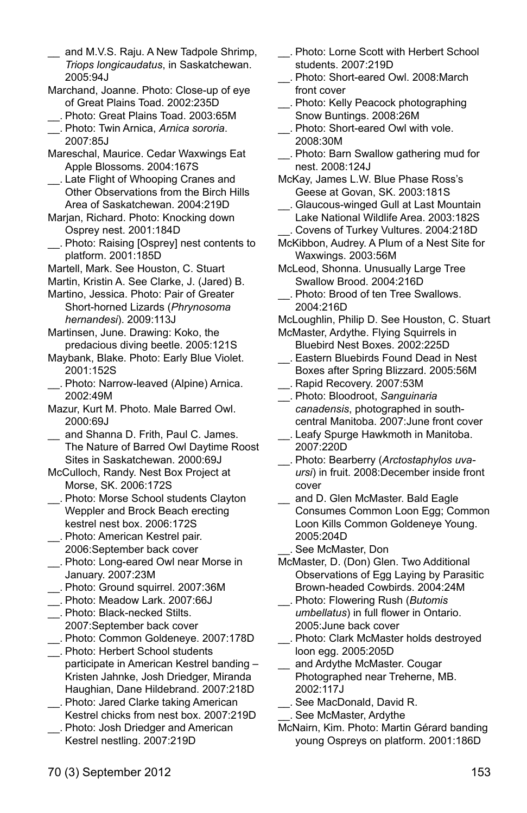- and M.V.S. Raju. A New Tadpole Shrimp, *Triops longicaudatus*, in Saskatchewan. 2005:94J
- Marchand, Joanne. Photo: Close-up of eye of Great Plains Toad. 2002:235D
- \_\_. Photo: Great Plains Toad. 2003:65M \_\_. Photo: Twin Arnica, *Arnica sororia*. 2007:85J
- Mareschal, Maurice. Cedar Waxwings Eat Apple Blossoms. 2004:167S
- \_\_. Late Flight of Whooping Cranes and Other Observations from the Birch Hills Area of Saskatchewan. 2004:219D
- Marjan, Richard. Photo: Knocking down Osprey nest. 2001:184D
- \_\_. Photo: Raising [Osprey] nest contents to platform. 2001:185D
- Martell, Mark. See Houston, C. Stuart
- Martin, Kristin A. See Clarke, J. (Jared) B.
- Martino, Jessica. Photo: Pair of Greater Short-horned Lizards (*Phrynosoma hernandesi*). 2009:113J
- Martinsen, June. Drawing: Koko, the predacious diving beetle. 2005:121S
- Maybank, Blake. Photo: Early Blue Violet. 2001:152S
- \_\_. Photo: Narrow-leaved (Alpine) Arnica. 2002:49M
- Mazur, Kurt M. Photo. Male Barred Owl. 2000:69J
- and Shanna D. Frith, Paul C. James. The Nature of Barred Owl Daytime Roost Sites in Saskatchewan. 2000:69J
- McCulloch, Randy. Nest Box Project at Morse, SK. 2006:172S
- \_\_. Photo: Morse School students Clayton Weppler and Brock Beach erecting kestrel nest box. 2006:172S
- \_\_. Photo: American Kestrel pair. 2006:September back cover
- \_\_. Photo: Long-eared Owl near Morse in January. 2007:23M
- \_\_. Photo: Ground squirrel. 2007:36M
- \_\_. Photo: Meadow Lark. 2007:66J
- \_\_. Photo: Black-necked Stilts. 2007:September back cover \_\_. Photo: Common Goldeneye. 2007:178D
- \_\_. Photo: Herbert School students
- participate in American Kestrel banding Kristen Jahnke, Josh Driedger, Miranda Haughian, Dane Hildebrand. 2007:218D
- \_\_. Photo: Jared Clarke taking American Kestrel chicks from nest box. 2007:219D
- \_\_. Photo: Josh Driedger and American Kestrel nestling. 2007:219D
- \_\_. Photo: Lorne Scott with Herbert School students. 2007:219D
- \_\_. Photo: Short-eared Owl. 2008:March front cover
- \_\_. Photo: Kelly Peacock photographing Snow Buntings. 2008:26M
- \_\_. Photo: Short-eared Owl with vole. 2008:30M
- \_\_. Photo: Barn Swallow gathering mud for nest. 2008:124J
- McKay, James L.W. Blue Phase Ross's Geese at Govan, SK. 2003:181S
- \_\_. Glaucous-winged Gull at Last Mountain Lake National Wildlife Area. 2003:182S \_\_. Covens of Turkey Vultures. 2004:218D
- McKibbon, Audrey. A Plum of a Nest Site for Waxwings. 2003:56M
- McLeod, Shonna. Unusually Large Tree Swallow Brood. 2004:216D
- \_\_. Photo: Brood of ten Tree Swallows. 2004:216D
- McLoughlin, Philip D. See Houston, C. Stuart McMaster, Ardythe. Flying Squirrels in
- Bluebird Nest Boxes. 2002:225D \_\_. Eastern Bluebirds Found Dead in Nest Boxes after Spring Blizzard. 2005:56M
- \_\_. Rapid Recovery. 2007:53M
- \_\_. Photo: Bloodroot, *Sanguinaria canadensis*, photographed in southcentral Manitoba. 2007:June front cover
- \_\_. Leafy Spurge Hawkmoth in Manitoba. 2007:220D
- \_\_. Photo: Bearberry (*Arctostaphylos uvaursi*) in fruit. 2008:December inside front cover
- and D. Glen McMaster. Bald Eagle Consumes Common Loon Egg; Common Loon Kills Common Goldeneye Young. 2005:204D
- See McMaster, Don
- McMaster, D. (Don) Glen. Two Additional Observations of Egg Laying by Parasitic Brown-headed Cowbirds. 2004:24M
- \_\_. Photo: Flowering Rush (*Butomis umbellatus*) in full flower in Ontario. 2005:June back cover
- \_\_. Photo: Clark McMaster holds destroyed loon egg. 2005:205D
- and Ardythe McMaster. Cougar Photographed near Treherne, MB. 2002:117J
- \_\_. See MacDonald, David R.
- \_\_. See McMaster, Ardythe
- McNairn, Kim. Photo: Martin Gérard banding young Ospreys on platform. 2001:186D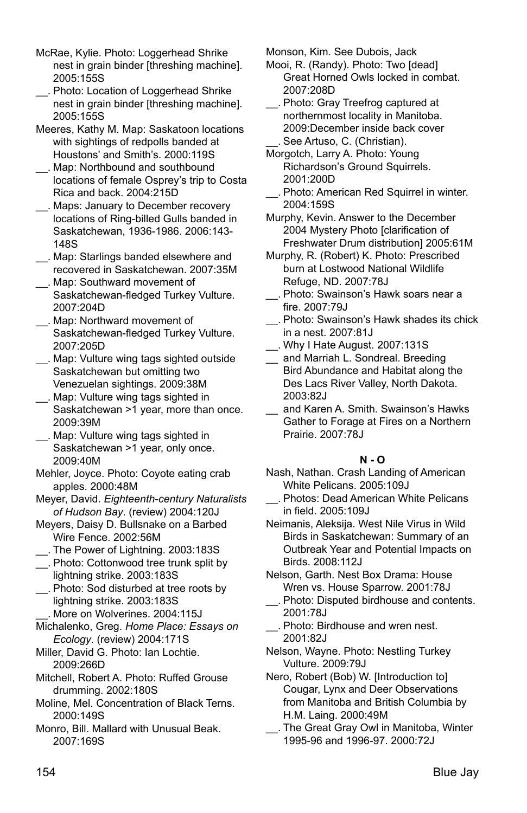- McRae, Kylie. Photo: Loggerhead Shrike nest in grain binder [threshing machine]. 2005:155S
- \_\_. Photo: Location of Loggerhead Shrike nest in grain binder [threshing machine]. 2005:155S
- Meeres, Kathy M. Map: Saskatoon locations with sightings of redpolls banded at Houstons' and Smith's. 2000:119S
- \_\_. Map: Northbound and southbound locations of female Osprey's trip to Costa Rica and back. 2004:215D
- \_\_. Maps: January to December recovery locations of Ring-billed Gulls banded in Saskatchewan, 1936-1986. 2006:143- 148S
- \_\_. Map: Starlings banded elsewhere and recovered in Saskatchewan. 2007:35M
- \_\_. Map: Southward movement of Saskatchewan-fledged Turkey Vulture. 2007:204D
- \_\_. Map: Northward movement of Saskatchewan-fledged Turkey Vulture. 2007:205D
- \_\_. Map: Vulture wing tags sighted outside Saskatchewan but omitting two Venezuelan sightings. 2009:38M
- \_\_. Map: Vulture wing tags sighted in Saskatchewan >1 year, more than once. 2009:39M
- \_\_. Map: Vulture wing tags sighted in Saskatchewan >1 year, only once. 2009:40M
- Mehler, Joyce. Photo: Coyote eating crab apples. 2000:48M
- Meyer, David. *Eighteenth-century Naturalists of Hudson Bay*. (review) 2004:120J
- Meyers, Daisy D. Bullsnake on a Barbed Wire Fence. 2002:56M
- \_\_. The Power of Lightning. 2003:183S
- \_\_. Photo: Cottonwood tree trunk split by lightning strike. 2003:183S
- \_\_. Photo: Sod disturbed at tree roots by lightning strike. 2003:183S
- More on Wolverines. 2004:115J
- Michalenko, Greg. *Home Place: Essays on Ecology*. (review) 2004:171S
- Miller, David G. Photo: Ian Lochtie. 2009:266D
- Mitchell, Robert A. Photo: Ruffed Grouse drumming. 2002:180S
- Moline, Mel. Concentration of Black Terns. 2000:149S
- Monro, Bill. Mallard with Unusual Beak. 2007:169S

Monson, Kim. See Dubois, Jack

- Mooi, R. (Randy). Photo: Two [dead] Great Horned Owls locked in combat. 2007:208D
- \_\_. Photo: Gray Treefrog captured at northernmost locality in Manitoba. 2009:December inside back cover \_\_. See Artuso, C. (Christian).
- Morgotch, Larry A. Photo: Young Richardson's Ground Squirrels. 2001:200D
- \_\_. Photo: American Red Squirrel in winter. 2004:159S
- Murphy, Kevin. Answer to the December 2004 Mystery Photo [clarification of Freshwater Drum distribution] 2005:61M
- Murphy, R. (Robert) K. Photo: Prescribed burn at Lostwood National Wildlife Refuge, ND. 2007:78J
- \_\_. Photo: Swainson's Hawk soars near a fire. 2007:79J
- \_\_. Photo: Swainson's Hawk shades its chick in a nest. 2007:81J
- \_\_. Why I Hate August. 2007:131S
- \_\_ and Marriah L. Sondreal. Breeding Bird Abundance and Habitat along the Des Lacs River Valley, North Dakota. 2003:82J
- and Karen A. Smith. Swainson's Hawks Gather to Forage at Fires on a Northern Prairie. 2007:78J

#### **N - O**

- Nash, Nathan. Crash Landing of American White Pelicans. 2005:109J
- \_\_. Photos: Dead American White Pelicans in field. 2005:109J
- Neimanis, Aleksija. West Nile Virus in Wild Birds in Saskatchewan: Summary of an Outbreak Year and Potential Impacts on Birds. 2008:112J
- Nelson, Garth. Nest Box Drama: House Wren vs. House Sparrow. 2001:78J
- \_\_. Photo: Disputed birdhouse and contents. 2001:78J
- \_\_. Photo: Birdhouse and wren nest. 2001:82J
- Nelson, Wayne. Photo: Nestling Turkey Vulture. 2009:79J
- Nero, Robert (Bob) W. [Introduction to] Cougar, Lynx and Deer Observations from Manitoba and British Columbia by H.M. Laing. 2000:49M
- \_\_. The Great Gray Owl in Manitoba, Winter 1995-96 and 1996-97. 2000:72J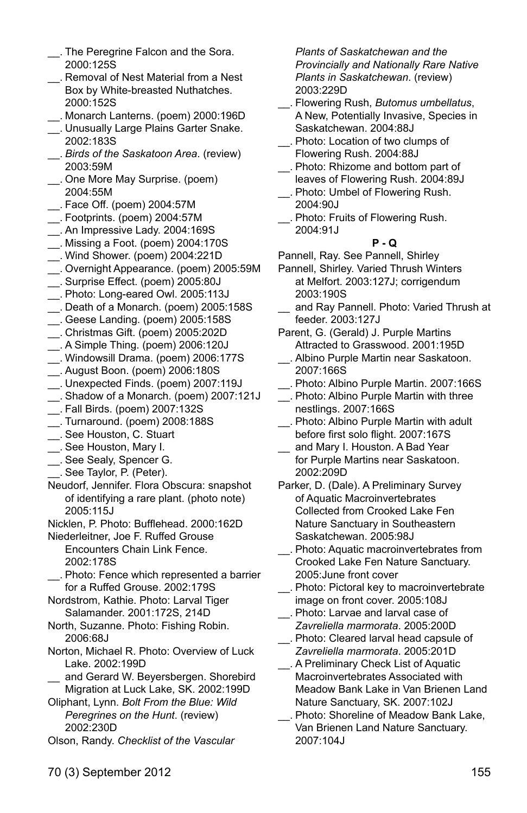- \_\_. The Peregrine Falcon and the Sora. 2000:125S
- \_\_. Removal of Nest Material from a Nest Box by White-breasted Nuthatches. 2000:152S
- \_\_. Monarch Lanterns. (poem) 2000:196D
- \_\_. Unusually Large Plains Garter Snake. 2002:183S
- \_\_. *Birds of the Saskatoon Area*. (review) 2003:59M
- \_\_. One More May Surprise. (poem) 2004:55M
- \_\_. Face Off. (poem) 2004:57M
- \_\_. Footprints. (poem) 2004:57M
- \_\_. An Impressive Lady. 2004:169S
- \_\_. Missing a Foot. (poem) 2004:170S
- \_\_. Wind Shower. (poem) 2004:221D
- \_\_. Overnight Appearance. (poem) 2005:59M
- \_\_. Surprise Effect. (poem) 2005:80J
- \_\_. Photo: Long-eared Owl. 2005:113J
- \_\_. Death of a Monarch. (poem) 2005:158S
- \_\_. Geese Landing. (poem) 2005:158S
- \_\_. Christmas Gift. (poem) 2005:202D \_\_. A Simple Thing. (poem) 2006:120J
- \_\_. Windowsill Drama. (poem) 2006:177S
- \_\_. August Boon. (poem) 2006:180S
- \_\_. Unexpected Finds. (poem) 2007:119J
- \_\_. Shadow of a Monarch. (poem) 2007:121J
- \_\_. Fall Birds. (poem) 2007:132S
- \_\_. Turnaround. (poem) 2008:188S
- \_\_. See Houston, C. Stuart
- \_\_. See Houston, Mary I.
- \_\_. See Sealy, Spencer G.
- \_\_. See Taylor, P. (Peter).
- Neudorf, Jennifer. Flora Obscura: snapshot of identifying a rare plant. (photo note) 2005:115J
- Nicklen, P. Photo: Bufflehead. 2000:162D
- Niederleitner, Joe F. Ruffed Grouse
	- Encounters Chain Link Fence. 2002:178S
- \_\_. Photo: Fence which represented a barrier for a Ruffed Grouse. 2002:179S
- Nordstrom, Kathie. Photo: Larval Tiger Salamander. 2001:172S, 214D
- North, Suzanne. Photo: Fishing Robin. 2006:68J
- Norton, Michael R. Photo: Overview of Luck Lake. 2002:199D
- and Gerard W. Beyersbergen. Shorebird Migration at Luck Lake, SK. 2002:199D
- Oliphant, Lynn. *Bolt From the Blue: Wild Peregrines on the Hunt*. (review) 2002:230D
- Olson, Randy. *Checklist of the Vascular*

*Plants of Saskatchewan and the Provincially and Nationally Rare Native Plants in Saskatchewan*. (review) 2003:229D

- \_\_. Flowering Rush, *Butomus umbellatus*, A New, Potentially Invasive, Species in Saskatchewan. 2004:88J
- \_\_. Photo: Location of two clumps of Flowering Rush. 2004:88J
- \_\_. Photo: Rhizome and bottom part of leaves of Flowering Rush. 2004:89J
- \_\_. Photo: Umbel of Flowering Rush. 2004:90J
- \_\_. Photo: Fruits of Flowering Rush. 2004:91J

# **P - Q**

Pannell, Ray. See Pannell, Shirley

- Pannell, Shirley. Varied Thrush Winters at Melfort. 2003:127J; corrigendum 2003:190S
- and Ray Pannell. Photo: Varied Thrush at feeder. 2003:127J
- Parent, G. (Gerald) J. Purple Martins Attracted to Grasswood. 2001:195D
- \_\_. Albino Purple Martin near Saskatoon. 2007:166S
- \_\_. Photo: Albino Purple Martin. 2007:166S
- \_\_. Photo: Albino Purple Martin with three nestlings. 2007:166S
- \_\_. Photo: Albino Purple Martin with adult before first solo flight. 2007:167S
- and Mary I. Houston. A Bad Year for Purple Martins near Saskatoon. 2002:209D
- Parker, D. (Dale). A Preliminary Survey of Aquatic Macroinvertebrates Collected from Crooked Lake Fen Nature Sanctuary in Southeastern Saskatchewan. 2005:98J
- \_\_. Photo: Aquatic macroinvertebrates from Crooked Lake Fen Nature Sanctuary. 2005:June front cover
- \_\_. Photo: Pictoral key to macroinvertebrate
- image on front cover. 2005:108J \_\_. Photo: Larvae and larval case of
- *Zavreliella marmorata*. 2005:200D \_\_. Photo: Cleared larval head capsule of
- *Zavreliella marmorata*. 2005:201D \_\_. A Preliminary Check List of Aquatic
- Macroinvertebrates Associated with Meadow Bank Lake in Van Brienen Land Nature Sanctuary, SK. 2007:102J
- \_\_. Photo: Shoreline of Meadow Bank Lake, Van Brienen Land Nature Sanctuary. 2007:104J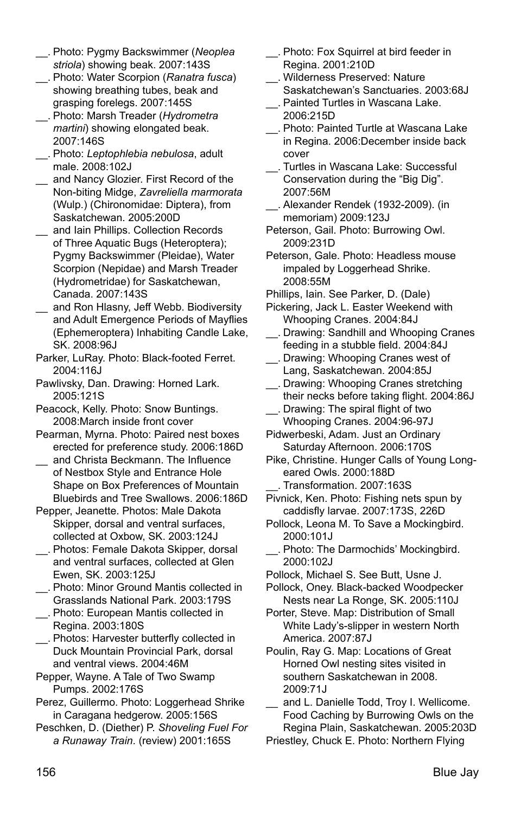- \_\_. Photo: Pygmy Backswimmer (*Neoplea striola*) showing beak. 2007:143S
- \_\_. Photo: Water Scorpion (*Ranatra fusca*) showing breathing tubes, beak and grasping forelegs. 2007:145S
- \_\_. Photo: Marsh Treader (*Hydrometra martini*) showing elongated beak. 2007:146S
- \_\_. Photo: *Leptophlebia nebulosa*, adult male. 2008:102J
- \_\_ and Nancy Glozier. First Record of the Non-biting Midge, *Zavreliella marmorata* (Wulp.) (Chironomidae: Diptera), from Saskatchewan. 2005:200D
- \_\_ and Iain Phillips. Collection Records of Three Aquatic Bugs (Heteroptera); Pygmy Backswimmer (Pleidae), Water Scorpion (Nepidae) and Marsh Treader (Hydrometridae) for Saskatchewan, Canada. 2007:143S
- \_\_ and Ron Hlasny, Jeff Webb. Biodiversity and Adult Emergence Periods of Mayflies (Ephemeroptera) Inhabiting Candle Lake, SK. 2008:96J
- Parker, LuRay. Photo: Black-footed Ferret. 2004:116J
- Pawlivsky, Dan. Drawing: Horned Lark. 2005:121S
- Peacock, Kelly. Photo: Snow Buntings. 2008:March inside front cover
- Pearman, Myrna. Photo: Paired nest boxes erected for preference study. 2006:186D
- and Christa Beckmann. The Influence of Nestbox Style and Entrance Hole Shape on Box Preferences of Mountain Bluebirds and Tree Swallows. 2006:186D
- Pepper, Jeanette. Photos: Male Dakota Skipper, dorsal and ventral surfaces, collected at Oxbow, SK. 2003:124J
- \_\_. Photos: Female Dakota Skipper, dorsal and ventral surfaces, collected at Glen Ewen, SK. 2003:125J
- \_\_. Photo: Minor Ground Mantis collected in Grasslands National Park. 2003:179S
- \_\_. Photo: European Mantis collected in Regina. 2003:180S
- \_\_. Photos: Harvester butterfly collected in Duck Mountain Provincial Park, dorsal and ventral views. 2004:46M
- Pepper, Wayne. A Tale of Two Swamp Pumps. 2002:176S
- Perez, Guillermo. Photo: Loggerhead Shrike in Caragana hedgerow. 2005:156S
- Peschken, D. (Diether) P. *Shoveling Fuel For a Runaway Train*. (review) 2001:165S
- Photo: Fox Squirrel at bird feeder in Regina. 2001:210D
- \_\_. Wilderness Preserved: Nature Saskatchewan's Sanctuaries. 2003:68J
- \_\_. Painted Turtles in Wascana Lake. 2006:215D
- \_\_. Photo: Painted Turtle at Wascana Lake in Regina. 2006:December inside back cover
- \_\_. Turtles in Wascana Lake: Successful Conservation during the "Big Dig". 2007:56M
- \_\_. Alexander Rendek (1932-2009). (in memoriam) 2009:123J
- Peterson, Gail. Photo: Burrowing Owl. 2009:231D
- Peterson, Gale. Photo: Headless mouse impaled by Loggerhead Shrike. 2008:55M
- Phillips, Iain. See Parker, D. (Dale)
- Pickering, Jack L. Easter Weekend with Whooping Cranes. 2004:84J
- \_\_. Drawing: Sandhill and Whooping Cranes feeding in a stubble field. 2004:84J
- \_\_. Drawing: Whooping Cranes west of Lang, Saskatchewan. 2004:85J
- \_\_. Drawing: Whooping Cranes stretching their necks before taking flight. 2004:86J
- \_\_. Drawing: The spiral flight of two Whooping Cranes. 2004:96-97J
- Pidwerbeski, Adam. Just an Ordinary Saturday Afternoon. 2006:170S
- Pike, Christine. Hunger Calls of Young Longeared Owls. 2000:188D
	- Transformation. 2007:163S
- Pivnick, Ken. Photo: Fishing nets spun by caddisfly larvae. 2007:173S, 226D
- Pollock, Leona M. To Save a Mockingbird. 2000:101J
- Photo: The Darmochids' Mockingbird. 2000:102J
- Pollock, Michael S. See Butt, Usne J.
- Pollock, Oney. Black-backed Woodpecker Nests near La Ronge, SK. 2005:110J
- Porter, Steve. Map: Distribution of Small White Lady's-slipper in western North America. 2007:87J
- Poulin, Ray G. Map: Locations of Great Horned Owl nesting sites visited in southern Saskatchewan in 2008. 2009:71J
- and L. Danielle Todd, Troy I. Wellicome. Food Caching by Burrowing Owls on the Regina Plain, Saskatchewan. 2005:203D
- Priestley, Chuck E. Photo: Northern Flying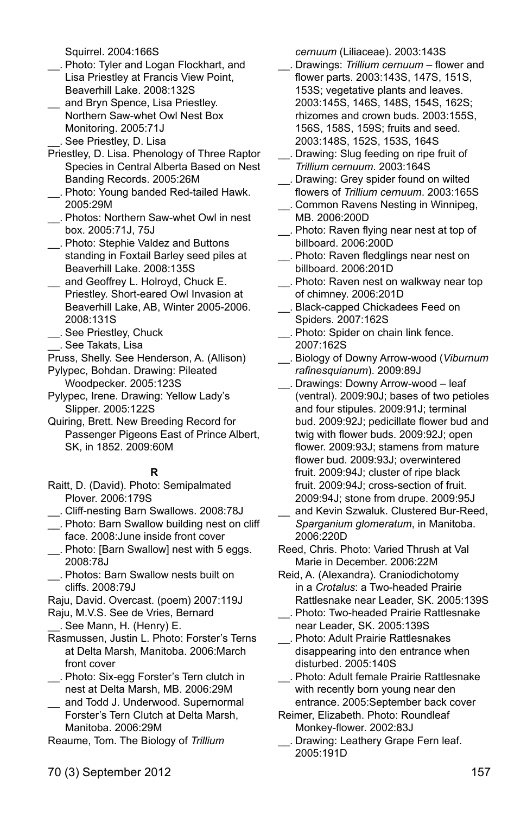Squirrel. 2004:166S

- \_\_. Photo: Tyler and Logan Flockhart, and Lisa Priestley at Francis View Point, Beaverhill Lake. 2008:132S
- \_\_ and Bryn Spence, Lisa Priestley. Northern Saw-whet Owl Nest Box Monitoring. 2005:71J \_\_. See Priestley, D. Lisa
- Priestley, D. Lisa. Phenology of Three Raptor Species in Central Alberta Based on Nest Banding Records. 2005:26M
- \_\_. Photo: Young banded Red-tailed Hawk. 2005:29M
- \_\_. Photos: Northern Saw-whet Owl in nest box. 2005:71J, 75J
- \_\_. Photo: Stephie Valdez and Buttons standing in Foxtail Barley seed piles at Beaverhill Lake. 2008:135S
- \_\_ and Geoffrey L. Holroyd, Chuck E. Priestley. Short-eared Owl Invasion at Beaverhill Lake, AB, Winter 2005-2006. 2008:131S
- \_\_. See Priestley, Chuck
- \_\_. See Takats, Lisa
- Pruss, Shelly. See Henderson, A. (Allison)

Pylypec, Bohdan. Drawing: Pileated Woodpecker. 2005:123S

- Pylypec, Irene. Drawing: Yellow Lady's Slipper. 2005:122S
- Quiring, Brett. New Breeding Record for Passenger Pigeons East of Prince Albert, SK, in 1852. 2009:60M

#### **R**

- Raitt, D. (David). Photo: Semipalmated Plover. 2006:179S
- \_\_. Cliff-nesting Barn Swallows. 2008:78J
- \_\_. Photo: Barn Swallow building nest on cliff face. 2008:June inside front cover
- \_\_. Photo: [Barn Swallow] nest with 5 eggs. 2008:78J
- \_\_. Photos: Barn Swallow nests built on cliffs. 2008:79J
- Raju, David. Overcast. (poem) 2007:119J
- Raju, M.V.S. See de Vries, Bernard \_\_. See Mann, H. (Henry) E.
- Rasmussen, Justin L. Photo: Forster's Terns at Delta Marsh, Manitoba. 2006:March front cover
- \_\_. Photo: Six-egg Forster's Tern clutch in nest at Delta Marsh, MB. 2006:29M
- \_\_ and Todd J. Underwood. Supernormal Forster's Tern Clutch at Delta Marsh, Manitoba. 2006:29M
- Reaume, Tom. The Biology of *Trillium*

*cernuum* (Liliaceae). 2003:143S

- \_\_. Drawings: *Trillium cernuum* flower and flower parts. 2003:143S, 147S, 151S, 153S; vegetative plants and leaves. 2003:145S, 146S, 148S, 154S, 162S; rhizomes and crown buds. 2003:155S, 156S, 158S, 159S; fruits and seed. 2003:148S, 152S, 153S, 164S
- \_\_. Drawing: Slug feeding on ripe fruit of *Trillium cernuum*. 2003:164S
- \_\_. Drawing: Grey spider found on wilted flowers of *Trillium cernuum*. 2003:165S
- \_\_. Common Ravens Nesting in Winnipeg, MB. 2006:200D
- \_\_. Photo: Raven flying near nest at top of billboard. 2006:200D
- \_\_. Photo: Raven fledglings near nest on billboard. 2006:201D
- \_\_. Photo: Raven nest on walkway near top of chimney. 2006:201D
- \_\_. Black-capped Chickadees Feed on Spiders. 2007:162S
- \_\_. Photo: Spider on chain link fence. 2007:162S
- \_\_. Biology of Downy Arrow-wood (*Viburnum rafinesquianum*). 2009:89J
- \_\_. Drawings: Downy Arrow-wood leaf (ventral). 2009:90J; bases of two petioles and four stipules. 2009:91J; terminal bud. 2009:92J; pedicillate flower bud and twig with flower buds. 2009:92J; open flower. 2009:93J; stamens from mature flower bud. 2009:93J; overwintered fruit. 2009:94J; cluster of ripe black fruit. 2009:94J; cross-section of fruit. 2009:94J; stone from drupe. 2009:95J
- and Kevin Szwaluk. Clustered Bur-Reed, *Sparganium glomeratum*, in Manitoba. 2006:220D
- Reed, Chris. Photo: Varied Thrush at Val Marie in December. 2006:22M
- Reid, A. (Alexandra). Craniodichotomy in a *Crotalus*: a Two-headed Prairie Rattlesnake near Leader, SK. 2005:139S
- \_\_. Photo: Two-headed Prairie Rattlesnake near Leader, SK. 2005:139S
- \_\_. Photo: Adult Prairie Rattlesnakes disappearing into den entrance when disturbed. 2005:140S
- \_\_. Photo: Adult female Prairie Rattlesnake with recently born young near den entrance. 2005:September back cover
- Reimer, Elizabeth. Photo: Roundleaf Monkey-flower. 2002:83J
- \_\_. Drawing: Leathery Grape Fern leaf. 2005:191D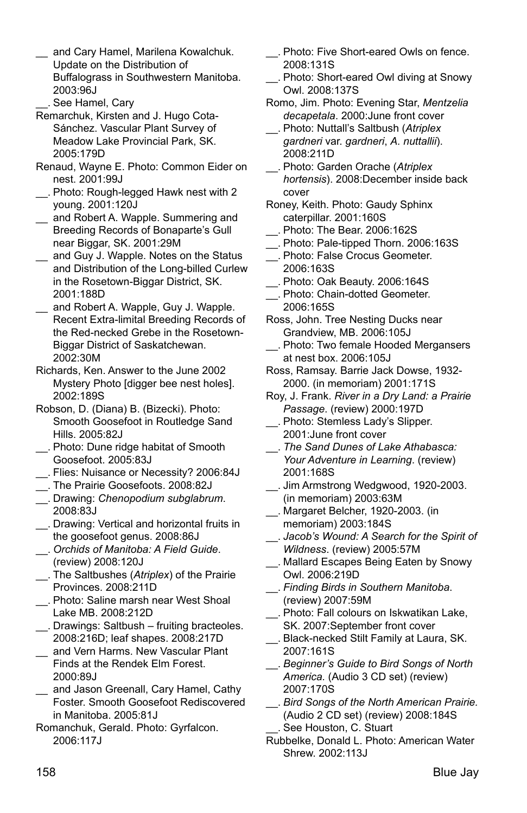- and Cary Hamel, Marilena Kowalchuk. Update on the Distribution of Buffalograss in Southwestern Manitoba. 2003:96J
- \_\_. See Hamel, Cary
- Remarchuk, Kirsten and J. Hugo Cota-Sánchez. Vascular Plant Survey of Meadow Lake Provincial Park, SK. 2005:179D
- Renaud, Wayne E. Photo: Common Eider on nest. 2001:99J
- \_\_. Photo: Rough-legged Hawk nest with 2 young. 2001:120J
- \_\_ and Robert A. Wapple. Summering and Breeding Records of Bonaparte's Gull near Biggar, SK. 2001:29M
- \_\_ and Guy J. Wapple. Notes on the Status and Distribution of the Long-billed Curlew in the Rosetown-Biggar District, SK. 2001:188D
- \_\_ and Robert A. Wapple, Guy J. Wapple. Recent Extra-limital Breeding Records of the Red-necked Grebe in the Rosetown-Biggar District of Saskatchewan. 2002:30M
- Richards, Ken. Answer to the June 2002 Mystery Photo [digger bee nest holes]. 2002:189S
- Robson, D. (Diana) B. (Bizecki). Photo: Smooth Goosefoot in Routledge Sand Hills. 2005:82J
- \_\_. Photo: Dune ridge habitat of Smooth Goosefoot. 2005:83J
- \_\_. Flies: Nuisance or Necessity? 2006:84J
- \_\_. The Prairie Goosefoots. 2008:82J
- \_\_. Drawing: *Chenopodium subglabrum*. 2008:83J
- \_\_. Drawing: Vertical and horizontal fruits in the goosefoot genus. 2008:86J
- \_\_. *Orchids of Manitoba: A Field Guide*. (review) 2008:120J
- \_\_. The Saltbushes (*Atriplex*) of the Prairie Provinces. 2008:211D
- \_\_. Photo: Saline marsh near West Shoal Lake MB. 2008:212D
- \_\_. Drawings: Saltbush fruiting bracteoles. 2008:216D; leaf shapes. 2008:217D
- and Vern Harms. New Vascular Plant Finds at the Rendek Elm Forest. 2000:89J
- \_\_ and Jason Greenall, Cary Hamel, Cathy Foster. Smooth Goosefoot Rediscovered in Manitoba. 2005:81J
- Romanchuk, Gerald. Photo: Gyrfalcon. 2006:117J
- \_\_. Photo: Five Short-eared Owls on fence. 2008:131S
- \_\_. Photo: Short-eared Owl diving at Snowy Owl. 2008:137S
- Romo, Jim. Photo: Evening Star, *Mentzelia decapetala*. 2000:June front cover
- \_\_. Photo: Nuttall's Saltbush (*Atriplex gardneri* var. *gardneri*, *A. nuttallii*). 2008:211D
- \_\_. Photo: Garden Orache (*Atriplex hortensis*). 2008:December inside back cover
- Roney, Keith. Photo: Gaudy Sphinx caterpillar. 2001:160S
- \_\_. Photo: The Bear. 2006:162S
- \_\_. Photo: Pale-tipped Thorn. 2006:163S
- \_\_. Photo: False Crocus Geometer. 2006:163S
- \_\_. Photo: Oak Beauty. 2006:164S
- \_\_. Photo: Chain-dotted Geometer. 2006:165S
- Ross, John. Tree Nesting Ducks near Grandview, MB. 2006:105J
- \_\_. Photo: Two female Hooded Mergansers at nest box. 2006:105J
- Ross, Ramsay. Barrie Jack Dowse, 1932- 2000. (in memoriam) 2001:171S
- Roy, J. Frank. *River in a Dry Land: a Prairie Passage*. (review) 2000:197D
- \_\_. Photo: Stemless Lady's Slipper. 2001:June front cover
- \_\_. *The Sand Dunes of Lake Athabasca: Your Adventure in Learning*. (review) 2001:168S
- \_\_. Jim Armstrong Wedgwood, 1920-2003. (in memoriam) 2003:63M
- \_\_. Margaret Belcher, 1920-2003. (in memoriam) 2003:184S
- \_\_. *Jacob's Wound: A Search for the Spirit of Wildness*. (review) 2005:57M
- \_\_. Mallard Escapes Being Eaten by Snowy Owl. 2006:219D
- \_\_. *Finding Birds in Southern Manitoba*. (review) 2007:59M
- \_\_. Photo: Fall colours on Iskwatikan Lake, SK. 2007:September front cover
- \_\_. Black-necked Stilt Family at Laura, SK. 2007:161S
- \_\_. *Beginner's Guide to Bird Songs of North America.* (Audio 3 CD set) (review) 2007:170S
- \_\_. *Bird Songs of the North American Prairie.* (Audio 2 CD set) (review) 2008:184S See Houston, C. Stuart
- Rubbelke, Donald L. Photo: American Water Shrew. 2002:113J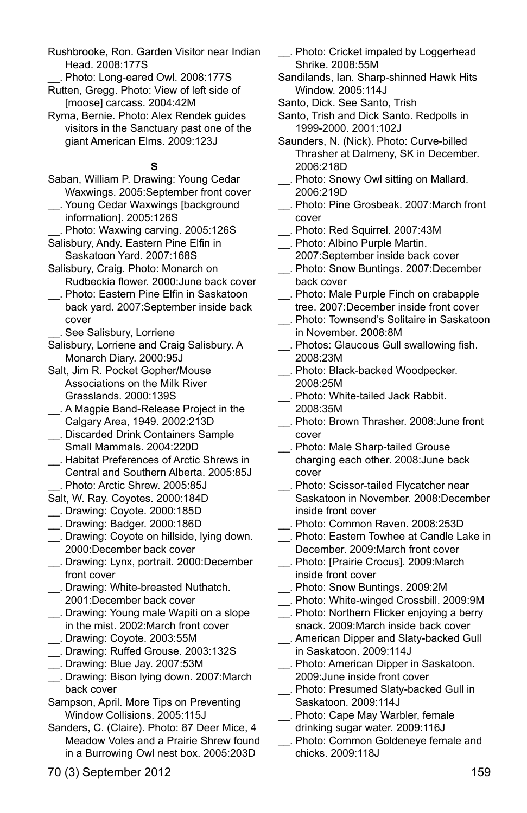- Rushbrooke, Ron. Garden Visitor near Indian Head. 2008:177S
- \_\_. Photo: Long-eared Owl. 2008:177S
- Rutten, Gregg. Photo: View of left side of [moose] carcass. 2004:42M
- Ryma, Bernie. Photo: Alex Rendek guides visitors in the Sanctuary past one of the giant American Elms. 2009:123J

#### **S**

- Saban, William P. Drawing: Young Cedar Waxwings. 2005:September front cover
- \_\_. Young Cedar Waxwings [background information]. 2005:126S
- \_\_. Photo: Waxwing carving. 2005:126S
- Salisbury, Andy. Eastern Pine Elfin in Saskatoon Yard. 2007:168S
- Salisbury, Craig. Photo: Monarch on Rudbeckia flower. 2000:June back cover
- \_\_. Photo: Eastern Pine Elfin in Saskatoon back yard. 2007:September inside back cover
	- \_\_. See Salisbury, Lorriene
- Salisbury, Lorriene and Craig Salisbury. A Monarch Diary. 2000:95J
- Salt, Jim R. Pocket Gopher/Mouse Associations on the Milk River Grasslands. 2000:139S
- \_\_. A Magpie Band-Release Project in the Calgary Area, 1949. 2002:213D
- \_\_. Discarded Drink Containers Sample Small Mammals. 2004:220D
- \_\_. Habitat Preferences of Arctic Shrews in Central and Southern Alberta. 2005:85J \_\_. Photo: Arctic Shrew. 2005:85J
- Salt, W. Ray. Coyotes. 2000:184D
- \_\_. Drawing: Coyote. 2000:185D
- \_\_. Drawing: Badger. 2000:186D
- \_\_. Drawing: Coyote on hillside, lying down. 2000:December back cover
- \_\_. Drawing: Lynx, portrait. 2000:December front cover
- \_\_. Drawing: White-breasted Nuthatch. 2001:December back cover
- \_\_. Drawing: Young male Wapiti on a slope in the mist. 2002:March front cover \_\_. Drawing: Coyote. 2003:55M
- \_\_. Drawing: Ruffed Grouse. 2003:132S
- \_\_. Drawing: Blue Jay. 2007:53M
- \_\_. Drawing: Bison lying down. 2007:March back cover
- Sampson, April. More Tips on Preventing Window Collisions. 2005:115J
- Sanders, C. (Claire). Photo: 87 Deer Mice, 4 Meadow Voles and a Prairie Shrew found in a Burrowing Owl nest box. 2005:203D
- \_\_. Photo: Cricket impaled by Loggerhead Shrike. 2008:55M
- Sandilands, Ian. Sharp-shinned Hawk Hits Window. 2005:114J
- Santo, Dick. See Santo, Trish
- Santo, Trish and Dick Santo. Redpolls in 1999-2000. 2001:102J
- Saunders, N. (Nick). Photo: Curve-billed Thrasher at Dalmeny, SK in December. 2006:218D
- \_\_. Photo: Snowy Owl sitting on Mallard. 2006:219D
- \_\_. Photo: Pine Grosbeak. 2007:March front cover
- \_\_. Photo: Red Squirrel. 2007:43M
- \_\_. Photo: Albino Purple Martin. 2007:September inside back cover \_\_. Photo: Snow Buntings. 2007:December
- back cover
- \_\_. Photo: Male Purple Finch on crabapple tree. 2007:December inside front cover
- \_\_. Photo: Townsend's Solitaire in Saskatoon in November. 2008:8M
- \_\_. Photos: Glaucous Gull swallowing fish. 2008:23M
- \_\_. Photo: Black-backed Woodpecker. 2008:25M
- \_\_. Photo: White-tailed Jack Rabbit. 2008:35M
- \_\_. Photo: Brown Thrasher. 2008:June front cover
- \_\_. Photo: Male Sharp-tailed Grouse charging each other. 2008:June back cover
- \_\_. Photo: Scissor-tailed Flycatcher near Saskatoon in November. 2008:December inside front cover
- \_\_. Photo: Common Raven. 2008:253D
- \_\_. Photo: Eastern Towhee at Candle Lake in December. 2009:March front cover
- \_\_. Photo: [Prairie Crocus]. 2009:March inside front cover
- \_\_. Photo: Snow Buntings. 2009:2M
- \_\_. Photo: White-winged Crossbill. 2009:9M
- \_\_. Photo: Northern Flicker enjoying a berry snack. 2009:March inside back cover
- \_\_. American Dipper and Slaty-backed Gull in Saskatoon. 2009:114J
- \_\_. Photo: American Dipper in Saskatoon. 2009:June inside front cover
- \_\_. Photo: Presumed Slaty-backed Gull in Saskatoon. 2009:114J
- \_\_. Photo: Cape May Warbler, female drinking sugar water. 2009:116J
- \_\_. Photo: Common Goldeneye female and chicks. 2009:118J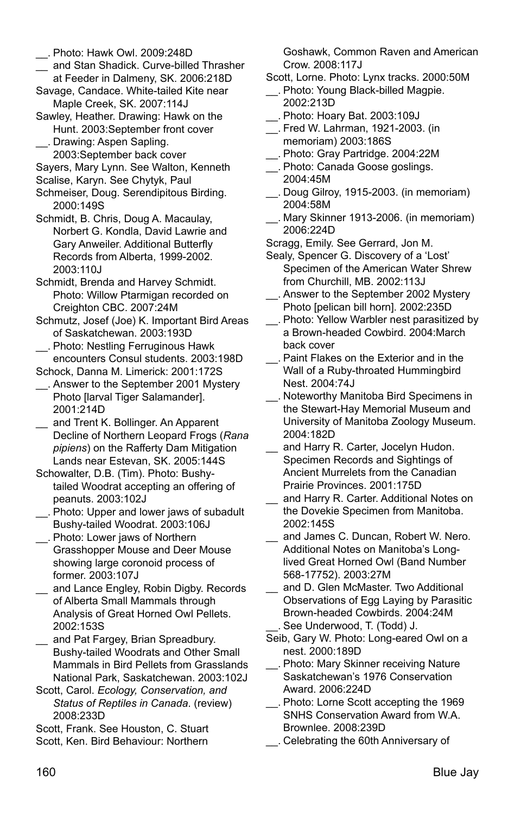- \_\_ and Stan Shadick. Curve-billed Thrasher at Feeder in Dalmeny, SK. 2006:218D
- Savage, Candace. White-tailed Kite near Maple Creek, SK. 2007:114J
- Sawley, Heather. Drawing: Hawk on the Hunt. 2003:September front cover
- \_\_. Drawing: Aspen Sapling. 2003:September back cover

Sayers, Mary Lynn. See Walton, Kenneth

Scalise, Karyn. See Chytyk, Paul

- Schmeiser, Doug. Serendipitous Birding. 2000:149S
- Schmidt, B. Chris, Doug A. Macaulay, Norbert G. Kondla, David Lawrie and Gary Anweiler. Additional Butterfly Records from Alberta, 1999-2002. 2003:110J
- Schmidt, Brenda and Harvey Schmidt. Photo: Willow Ptarmigan recorded on Creighton CBC. 2007:24M
- Schmutz, Josef (Joe) K. Important Bird Areas of Saskatchewan. 2003:193D
- \_\_. Photo: Nestling Ferruginous Hawk encounters Consul students. 2003:198D
- Schock, Danna M. Limerick: 2001:172S
- \_\_. Answer to the September 2001 Mystery Photo [larval Tiger Salamander]. 2001:214D
- and Trent K. Bollinger. An Apparent Decline of Northern Leopard Frogs (*Rana pipiens*) on the Rafferty Dam Mitigation Lands near Estevan, SK. 2005:144S
- Schowalter, D.B. (Tim). Photo: Bushytailed Woodrat accepting an offering of peanuts. 2003:102J
- \_\_. Photo: Upper and lower jaws of subadult Bushy-tailed Woodrat. 2003:106J \_\_. Photo: Lower jaws of Northern
- Grasshopper Mouse and Deer Mouse showing large coronoid process of former. 2003:107J
- \_\_ and Lance Engley, Robin Digby. Records of Alberta Small Mammals through Analysis of Great Horned Owl Pellets. 2002:153S
- and Pat Fargey, Brian Spreadbury. Bushy-tailed Woodrats and Other Small Mammals in Bird Pellets from Grasslands National Park, Saskatchewan. 2003:102J
- Scott, Carol. *Ecology, Conservation, and Status of Reptiles in Canada*. (review) 2008:233D

Scott, Frank. See Houston, C. Stuart Scott, Ken. Bird Behaviour: Northern

Goshawk, Common Raven and American Crow. 2008:117J

- Scott, Lorne. Photo: Lynx tracks. 2000:50M
- \_\_. Photo: Young Black-billed Magpie. 2002:213D
- \_\_. Photo: Hoary Bat. 2003:109J
- \_\_. Fred W. Lahrman, 1921-2003. (in memoriam) 2003:186S
- \_\_. Photo: Gray Partridge. 2004:22M
- \_\_. Photo: Canada Goose goslings. 2004:45M
- \_\_. Doug Gilroy, 1915-2003. (in memoriam) 2004:58M
- \_\_. Mary Skinner 1913-2006. (in memoriam) 2006:224D
- Scragg, Emily. See Gerrard, Jon M.
- Sealy, Spencer G. Discovery of a 'Lost' Specimen of the American Water Shrew from Churchill, MB. 2002:113J
- \_\_. Answer to the September 2002 Mystery Photo [pelican bill horn]. 2002:235D
- \_\_. Photo: Yellow Warbler nest parasitized by a Brown-headed Cowbird. 2004:March back cover
- \_\_. Paint Flakes on the Exterior and in the Wall of a Ruby-throated Hummingbird Nest. 2004:74J
- \_\_. Noteworthy Manitoba Bird Specimens in the Stewart-Hay Memorial Museum and University of Manitoba Zoology Museum. 2004:182D
- and Harry R. Carter, Jocelyn Hudon. Specimen Records and Sightings of Ancient Murrelets from the Canadian Prairie Provinces. 2001:175D
- and Harry R. Carter. Additional Notes on the Dovekie Specimen from Manitoba. 2002:145S
- \_\_ and James C. Duncan, Robert W. Nero. Additional Notes on Manitoba's Longlived Great Horned Owl (Band Number 568-17752). 2003:27M
- and D. Glen McMaster. Two Additional Observations of Egg Laying by Parasitic Brown-headed Cowbirds. 2004:24M See Underwood, T. (Todd) J.
- Seib, Gary W. Photo: Long-eared Owl on a nest. 2000:189D
- \_\_. Photo: Mary Skinner receiving Nature Saskatchewan's 1976 Conservation Award. 2006:224D
- Photo: Lorne Scott accepting the 1969 SNHS Conservation Award from W.A. Brownlee. 2008:239D
- \_\_. Celebrating the 60th Anniversary of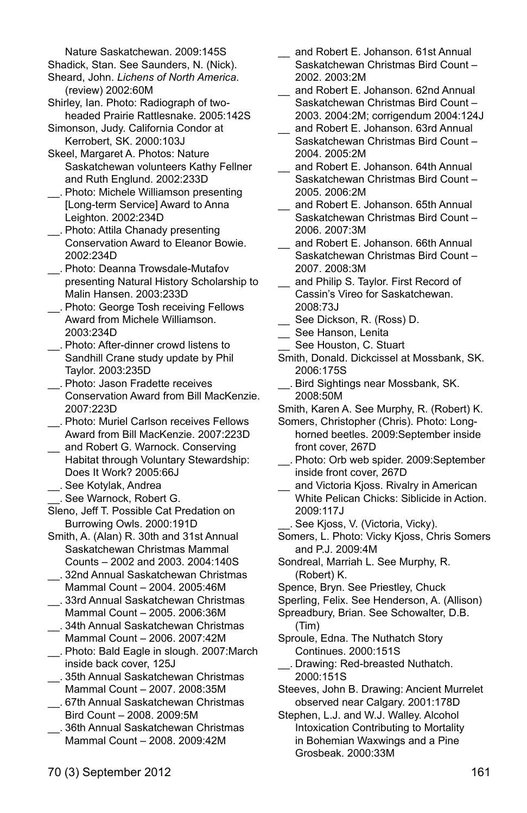Nature Saskatchewan. 2009:145S

- Shadick, Stan. See Saunders, N. (Nick). Sheard, John. *Lichens of North America*. (review) 2002:60M
- Shirley, Ian. Photo: Radiograph of twoheaded Prairie Rattlesnake. 2005:142S
- Simonson, Judy. California Condor at Kerrobert, SK. 2000:103J
- Skeel, Margaret A. Photos: Nature Saskatchewan volunteers Kathy Fellner and Ruth Englund. 2002:233D
- \_\_. Photo: Michele Williamson presenting [Long-term Service] Award to Anna Leighton. 2002:234D
- \_\_. Photo: Attila Chanady presenting Conservation Award to Eleanor Bowie. 2002:234D
- \_\_. Photo: Deanna Trowsdale-Mutafov presenting Natural History Scholarship to Malin Hansen. 2003:233D
- \_\_. Photo: George Tosh receiving Fellows Award from Michele Williamson. 2003:234D
- \_\_. Photo: After-dinner crowd listens to Sandhill Crane study update by Phil Taylor. 2003:235D
- \_\_. Photo: Jason Fradette receives Conservation Award from Bill MacKenzie. 2007:223D
- \_\_. Photo: Muriel Carlson receives Fellows Award from Bill MacKenzie. 2007:223D
- \_\_ and Robert G. Warnock. Conserving Habitat through Voluntary Stewardship: Does It Work? 2005:66J
- \_\_. See Kotylak, Andrea
- \_\_. See Warnock, Robert G.
- Sleno, Jeff T. Possible Cat Predation on Burrowing Owls. 2000:191D
- Smith, A. (Alan) R. 30th and 31st Annual Saskatchewan Christmas Mammal Counts – 2002 and 2003. 2004:140S
- \_\_. 32nd Annual Saskatchewan Christmas Mammal Count – 2004. 2005:46M
- \_\_. 33rd Annual Saskatchewan Christmas Mammal Count – 2005. 2006:36M
- \_\_. 34th Annual Saskatchewan Christmas Mammal Count – 2006. 2007:42M
- \_\_. Photo: Bald Eagle in slough. 2007:March inside back cover, 125J
- \_\_. 35th Annual Saskatchewan Christmas Mammal Count – 2007. 2008:35M
- \_\_. 67th Annual Saskatchewan Christmas Bird Count – 2008. 2009:5M
- \_\_. 36th Annual Saskatchewan Christmas Mammal Count – 2008. 2009:42M
- and Robert E. Johanson. 61st Annual Saskatchewan Christmas Bird Count – 2002. 2003:2M
- \_\_ and Robert E. Johanson. 62nd Annual Saskatchewan Christmas Bird Count – 2003. 2004:2M; corrigendum 2004:124J
- and Robert E. Johanson. 63rd Annual Saskatchewan Christmas Bird Count – 2004. 2005:2M
- and Robert E. Johanson. 64th Annual Saskatchewan Christmas Bird Count – 2005. 2006:2M
- \_\_ and Robert E. Johanson. 65th Annual Saskatchewan Christmas Bird Count – 2006. 2007:3M
- \_\_ and Robert E. Johanson. 66th Annual Saskatchewan Christmas Bird Count – 2007. 2008:3M
- \_\_ and Philip S. Taylor. First Record of Cassin's Vireo for Saskatchewan. 2008:73J
- \_\_ See Dickson, R. (Ross) D.
- See Hanson, Lenita
- See Houston, C. Stuart
- Smith, Donald. Dickcissel at Mossbank, SK. 2006:175S
- \_\_. Bird Sightings near Mossbank, SK. 2008:50M
- Smith, Karen A. See Murphy, R. (Robert) K.
- Somers, Christopher (Chris). Photo: Longhorned beetles. 2009:September inside front cover, 267D
- \_\_. Photo: Orb web spider. 2009:September inside front cover, 267D
- and Victoria Kjoss. Rivalry in American White Pelican Chicks: Siblicide in Action. 2009:117J
- \_\_. See Kjoss, V. (Victoria, Vicky).
- Somers, L. Photo: Vicky Kjoss, Chris Somers and P.J. 2009:4M
- Sondreal, Marriah L. See Murphy, R. (Robert) K.
- Spence, Bryn. See Priestley, Chuck
- Sperling, Felix. See Henderson, A. (Allison)
- Spreadbury, Brian. See Schowalter, D.B. (Tim)
- Sproule, Edna. The Nuthatch Story Continues. 2000:151S
- \_\_. Drawing: Red-breasted Nuthatch. 2000:151S
- Steeves, John B. Drawing: Ancient Murrelet observed near Calgary. 2001:178D

Stephen, L.J. and W.J. Walley. Alcohol Intoxication Contributing to Mortality in Bohemian Waxwings and a Pine Grosbeak. 2000:33M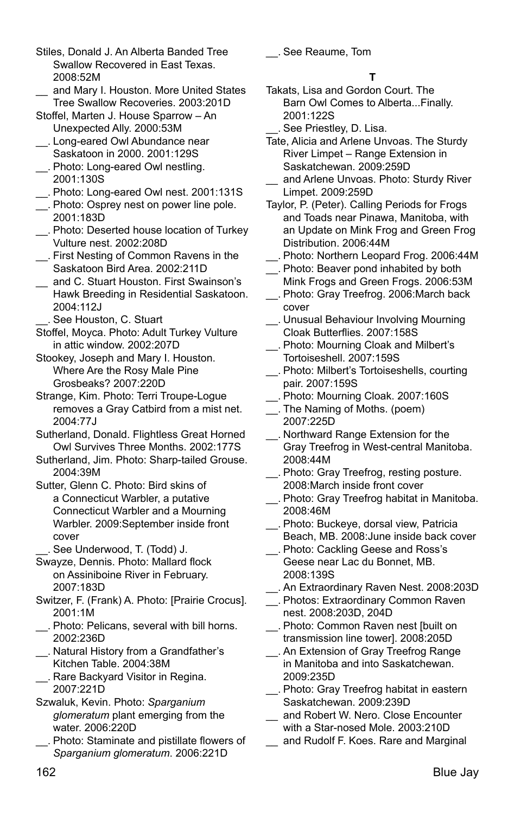- Stiles, Donald J. An Alberta Banded Tree Swallow Recovered in East Texas. 2008:52M
- \_\_ and Mary I. Houston. More United States Tree Swallow Recoveries. 2003:201D
- Stoffel, Marten J. House Sparrow An Unexpected Ally. 2000:53M
- \_\_. Long-eared Owl Abundance near Saskatoon in 2000. 2001:129S
- \_\_. Photo: Long-eared Owl nestling. 2001:130S
- \_\_. Photo: Long-eared Owl nest. 2001:131S
- \_\_. Photo: Osprey nest on power line pole. 2001:183D
- \_\_. Photo: Deserted house location of Turkey Vulture nest. 2002:208D
- \_\_. First Nesting of Common Ravens in the Saskatoon Bird Area. 2002:211D
- \_\_ and C. Stuart Houston. First Swainson's Hawk Breeding in Residential Saskatoon. 2004:112J
	- \_\_. See Houston, C. Stuart
- Stoffel, Moyca. Photo: Adult Turkey Vulture in attic window. 2002:207D
- Stookey, Joseph and Mary I. Houston. Where Are the Rosy Male Pine Grosbeaks? 2007:220D
- Strange, Kim. Photo: Terri Troupe-Logue removes a Gray Catbird from a mist net. 2004:77J
- Sutherland, Donald. Flightless Great Horned Owl Survives Three Months. 2002:177S
- Sutherland, Jim. Photo: Sharp-tailed Grouse. 2004:39M
- Sutter, Glenn C. Photo: Bird skins of a Connecticut Warbler, a putative Connecticut Warbler and a Mourning Warbler. 2009:September inside front cover
- \_\_. See Underwood, T. (Todd) J.
- Swayze, Dennis. Photo: Mallard flock on Assiniboine River in February. 2007:183D
- Switzer, F. (Frank) A. Photo: [Prairie Crocus]. 2001:1M
- \_\_. Photo: Pelicans, several with bill horns. 2002:236D
- \_\_. Natural History from a Grandfather's Kitchen Table. 2004:38M
- \_\_. Rare Backyard Visitor in Regina. 2007:221D
- Szwaluk, Kevin. Photo: *Sparganium glomeratum* plant emerging from the water. 2006:220D
- \_\_. Photo: Staminate and pistillate flowers of *Sparganium glomeratum*. 2006:221D

\_\_. See Reaume, Tom

# **T**

- Takats, Lisa and Gordon Court. The Barn Owl Comes to Alberta...Finally. 2001:122S
- \_\_. See Priestley, D. Lisa.
- Tate, Alicia and Arlene Unvoas. The Sturdy River Limpet – Range Extension in Saskatchewan. 2009:259D
- and Arlene Unvoas. Photo: Sturdy River Limpet. 2009:259D
- Taylor, P. (Peter). Calling Periods for Frogs and Toads near Pinawa, Manitoba, with an Update on Mink Frog and Green Frog Distribution. 2006:44M
- \_\_. Photo: Northern Leopard Frog. 2006:44M \_\_. Photo: Beaver pond inhabited by both
- Mink Frogs and Green Frogs. 2006:53M \_\_. Photo: Gray Treefrog. 2006:March back
- cover
- \_\_. Unusual Behaviour Involving Mourning Cloak Butterflies. 2007:158S
- \_\_. Photo: Mourning Cloak and Milbert's Tortoiseshell. 2007:159S
- \_\_. Photo: Milbert's Tortoiseshells, courting pair. 2007:159S
- \_\_. Photo: Mourning Cloak. 2007:160S
- \_\_. The Naming of Moths. (poem) 2007:225D
- \_\_. Northward Range Extension for the Gray Treefrog in West-central Manitoba. 2008:44M
- \_\_. Photo: Gray Treefrog, resting posture. 2008:March inside front cover
- \_\_. Photo: Gray Treefrog habitat in Manitoba. 2008:46M
- \_\_. Photo: Buckeye, dorsal view, Patricia Beach, MB. 2008:June inside back cover
- \_\_. Photo: Cackling Geese and Ross's Geese near Lac du Bonnet, MB. 2008:139S
- \_\_. An Extraordinary Raven Nest. 2008:203D
- \_\_. Photos: Extraordinary Common Raven nest. 2008:203D, 204D
- \_\_. Photo: Common Raven nest [built on transmission line tower]. 2008:205D
- \_\_. An Extension of Gray Treefrog Range in Manitoba and into Saskatchewan. 2009:235D
- \_\_. Photo: Gray Treefrog habitat in eastern Saskatchewan. 2009:239D
- and Robert W. Nero. Close Encounter with a Star-nosed Mole. 2003:210D and Rudolf F. Koes. Rare and Marginal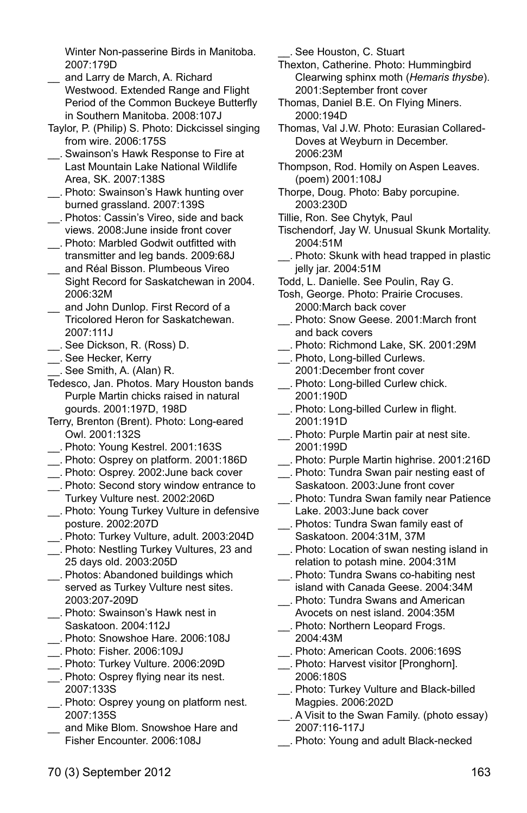Winter Non-passerine Birds in Manitoba. 2007:179D

- and Larry de March, A. Richard Westwood. Extended Range and Flight Period of the Common Buckeye Butterfly in Southern Manitoba. 2008:107J
- Taylor, P. (Philip) S. Photo: Dickcissel singing from wire. 2006:175S
- \_\_. Swainson's Hawk Response to Fire at Last Mountain Lake National Wildlife Area, SK. 2007:138S
- \_\_. Photo: Swainson's Hawk hunting over burned grassland. 2007:139S
- \_\_. Photos: Cassin's Vireo, side and back views. 2008:June inside front cover
- \_\_. Photo: Marbled Godwit outfitted with transmitter and leg bands. 2009:68J
- \_\_ and Réal Bisson. Plumbeous Vireo Sight Record for Saskatchewan in 2004. 2006:32M
- \_\_ and John Dunlop. First Record of a Tricolored Heron for Saskatchewan. 2007:111J
- \_\_. See Dickson, R. (Ross) D.
- \_\_. See Hecker, Kerry
- \_\_. See Smith, A. (Alan) R.
- Tedesco, Jan. Photos. Mary Houston bands Purple Martin chicks raised in natural gourds. 2001:197D, 198D
- Terry, Brenton (Brent). Photo: Long-eared Owl. 2001:132S
- \_\_. Photo: Young Kestrel. 2001:163S
- \_\_. Photo: Osprey on platform. 2001:186D
- \_\_. Photo: Osprey. 2002:June back cover
- \_\_. Photo: Second story window entrance to Turkey Vulture nest. 2002:206D
- \_\_. Photo: Young Turkey Vulture in defensive posture. 2002:207D
- \_\_. Photo: Turkey Vulture, adult. 2003:204D
- \_\_. Photo: Nestling Turkey Vultures, 23 and 25 days old. 2003:205D
- \_\_. Photos: Abandoned buildings which served as Turkey Vulture nest sites. 2003:207-209D
- \_\_. Photo: Swainson's Hawk nest in Saskatoon. 2004:112J
- \_\_. Photo: Snowshoe Hare. 2006:108J
- \_\_. Photo: Fisher. 2006:109J
- \_\_. Photo: Turkey Vulture. 2006:209D
- \_\_. Photo: Osprey flying near its nest. 2007:133S
- \_\_. Photo: Osprey young on platform nest. 2007:135S
- and Mike Blom. Snowshoe Hare and Fisher Encounter. 2006:108J

\_\_. See Houston, C. Stuart

Thexton, Catherine. Photo: Hummingbird Clearwing sphinx moth (*Hemaris thysbe*). 2001:September front cover

- Thomas, Daniel B.E. On Flying Miners. 2000:194D
- Thomas, Val J.W. Photo: Eurasian Collared-Doves at Weyburn in December. 2006:23M
- Thompson, Rod. Homily on Aspen Leaves. (poem) 2001:108J
- Thorpe, Doug. Photo: Baby porcupine. 2003:230D
- Tillie, Ron. See Chytyk, Paul
- Tischendorf, Jay W. Unusual Skunk Mortality. 2004:51M
- \_\_. Photo: Skunk with head trapped in plastic jelly jar. 2004:51M
- Todd, L. Danielle. See Poulin, Ray G.
- Tosh, George. Photo: Prairie Crocuses. 2000:March back cover
- \_\_. Photo: Snow Geese. 2001:March front and back covers
- \_\_. Photo: Richmond Lake, SK. 2001:29M
- \_\_. Photo, Long-billed Curlews. 2001:December front cover
- \_\_. Photo: Long-billed Curlew chick. 2001:190D
- \_\_. Photo: Long-billed Curlew in flight. 2001:191D
- \_\_. Photo: Purple Martin pair at nest site. 2001:199D
- \_\_. Photo: Purple Martin highrise. 2001:216D
- \_\_. Photo: Tundra Swan pair nesting east of Saskatoon. 2003:June front cover
- \_\_. Photo: Tundra Swan family near Patience Lake. 2003:June back cover
- \_\_. Photos: Tundra Swan family east of Saskatoon. 2004:31M, 37M
- \_\_. Photo: Location of swan nesting island in relation to potash mine. 2004:31M
- \_\_. Photo: Tundra Swans co-habiting nest island with Canada Geese. 2004:34M
- \_\_. Photo: Tundra Swans and American Avocets on nest island. 2004:35M
- \_\_. Photo: Northern Leopard Frogs. 2004:43M
- \_\_. Photo: American Coots. 2006:169S
- \_\_. Photo: Harvest visitor [Pronghorn]. 2006:180S
- \_\_. Photo: Turkey Vulture and Black-billed Magpies. 2006:202D
- \_\_. A Visit to the Swan Family. (photo essay) 2007:116-117J
- \_\_. Photo: Young and adult Black-necked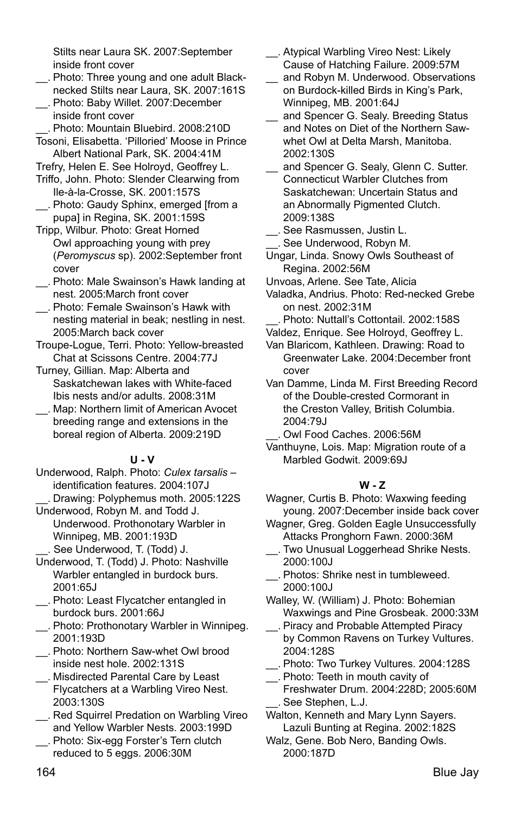Stilts near Laura SK. 2007:September inside front cover

- \_\_. Photo: Three young and one adult Blacknecked Stilts near Laura, SK. 2007:161S
- \_\_. Photo: Baby Willet. 2007:December inside front cover
- \_\_. Photo: Mountain Bluebird. 2008:210D Tosoni, Elisabetta. 'Pilloried' Moose in Prince Albert National Park, SK. 2004:41M

Trefry, Helen E. See Holroyd, Geoffrey L.

- Triffo, John. Photo: Slender Clearwing from Ile-à-la-Crosse, SK. 2001:157S
- \_\_. Photo: Gaudy Sphinx, emerged [from a pupa] in Regina, SK. 2001:159S
- Tripp, Wilbur. Photo: Great Horned Owl approaching young with prey (*Peromyscus* sp). 2002:September front cover
- \_\_. Photo: Male Swainson's Hawk landing at nest. 2005:March front cover
- \_\_. Photo: Female Swainson's Hawk with nesting material in beak; nestling in nest. 2005:March back cover
- Troupe-Logue, Terri. Photo: Yellow-breasted Chat at Scissons Centre. 2004:77J
- Turney, Gillian. Map: Alberta and Saskatchewan lakes with White-faced Ibis nests and/or adults. 2008:31M
- \_\_. Map: Northern limit of American Avocet breeding range and extensions in the boreal region of Alberta. 2009:219D

# **U - V**

- Underwood, Ralph. Photo: *Culex tarsalis*  identification features. 2004:107J
- \_\_. Drawing: Polyphemus moth. 2005:122S Underwood, Robyn M. and Todd J. Underwood. Prothonotary Warbler in Winnipeg, MB. 2001:193D
- \_\_. See Underwood, T. (Todd) J.
- Underwood, T. (Todd) J. Photo: Nashville Warbler entangled in burdock burs. 2001:65J
- \_\_. Photo: Least Flycatcher entangled in burdock burs. 2001:66J
- \_\_. Photo: Prothonotary Warbler in Winnipeg. 2001:193D
- \_\_. Photo: Northern Saw-whet Owl brood inside nest hole. 2002:131S
- \_\_. Misdirected Parental Care by Least Flycatchers at a Warbling Vireo Nest. 2003:130S
- \_\_. Red Squirrel Predation on Warbling Vireo and Yellow Warbler Nests. 2003:199D
- \_\_. Photo: Six-egg Forster's Tern clutch reduced to 5 eggs. 2006:30M
- \_\_. Atypical Warbling Vireo Nest: Likely Cause of Hatching Failure. 2009:57M
- and Robyn M. Underwood. Observations on Burdock-killed Birds in King's Park, Winnipeg, MB. 2001:64J
- and Spencer G. Sealy. Breeding Status and Notes on Diet of the Northern Sawwhet Owl at Delta Marsh, Manitoba. 2002:130S
- and Spencer G. Sealy, Glenn C. Sutter. Connecticut Warbler Clutches from Saskatchewan: Uncertain Status and an Abnormally Pigmented Clutch. 2009:138S
- \_\_. See Rasmussen, Justin L. \_\_. See Underwood, Robyn M.
- Ungar, Linda. Snowy Owls Southeast of Regina. 2002:56M
- Unvoas, Arlene. See Tate, Alicia
- Valadka, Andrius. Photo: Red-necked Grebe on nest. 2002:31M
- Photo: Nuttall's Cottontail. 2002:158S
- Valdez, Enrique. See Holroyd, Geoffrey L. Van Blaricom, Kathleen. Drawing: Road to
- Greenwater Lake. 2004:December front cover
- Van Damme, Linda M. First Breeding Record of the Double-crested Cormorant in the Creston Valley, British Columbia. 2004:79J
	- \_\_. Owl Food Caches. 2006:56M
- Vanthuyne, Lois. Map: Migration route of a Marbled Godwit. 2009:69J

# **W - Z**

- Wagner, Curtis B. Photo: Waxwing feeding young. 2007:December inside back cover
- Wagner, Greg. Golden Eagle Unsuccessfully Attacks Pronghorn Fawn. 2000:36M
- \_\_. Two Unusual Loggerhead Shrike Nests. 2000:100J
- \_\_. Photos: Shrike nest in tumbleweed. 2000:100J
- Walley, W. (William) J. Photo: Bohemian Waxwings and Pine Grosbeak. 2000:33M
- Piracy and Probable Attempted Piracy by Common Ravens on Turkey Vultures. 2004:128S
- \_\_. Photo: Two Turkey Vultures. 2004:128S
- \_\_. Photo: Teeth in mouth cavity of Freshwater Drum. 2004:228D; 2005:60M See Stephen, L.J.
- Walton, Kenneth and Mary Lynn Sayers. Lazuli Bunting at Regina. 2002:182S
- Walz, Gene. Bob Nero, Banding Owls. 2000:187D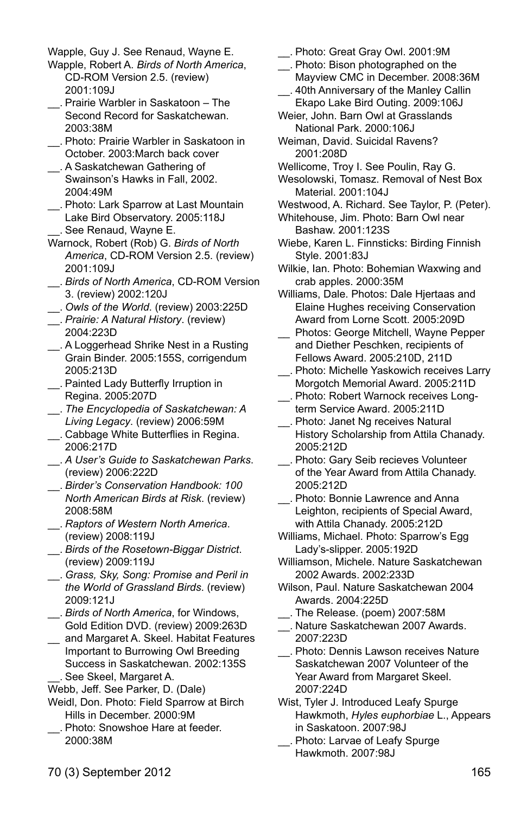Wapple, Guy J. See Renaud, Wayne E.

- Wapple, Robert A. *Birds of North America*, CD-ROM Version 2.5. (review) 2001:109J
- \_\_. Prairie Warbler in Saskatoon The Second Record for Saskatchewan. 2003:38M
- \_\_. Photo: Prairie Warbler in Saskatoon in October. 2003:March back cover
- \_\_. A Saskatchewan Gathering of Swainson's Hawks in Fall, 2002. 2004:49M
- \_\_. Photo: Lark Sparrow at Last Mountain Lake Bird Observatory. 2005:118J \_\_. See Renaud, Wayne E.
- Warnock, Robert (Rob) G. *Birds of North America*, CD-ROM Version 2.5. (review) 2001:109J
- \_\_. *Birds of North America*, CD-ROM Version 3. (review) 2002:120J
- \_\_. *Owls of the World*. (review) 2003:225D
- \_\_. *Prairie: A Natural History*. (review) 2004:223D
- \_\_. A Loggerhead Shrike Nest in a Rusting Grain Binder. 2005:155S, corrigendum 2005:213D
- \_\_. Painted Lady Butterfly Irruption in Regina. 2005:207D
- \_\_. *The Encyclopedia of Saskatchewan: A Living Legacy*. (review) 2006:59M
- \_\_. Cabbage White Butterflies in Regina. 2006:217D
- \_\_. *A User's Guide to Saskatchewan Parks*. (review) 2006:222D
- \_\_. *Birder's Conservation Handbook: 100 North American Birds at Risk*. (review) 2008:58M
- \_\_. *Raptors of Western North America*. (review) 2008:119J
- \_\_. *Birds of the Rosetown-Biggar District*. (review) 2009:119J
- \_\_. *Grass, Sky, Song: Promise and Peril in the World of Grassland Birds*. (review) 2009:121J
- \_\_. *Birds of North America*, for Windows, Gold Edition DVD. (review) 2009:263D
- \_\_ and Margaret A. Skeel. Habitat Features Important to Burrowing Owl Breeding Success in Saskatchewan. 2002:135S \_\_. See Skeel, Margaret A.
- Webb, Jeff. See Parker, D. (Dale)
- Weidl, Don. Photo: Field Sparrow at Birch Hills in December. 2000:9M
- \_\_. Photo: Snowshoe Hare at feeder. 2000:38M
- \_\_. Photo: Great Gray Owl. 2001:9M
- \_\_. Photo: Bison photographed on the Mayview CMC in December. 2008:36M
- \_\_. 40th Anniversary of the Manley Callin Ekapo Lake Bird Outing. 2009:106J
- Weier, John. Barn Owl at Grasslands National Park. 2000:106J
- Weiman, David. Suicidal Ravens? 2001:208D
- Wellicome, Troy I. See Poulin, Ray G.
- Wesolowski, Tomasz. Removal of Nest Box Material. 2001:104J
- Westwood, A. Richard. See Taylor, P. (Peter).
- Whitehouse, Jim. Photo: Barn Owl near Bashaw. 2001:123S
- Wiebe, Karen L. Finnsticks: Birding Finnish Style. 2001:83J
- Wilkie, Ian. Photo: Bohemian Waxwing and crab apples. 2000:35M
- Williams, Dale. Photos: Dale Hjertaas and Elaine Hughes receiving Conservation Award from Lorne Scott. 2005:209D
- \_\_ Photos: George Mitchell, Wayne Pepper and Diether Peschken, recipients of Fellows Award. 2005:210D, 211D
- \_\_. Photo: Michelle Yaskowich receives Larry Morgotch Memorial Award. 2005:211D
- \_\_. Photo: Robert Warnock receives Longterm Service Award. 2005:211D
- \_\_. Photo: Janet Ng receives Natural History Scholarship from Attila Chanady. 2005:212D
- \_\_. Photo: Gary Seib recieves Volunteer of the Year Award from Attila Chanady. 2005:212D
- \_\_. Photo: Bonnie Lawrence and Anna Leighton, recipients of Special Award, with Attila Chanady. 2005:212D
- Williams, Michael. Photo: Sparrow's Egg Lady's-slipper. 2005:192D
- Williamson, Michele. Nature Saskatchewan 2002 Awards. 2002:233D
- Wilson, Paul. Nature Saskatchewan 2004 Awards. 2004:225D
- \_\_. The Release. (poem) 2007:58M
- \_\_. Nature Saskatchewan 2007 Awards. 2007:223D
- \_\_. Photo: Dennis Lawson receives Nature Saskatchewan 2007 Volunteer of the Year Award from Margaret Skeel. 2007:224D
- Wist, Tyler J. Introduced Leafy Spurge Hawkmoth, *Hyles euphorbiae* L., Appears in Saskatoon. 2007:98J
- \_\_. Photo: Larvae of Leafy Spurge Hawkmoth. 2007:98J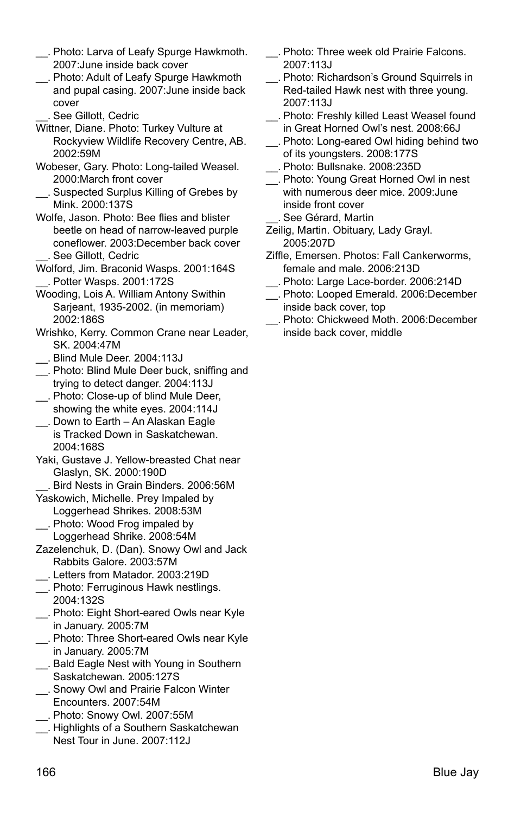- \_\_. Photo: Larva of Leafy Spurge Hawkmoth. 2007:June inside back cover
- \_\_. Photo: Adult of Leafy Spurge Hawkmoth and pupal casing. 2007:June inside back cover
	- \_\_. See Gillott, Cedric
- Wittner, Diane. Photo: Turkey Vulture at Rockyview Wildlife Recovery Centre, AB. 2002:59M
- Wobeser, Gary. Photo: Long-tailed Weasel. 2000:March front cover
- \_\_. Suspected Surplus Killing of Grebes by Mink. 2000:137S
- Wolfe, Jason. Photo: Bee flies and blister beetle on head of narrow-leaved purple coneflower. 2003:December back cover See Gillott, Cedric
- Wolford, Jim. Braconid Wasps. 2001:164S \_\_. Potter Wasps. 2001:172S
- Wooding, Lois A. William Antony Swithin Sarjeant, 1935-2002. (in memoriam) 2002:186S
- Wrishko, Kerry. Common Crane near Leader, SK. 2004:47M
- \_\_. Blind Mule Deer. 2004:113J
- \_\_. Photo: Blind Mule Deer buck, sniffing and trying to detect danger. 2004:113J
- \_\_. Photo: Close-up of blind Mule Deer, showing the white eyes. 2004:114J
- \_\_. Down to Earth An Alaskan Eagle is Tracked Down in Saskatchewan. 2004:168S
- Yaki, Gustave J. Yellow-breasted Chat near Glaslyn, SK. 2000:190D
	- \_\_. Bird Nests in Grain Binders. 2006:56M
- Yaskowich, Michelle. Prey Impaled by Loggerhead Shrikes. 2008:53M
- \_\_. Photo: Wood Frog impaled by Loggerhead Shrike. 2008:54M
- Zazelenchuk, D. (Dan). Snowy Owl and Jack Rabbits Galore. 2003:57M
- \_\_. Letters from Matador. 2003:219D
- \_\_. Photo: Ferruginous Hawk nestlings. 2004:132S
- \_\_. Photo: Eight Short-eared Owls near Kyle in January. 2005:7M
- \_\_. Photo: Three Short-eared Owls near Kyle in January. 2005:7M
- \_\_. Bald Eagle Nest with Young in Southern Saskatchewan. 2005:127S
- \_\_. Snowy Owl and Prairie Falcon Winter Encounters. 2007:54M
- \_\_. Photo: Snowy Owl. 2007:55M
- \_\_. Highlights of a Southern Saskatchewan Nest Tour in June. 2007:112J
- \_\_. Photo: Three week old Prairie Falcons. 2007:113J
- \_\_. Photo: Richardson's Ground Squirrels in Red-tailed Hawk nest with three young. 2007:113J
- \_\_. Photo: Freshly killed Least Weasel found in Great Horned Owl's nest. 2008:66J
- \_\_. Photo: Long-eared Owl hiding behind two of its youngsters. 2008:177S
- \_\_. Photo: Bullsnake. 2008:235D
- \_\_. Photo: Young Great Horned Owl in nest with numerous deer mice. 2009:June inside front cover \_\_. See Gérard, Martin
- Zeilig, Martin. Obituary, Lady Grayl. 2005:207D
- Ziffle, Emersen. Photos: Fall Cankerworms, female and male. 2006:213D
- \_\_. Photo: Large Lace-border. 2006:214D
- \_\_. Photo: Looped Emerald. 2006:December inside back cover, top
- \_\_. Photo: Chickweed Moth. 2006:December inside back cover, middle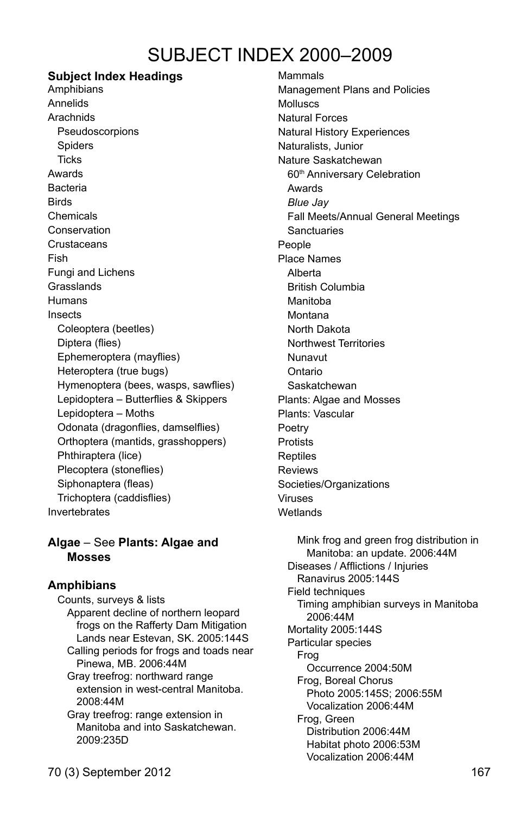# SUBJECT INDEX 2000–2009

# **Subject Index Headings**

Amphibians Annelids Arachnids Pseudoscorpions **Spiders Ticks** Awards Bacteria Birds Chemicals Conservation **Crustaceans** Fish Fungi and Lichens **Grasslands** Humans Insects Coleoptera (beetles) Diptera (flies) Ephemeroptera (mayflies) Heteroptera (true bugs) Hymenoptera (bees, wasps, sawflies) Lepidoptera – Butterflies & Skippers Lepidoptera – Moths Odonata (dragonflies, damselflies) Orthoptera (mantids, grasshoppers) Phthiraptera (lice) Plecoptera (stoneflies) Siphonaptera (fleas) Trichoptera (caddisflies) Invertebrates

### **Algae** – See **Plants: Algae and Mosses**

#### **Amphibians**

Counts, surveys & lists Apparent decline of northern leopard frogs on the Rafferty Dam Mitigation Lands near Estevan, SK. 2005:144S Calling periods for frogs and toads near Pinewa, MB. 2006:44M Gray treefrog: northward range extension in west-central Manitoba. 2008:44M Gray treefrog: range extension in Manitoba and into Saskatchewan. 2009:235D

Mammals Management Plans and Policies Molluscs Natural Forces Natural History Experiences Naturalists, Junior Nature Saskatchewan 60<sup>th</sup> Anniversary Celebration Awards *Blue Jay* Fall Meets/Annual General Meetings **Sanctuaries** People Place Names Alberta British Columbia Manitoba Montana North Dakota Northwest Territories Nunavut Ontario Saskatchewan Plants: Algae and Mosses Plants: Vascular Poetry Protists **Reptiles** Reviews Societies/Organizations Viruses **Wetlands** 

 Mink frog and green frog distribution in Manitoba: an update. 2006:44M Diseases / Afflictions / Injuries Ranavirus 2005:144S Field techniques Timing amphibian surveys in Manitoba 2006:44M Mortality 2005:144S Particular species Frog Occurrence 2004:50M Frog, Boreal Chorus Photo 2005:145S; 2006:55M Vocalization 2006:44M Frog, Green Distribution 2006:44M Habitat photo 2006:53M Vocalization 2006:44M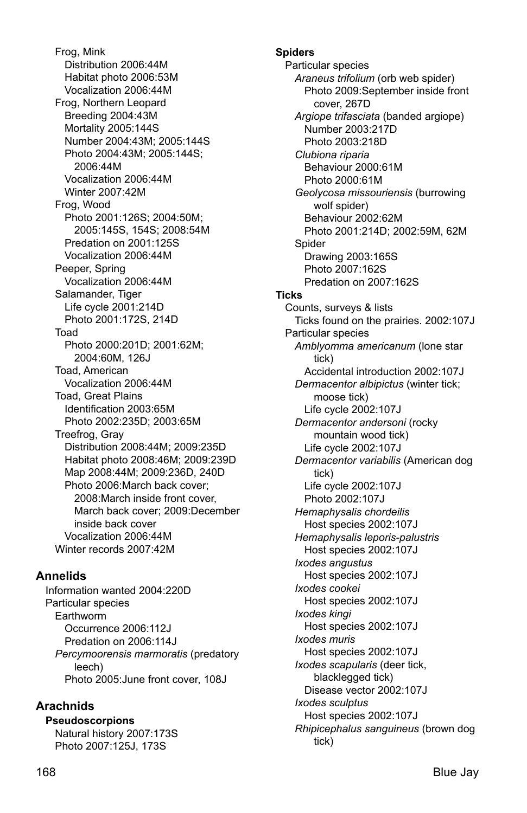Frog, Mink Distribution 2006:44M Habitat photo 2006:53M Vocalization 2006:44M Frog, Northern Leopard Breeding 2004:43M Mortality 2005:144S Number 2004:43M; 2005:144S Photo 2004:43M; 2005:144S; 2006:44M Vocalization 2006:44M Winter 2007:42M Frog, Wood Photo 2001:126S; 2004:50M; 2005:145S, 154S; 2008:54M Predation on 2001:125S Vocalization 2006:44M Peeper, Spring Vocalization 2006:44M Salamander, Tiger Life cycle 2001:214D Photo 2001:172S, 214D Toad Photo 2000:201D; 2001:62M; 2004:60M, 126J Toad, American Vocalization 2006:44M Toad, Great Plains Identification 2003:65M Photo 2002:235D; 2003:65M Treefrog, Gray Distribution 2008:44M; 2009:235D Habitat photo 2008:46M; 2009:239D Map 2008:44M; 2009:236D, 240D Photo 2006:March back cover; 2008:March inside front cover, March back cover; 2009:December inside back cover Vocalization 2006:44M Winter records 2007:42M

# **Annelids**

Information wanted 2004:220D Particular species Earthworm Occurrence 2006:112J Predation on 2006:114J *Percymoorensis marmoratis* (predatory leech) Photo 2005:June front cover, 108J

# **Arachnids**

**Pseudoscorpions**  Natural history 2007:173S Photo 2007:125J, 173S

**Spiders**  Particular species *Araneus trifolium* (orb web spider) Photo 2009:September inside front cover, 267D *Argiope trifasciata* (banded argiope) Number 2003:217D Photo 2003:218D *Clubiona riparia*  Behaviour 2000:61M Photo 2000:61M *Geolycosa missouriensis* (burrowing wolf spider) Behaviour 2002:62M Photo 2001:214D; 2002:59M, 62M Spider Drawing 2003:165S Photo 2007:162S Predation on 2007:162S **Ticks**  Counts, surveys & lists Ticks found on the prairies. 2002:107J Particular species *Amblyomma americanum* (lone star tick) Accidental introduction 2002:107J *Dermacentor albipictus* (winter tick; moose tick) Life cycle 2002:107J *Dermacentor andersoni* (rocky mountain wood tick) Life cycle 2002:107J *Dermacentor variabilis* (American dog tick) Life cycle 2002:107J Photo 2002:107J *Hemaphysalis chordeilis*  Host species 2002:107J *Hemaphysalis leporis-palustris*  Host species 2002:107J *Ixodes angustus*  Host species 2002:107J *Ixodes cookei*  Host species 2002:107J *Ixodes kingi*  Host species 2002:107J *Ixodes muris*  Host species 2002:107J *Ixodes scapularis* (deer tick, blacklegged tick) Disease vector 2002:107J *Ixodes sculptus* 

Host species 2002:107J

tick)

*Rhipicephalus sanguineus* (brown dog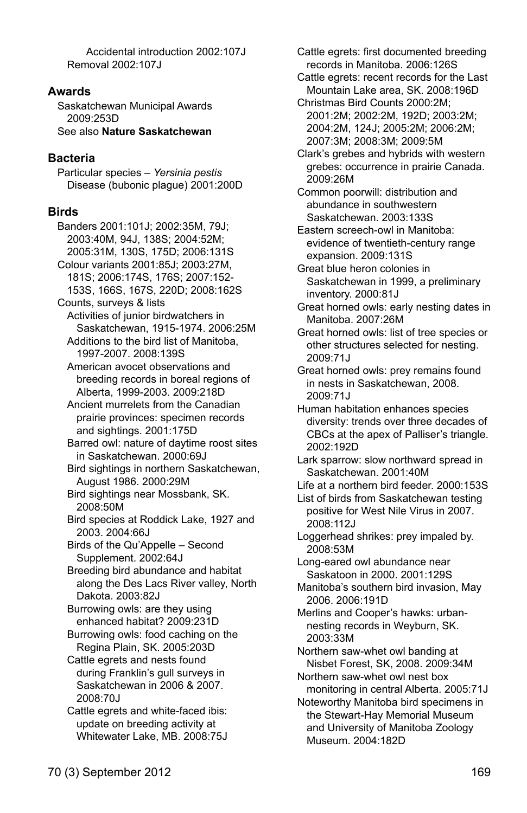Accidental introduction 2002:107J Removal 2002:107J

#### **Awards**

Saskatchewan Municipal Awards 2009:253D

See also **Nature Saskatchewan**

# **Bacteria**

Particular species – *Yersinia pestis*  Disease (bubonic plague) 2001:200D

# **Birds**

Banders 2001:101J; 2002:35M, 79J; 2003:40M, 94J, 138S; 2004:52M; 2005:31M, 130S, 175D; 2006:131S Colour variants 2001:85J; 2003:27M, 181S; 2006:174S, 176S; 2007:152- 153S, 166S, 167S, 220D; 2008:162S Counts, surveys & lists Activities of junior birdwatchers in Saskatchewan, 1915-1974. 2006:25M Additions to the bird list of Manitoba, 1997-2007. 2008:139S American avocet observations and breeding records in boreal regions of Alberta, 1999-2003. 2009:218D Ancient murrelets from the Canadian prairie provinces: specimen records and sightings. 2001:175D Barred owl: nature of daytime roost sites in Saskatchewan. 2000:69J Bird sightings in northern Saskatchewan, August 1986. 2000:29M Bird sightings near Mossbank, SK. 2008:50M Bird species at Roddick Lake, 1927 and 2003. 2004:66J Birds of the Qu'Appelle – Second Supplement. 2002:64J Breeding bird abundance and habitat along the Des Lacs River valley, North Dakota. 2003:82J Burrowing owls: are they using enhanced habitat? 2009:231D Burrowing owls: food caching on the Regina Plain, SK. 2005:203D Cattle egrets and nests found during Franklin's gull surveys in Saskatchewan in 2006 & 2007. 2008:70J Cattle egrets and white-faced ibis: update on breeding activity at Whitewater Lake, MB. 2008:75J

Cattle egrets: first documented breeding records in Manitoba. 2006:126S

 Cattle egrets: recent records for the Last Mountain Lake area, SK. 2008:196D

 Christmas Bird Counts 2000:2M; 2001:2M; 2002:2M, 192D; 2003:2M; 2004:2M, 124J; 2005:2M; 2006:2M; 2007:3M; 2008:3M; 2009:5M

 Clark's grebes and hybrids with western grebes: occurrence in prairie Canada. 2009:26M

 Common poorwill: distribution and abundance in southwestern Saskatchewan. 2003:133S

 Eastern screech-owl in Manitoba: evidence of twentieth-century range expansion. 2009:131S

 Great blue heron colonies in Saskatchewan in 1999, a preliminary inventory. 2000:81J

- Great horned owls: early nesting dates in Manitoba. 2007:26M
- Great horned owls: list of tree species or other structures selected for nesting. 2009:71J
- Great horned owls: prey remains found in nests in Saskatchewan, 2008. 2009:71J
- Human habitation enhances species diversity: trends over three decades of CBCs at the apex of Palliser's triangle. 2002:192D
- Lark sparrow: slow northward spread in Saskatchewan. 2001:40M
- Life at a northern bird feeder. 2000:153S
- List of birds from Saskatchewan testing positive for West Nile Virus in 2007. 2008:112J
- Loggerhead shrikes: prey impaled by. 2008:53M

 Long-eared owl abundance near Saskatoon in 2000. 2001:129S

- Manitoba's southern bird invasion, May 2006. 2006:191D
- Merlins and Cooper's hawks: urbannesting records in Weyburn, SK. 2003:33M

 Northern saw-whet owl banding at Nisbet Forest, SK, 2008. 2009:34M

 Northern saw-whet owl nest box monitoring in central Alberta. 2005:71J

 Noteworthy Manitoba bird specimens in the Stewart-Hay Memorial Museum and University of Manitoba Zoology Museum. 2004:182D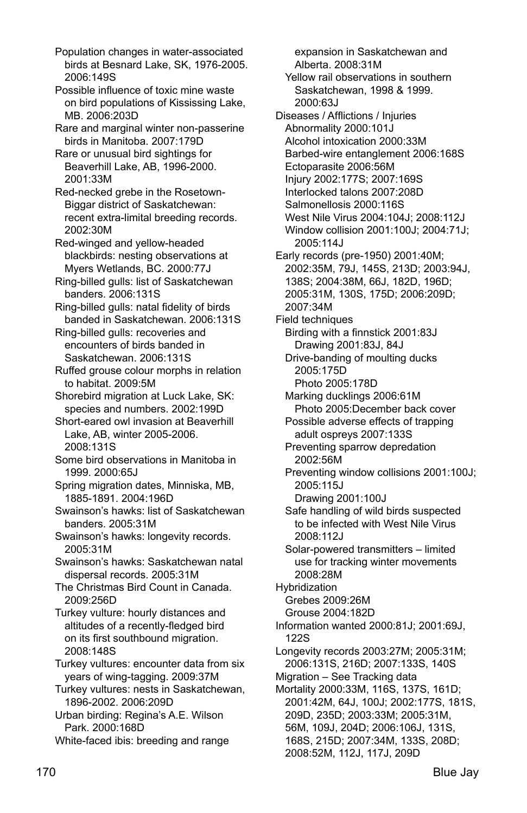Population changes in water-associated birds at Besnard Lake, SK, 1976-2005. 2006:149S

Possible influence of toxic mine waste on bird populations of Kississing Lake, MB. 2006:203D

 Rare and marginal winter non-passerine birds in Manitoba. 2007:179D

 Rare or unusual bird sightings for Beaverhill Lake, AB, 1996-2000. 2001:33M

 Red-necked grebe in the Rosetown-Biggar district of Saskatchewan: recent extra-limital breeding records. 2002:30M

 Red-winged and yellow-headed blackbirds: nesting observations at Myers Wetlands, BC. 2000:77J

 Ring-billed gulls: list of Saskatchewan banders. 2006:131S

Ring-billed gulls: natal fidelity of birds banded in Saskatchewan. 2006:131S

 Ring-billed gulls: recoveries and encounters of birds banded in Saskatchewan. 2006:131S

 Ruffed grouse colour morphs in relation to habitat. 2009:5M

 Shorebird migration at Luck Lake, SK: species and numbers. 2002:199D

 Short-eared owl invasion at Beaverhill Lake, AB, winter 2005-2006. 2008:131S

 Some bird observations in Manitoba in 1999. 2000:65J

 Spring migration dates, Minniska, MB, 1885-1891. 2004:196D

 Swainson's hawks: list of Saskatchewan banders. 2005:31M

 Swainson's hawks: longevity records. 2005:31M

 Swainson's hawks: Saskatchewan natal dispersal records. 2005:31M

 The Christmas Bird Count in Canada. 2009:256D

 Turkey vulture: hourly distances and altitudes of a recently-fledged bird on its first southbound migration. 2008:148S

 Turkey vultures: encounter data from six years of wing-tagging. 2009:37M

 Turkey vultures: nests in Saskatchewan, 1896-2002. 2006:209D

 Urban birding: Regina's A.E. Wilson Park. 2000:168D

White-faced ibis: breeding and range

expansion in Saskatchewan and Alberta. 2008:31M Yellow rail observations in southern Saskatchewan, 1998 & 1999. 2000:63J Diseases / Afflictions / Injuries Abnormality 2000:101J Alcohol intoxication 2000:33M Barbed-wire entanglement 2006:168S Ectoparasite 2006:56M Injury 2002:177S; 2007:169S Interlocked talons 2007:208D Salmonellosis 2000:116S West Nile Virus 2004:104J; 2008:112J Window collision 2001:100J; 2004:71J; 2005:114J Early records (pre-1950) 2001:40M; 2002:35M, 79J, 145S, 213D; 2003:94J, 138S; 2004:38M, 66J, 182D, 196D; 2005:31M, 130S, 175D; 2006:209D; 2007:34M Field techniques Birding with a finnstick 2001:83J Drawing 2001:83J, 84J Drive-banding of moulting ducks 2005:175D Photo 2005:178D Marking ducklings 2006:61M Photo 2005:December back cover Possible adverse effects of trapping adult ospreys 2007:133S Preventing sparrow depredation 2002:56M Preventing window collisions 2001:100J; 2005:115J Drawing 2001:100J Safe handling of wild birds suspected to be infected with West Nile Virus 2008:112J Solar-powered transmitters – limited use for tracking winter movements 2008:28M Hybridization Grebes 2009:26M Grouse 2004:182D Information wanted 2000:81J; 2001:69J, 122S Longevity records 2003:27M; 2005:31M; 2006:131S, 216D; 2007:133S, 140S Migration – See Tracking data Mortality 2000:33M, 116S, 137S, 161D; 2001:42M, 64J, 100J; 2002:177S, 181S, 209D, 235D; 2003:33M; 2005:31M, 56M, 109J, 204D; 2006:106J, 131S, 168S, 215D; 2007:34M, 133S, 208D; 2008:52M, 112J, 117J, 209D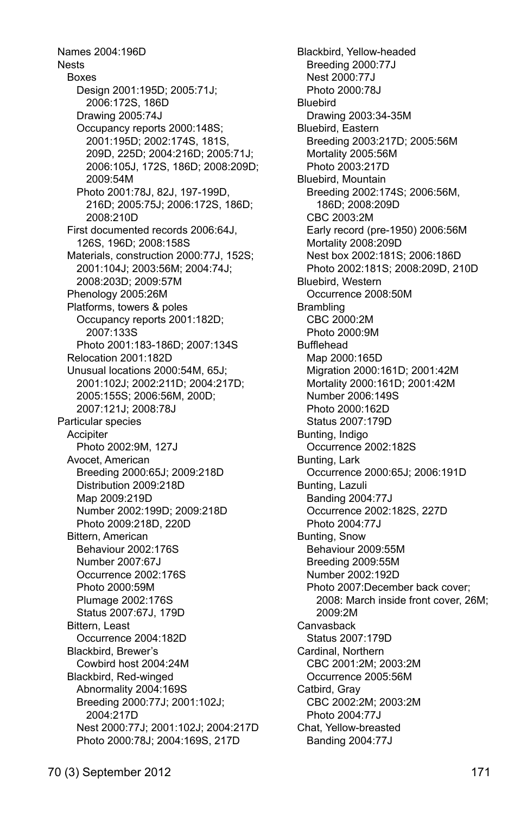Names 2004:196D Nests Boxes Design 2001:195D; 2005:71J; 2006:172S, 186D Drawing 2005:74J Occupancy reports 2000:148S; 2001:195D; 2002:174S, 181S, 209D, 225D; 2004:216D; 2005:71J; 2006:105J, 172S, 186D; 2008:209D; 2009:54M Photo 2001:78J, 82J, 197-199D, 216D; 2005:75J; 2006:172S, 186D; 2008:210D First documented records 2006:64J, 126S, 196D; 2008:158S Materials, construction 2000:77J, 152S; 2001:104J; 2003:56M; 2004:74J; 2008:203D; 2009:57M Phenology 2005:26M Platforms, towers & poles Occupancy reports 2001:182D; 2007:133S Photo 2001:183-186D; 2007:134S Relocation 2001:182D Unusual locations 2000:54M, 65J; 2001:102J; 2002:211D; 2004:217D; 2005:155S; 2006:56M, 200D; 2007:121J; 2008:78J Particular species **Accipiter**  Photo 2002:9M, 127J Avocet, American Breeding 2000:65J; 2009:218D Distribution 2009:218D Map 2009:219D Number 2002:199D; 2009:218D Photo 2009:218D, 220D Bittern, American Behaviour 2002:176S Number 2007:67J Occurrence 2002:176S Photo 2000:59M Plumage 2002:176S Status 2007:67J, 179D Bittern, Least Occurrence 2004:182D Blackbird, Brewer's Cowbird host 2004:24M Blackbird, Red-winged Abnormality 2004:169S Breeding 2000:77J; 2001:102J; 2004:217D Nest 2000:77J; 2001:102J; 2004:217D Photo 2000:78J; 2004:169S, 217D

 Blackbird, Yellow-headed Breeding 2000:77J Nest 2000:77J Photo 2000:78J Bluebird Drawing 2003:34-35M Bluebird, Eastern Breeding 2003:217D; 2005:56M Mortality 2005:56M Photo 2003:217D Bluebird, Mountain Breeding 2002:174S; 2006:56M, 186D; 2008:209D CBC 2003:2M Early record (pre-1950) 2006:56M Mortality 2008:209D Nest box 2002:181S; 2006:186D Photo 2002:181S; 2008:209D, 210D Bluebird, Western Occurrence 2008:50M **Brambling**  CBC 2000:2M Photo 2000:9M Bufflehead Map 2000:165D Migration 2000:161D; 2001:42M Mortality 2000:161D; 2001:42M Number 2006:149S Photo 2000:162D Status 2007:179D Bunting, Indigo Occurrence 2002:182S Bunting, Lark Occurrence 2000:65J; 2006:191D Bunting, Lazuli Banding 2004:77J Occurrence 2002:182S, 227D Photo 2004:77J Bunting, Snow Behaviour 2009:55M Breeding 2009:55M Number 2002:192D Photo 2007:December back cover; 2008: March inside front cover, 26M; 2009:2M Canvasback Status 2007:179D Cardinal, Northern CBC 2001:2M; 2003:2M Occurrence 2005:56M Catbird, Gray CBC 2002:2M; 2003:2M Photo 2004:77J Chat, Yellow-breasted Banding 2004:77J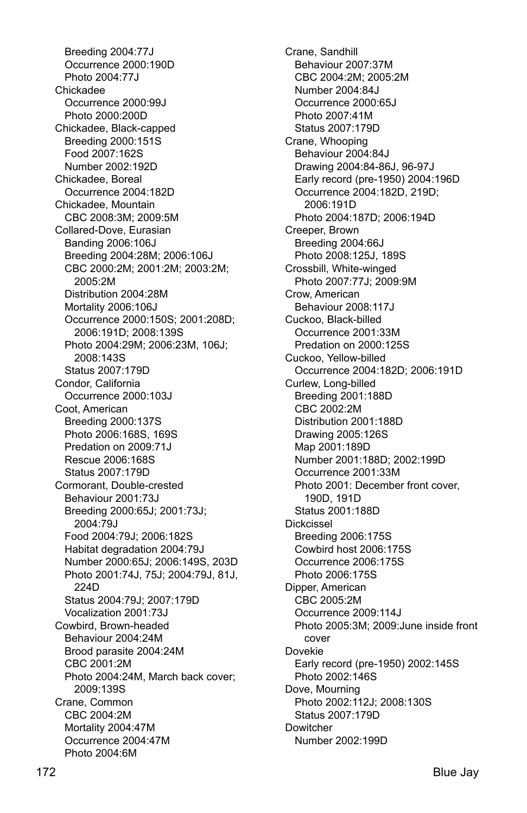Breeding 2004:77J Occurrence 2000:190D Photo 2004:77.1 Chickadee Occurrence 2000:99J Photo 2000:200D Chickadee, Black-capped Breeding 2000:151S Food 2007:162S Number 2002:192D Chickadee, Boreal Occurrence 2004:182D Chickadee, Mountain CBC 2008:3M; 2009:5M Collared-Dove, Eurasian Banding 2006:106J Breeding 2004:28M; 2006:106J CBC 2000:2M; 2001:2M; 2003:2M; 2005:2M Distribution 2004:28M Mortality 2006:106J Occurrence 2000:150S; 2001:208D; 2006:191D; 2008:139S Photo 2004:29M; 2006:23M, 106J; 2008:143S Status 2007:179D Condor, California Occurrence 2000:103J Coot, American Breeding 2000:137S Photo 2006:168S, 169S Predation on 2009:71J Rescue 2006:168S Status 2007:179D Cormorant, Double-crested Behaviour 2001:73J Breeding 2000:65J; 2001:73J; 2004:79J Food 2004:79J; 2006:182S Habitat degradation 2004:79J Number 2000:65J; 2006:149S, 203D Photo 2001:74J, 75J; 2004:79J, 81J, 224D Status 2004:79J; 2007:179D Vocalization 2001:73J Cowbird, Brown-headed Behaviour 2004:24M Brood parasite 2004:24M CBC 2001:2M Photo 2004:24M, March back cover; 2009:139S Crane, Common CBC 2004:2M Mortality 2004:47M Occurrence 2004:47M Photo 2004:6M

 Crane, Sandhill Behaviour 2007:37M CBC 2004:2M; 2005:2M Number 2004:84J Occurrence 2000:65J Photo 2007:41M Status 2007:179D Crane, Whooping Behaviour 2004:84J Drawing 2004:84-86J, 96-97J Early record (pre-1950) 2004:196D Occurrence 2004:182D, 219D; 2006:191D Photo 2004:187D; 2006:194D Creeper, Brown Breeding 2004:66J Photo 2008:125J, 189S Crossbill, White-winged Photo 2007:77J; 2009:9M Crow, American Behaviour 2008:117J Cuckoo, Black-billed Occurrence 2001:33M Predation on 2000:125S Cuckoo, Yellow-billed Occurrence 2004:182D; 2006:191D Curlew, Long-billed Breeding 2001:188D CBC 2002:2M Distribution 2001:188D Drawing 2005:126S Map 2001:189D Number 2001:188D; 2002:199D Occurrence 2001:33M Photo 2001: December front cover, 190D, 191D Status 2001:188D Dickcissel Breeding 2006:175S Cowbird host 2006:175S Occurrence 2006:175S Photo 2006:175S Dipper, American CBC 2005:2M Occurrence 2009:114J Photo 2005:3M; 2009:June inside front cover Dovekie Early record (pre-1950) 2002:145S Photo 2002:146S Dove, Mourning Photo 2002:112J; 2008:130S Status 2007:179D Dowitcher Number 2002:199D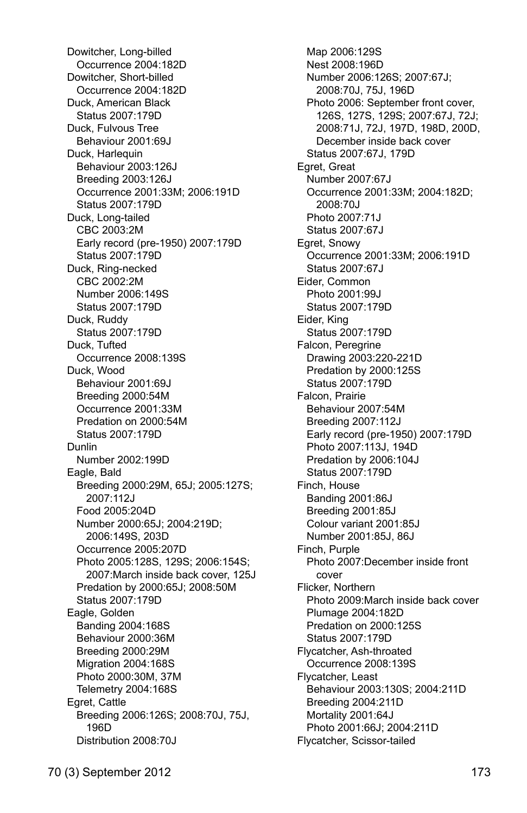Dowitcher, Long-billed Occurrence 2004:182D Dowitcher, Short-billed Occurrence 2004:182D Duck, American Black Status 2007:179D Duck, Fulvous Tree Behaviour 2001:69J Duck, Harlequin Behaviour 2003:126J Breeding 2003:126J Occurrence 2001:33M; 2006:191D Status 2007:179D Duck, Long-tailed CBC 2003:2M Early record (pre-1950) 2007:179D Status 2007:179D Duck, Ring-necked CBC 2002:2M Number 2006:149S Status 2007:179D Duck, Ruddy Status 2007:179D Duck, Tufted Occurrence 2008:139S Duck, Wood Behaviour 2001:69J Breeding 2000:54M Occurrence 2001:33M Predation on 2000:54M Status 2007:179D Dunlin Number 2002:199D Eagle, Bald Breeding 2000:29M, 65J; 2005:127S; 2007:112J Food 2005:204D Number 2000:65J; 2004:219D; 2006:149S, 203D Occurrence 2005:207D Photo 2005:128S, 129S; 2006:154S; 2007:March inside back cover, 125J Predation by 2000:65J; 2008:50M Status 2007:179D Eagle, Golden Banding 2004:168S Behaviour 2000:36M Breeding 2000:29M Migration 2004:168S Photo 2000:30M, 37M Telemetry 2004:168S Egret, Cattle Breeding 2006:126S; 2008:70J, 75J, 196D Distribution 2008:70J

 Map 2006:129S Nest 2008:196D Number 2006:126S; 2007:67J; 2008:70J, 75J, 196D Photo 2006: September front cover, 126S, 127S, 129S; 2007:67J, 72J; 2008:71J, 72J, 197D, 198D, 200D, December inside back cover Status 2007:67J, 179D Egret, Great Number 2007:67J Occurrence 2001:33M; 2004:182D; 2008:70J Photo 2007:71J Status 2007:67J Egret, Snowy Occurrence 2001:33M; 2006:191D Status 2007:67J Eider, Common Photo 2001:99J Status 2007:179D Eider, King Status 2007:179D Falcon, Peregrine Drawing 2003:220-221D Predation by 2000:125S Status 2007:179D Falcon, Prairie Behaviour 2007:54M Breeding 2007:112J Early record (pre-1950) 2007:179D Photo 2007:113J, 194D Predation by 2006:104J Status 2007:179D Finch, House Banding 2001:86J Breeding 2001:85J Colour variant 2001:85J Number 2001:85J, 86J Finch, Purple Photo 2007:December inside front cover Flicker, Northern Photo 2009:March inside back cover Plumage 2004:182D Predation on 2000:125S Status 2007:179D Flycatcher, Ash-throated Occurrence 2008:139S Flycatcher, Least Behaviour 2003:130S; 2004:211D Breeding 2004:211D Mortality 2001:64J Photo 2001:66J; 2004:211D Flycatcher, Scissor-tailed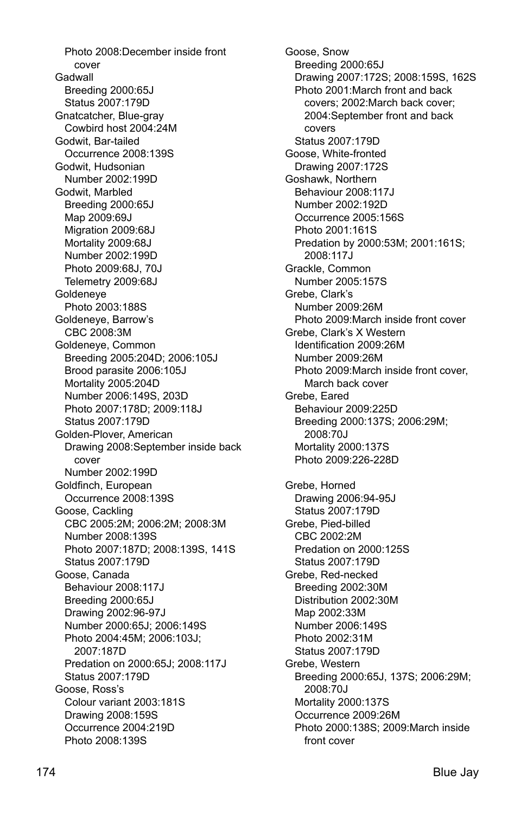Photo 2008:December inside front cover Gadwall Breeding 2000:65J Status 2007:179D Gnatcatcher, Blue-gray Cowbird host 2004:24M Godwit, Bar-tailed Occurrence 2008:139S Godwit, Hudsonian Number 2002:199D Godwit, Marbled Breeding 2000:65J Map 2009:69J Migration 2009:68J Mortality 2009:68J Number 2002:199D Photo 2009:68J, 70J Telemetry 2009:68J Goldeneye Photo 2003:188S Goldeneye, Barrow's CBC 2008:3M Goldeneye, Common Breeding 2005:204D; 2006:105J Brood parasite 2006:105J Mortality 2005:204D Number 2006:149S, 203D Photo 2007:178D; 2009:118J Status 2007:179D Golden-Plover, American Drawing 2008:September inside back cover Number 2002:199D Goldfinch, European Occurrence 2008:139S Goose, Cackling CBC 2005:2M; 2006:2M; 2008:3M Number 2008:139S Photo 2007:187D; 2008:139S, 141S Status 2007:179D Goose, Canada Behaviour 2008:117J Breeding 2000:65J Drawing 2002:96-97J Number 2000:65J; 2006:149S Photo 2004:45M; 2006:103J; 2007:187D Predation on 2000:65J; 2008:117J Status 2007:179D Goose, Ross's Colour variant 2003:181S Drawing 2008:159S Occurrence 2004:219D Photo 2008:139S

 Goose, Snow Breeding 2000:65J Drawing 2007:172S; 2008:159S, 162S Photo 2001:March front and back covers; 2002:March back cover; 2004:September front and back covers Status 2007:179D Goose, White-fronted Drawing 2007:172S Goshawk, Northern Behaviour 2008:117J Number 2002:192D Occurrence 2005:156S Photo 2001:161S Predation by 2000:53M; 2001:161S; 2008:117J Grackle, Common Number 2005:157S Grebe, Clark's Number 2009:26M Photo 2009:March inside front cover Grebe, Clark's X Western Identification 2009:26M Number 2009:26M Photo 2009:March inside front cover, March back cover Grebe, Eared Behaviour 2009:225D Breeding 2000:137S; 2006:29M; 2008:70J Mortality 2000:137S Photo 2009:226-228D Grebe, Horned Drawing 2006:94-95J Status 2007:179D Grebe, Pied-billed CBC 2002:2M Predation on 2000:125S Status 2007:179D Grebe, Red-necked Breeding 2002:30M Distribution 2002:30M Map 2002:33M Number 2006:149S Photo 2002:31M Status 2007:179D Grebe, Western Breeding 2000:65J, 137S; 2006:29M; 2008:70J Mortality 2000:137S Occurrence 2009:26M Photo 2000:138S; 2009:March inside front cover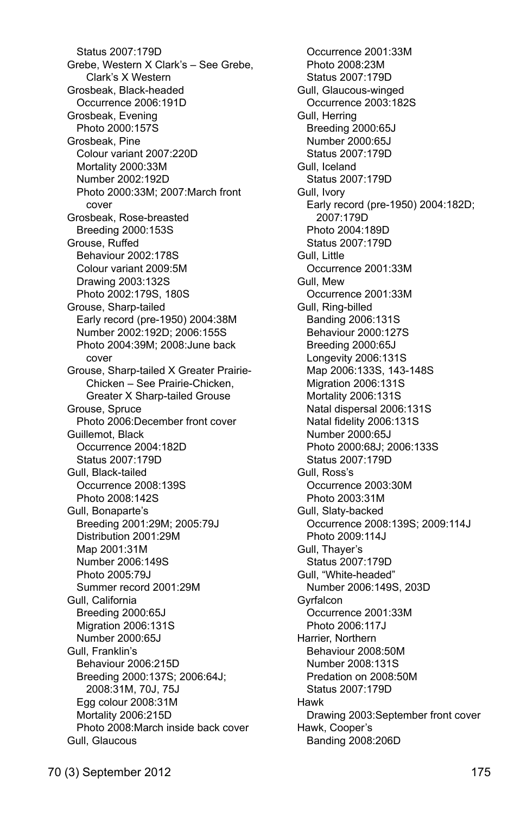Status 2007:179D Grebe, Western X Clark's – See Grebe, Clark's X Western Grosbeak, Black-headed Occurrence 2006:191D Grosbeak, Evening Photo 2000:157S Grosbeak, Pine Colour variant 2007:220D Mortality 2000:33M Number 2002:192D Photo 2000:33M; 2007:March front cover Grosbeak, Rose-breasted Breeding 2000:153S Grouse, Ruffed Behaviour 2002:178S Colour variant 2009:5M Drawing 2003:132S Photo 2002:179S, 180S Grouse, Sharp-tailed Early record (pre-1950) 2004:38M Number 2002:192D; 2006:155S Photo 2004:39M; 2008:June back cover Grouse, Sharp-tailed X Greater Prairie-Chicken – See Prairie-Chicken, Greater X Sharp-tailed Grouse Grouse, Spruce Photo 2006:December front cover Guillemot, Black Occurrence 2004:182D Status 2007:179D Gull, Black-tailed Occurrence 2008:139S Photo 2008:142S Gull, Bonaparte's Breeding 2001:29M; 2005:79J Distribution 2001:29M Map 2001:31M Number 2006:149S Photo 2005:79J Summer record 2001:29M Gull, California Breeding 2000:65J Migration 2006:131S Number 2000:65J Gull, Franklin's Behaviour 2006:215D Breeding 2000:137S; 2006:64J; 2008:31M, 70J, 75J Egg colour 2008:31M Mortality 2006:215D Photo 2008:March inside back cover Gull, Glaucous

 Occurrence 2001:33M Photo 2008:23M Status 2007:179D Gull, Glaucous-winged Occurrence 2003:182S Gull, Herring Breeding 2000:65J Number 2000:65J Status 2007:179D Gull, Iceland Status 2007:179D Gull, Ivory Early record (pre-1950) 2004:182D; 2007:179D Photo 2004:189D Status 2007:179D Gull, Little Occurrence 2001:33M Gull, Mew Occurrence 2001:33M Gull, Ring-billed Banding 2006:131S Behaviour 2000:127S Breeding 2000:65J Longevity 2006:131S Map 2006:133S, 143-148S Migration 2006:131S Mortality 2006:131S Natal dispersal 2006:131S Natal fidelity 2006:131S Number 2000:65J Photo 2000:68J; 2006:133S Status 2007:179D Gull, Ross's Occurrence 2003:30M Photo 2003:31M Gull, Slaty-backed Occurrence 2008:139S; 2009:114J Photo 2009:114J Gull, Thayer's Status 2007:179D Gull, "White-headed" Number 2006:149S, 203D **Gyrfalcon**  Occurrence 2001:33M Photo 2006:117J Harrier, Northern Behaviour 2008:50M Number 2008:131S Predation on 2008:50M Status 2007:179D Hawk Drawing 2003:September front cover Hawk, Cooper's Banding 2008:206D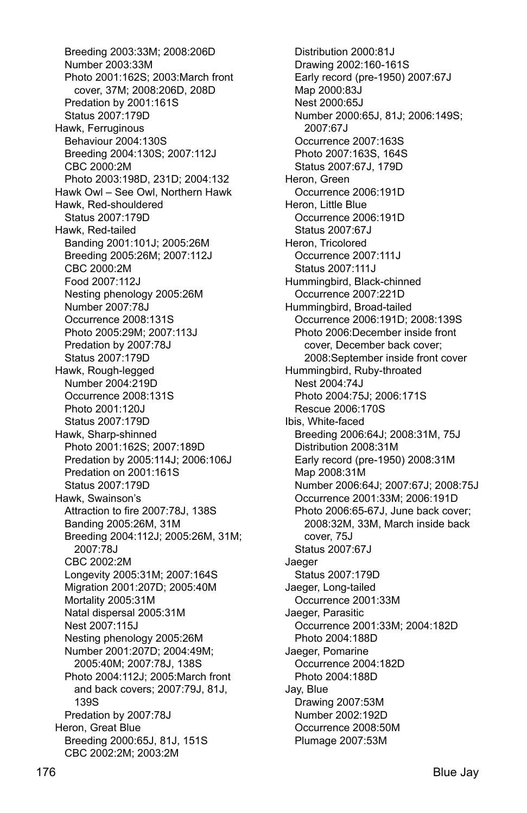Breeding 2003:33M; 2008:206D Number 2003:33M Photo 2001:162S; 2003:March front cover, 37M; 2008:206D, 208D Predation by 2001:161S Status 2007:179D Hawk, Ferruginous Behaviour 2004:130S Breeding 2004:130S; 2007:112J CBC 2000:2M Photo 2003:198D, 231D; 2004:132 Hawk Owl – See Owl, Northern Hawk Hawk, Red-shouldered Status 2007:179D Hawk, Red-tailed Banding 2001:101J; 2005:26M Breeding 2005:26M; 2007:112J CBC 2000:2M Food 2007:112J Nesting phenology 2005:26M Number 2007:78J Occurrence 2008:131S Photo 2005:29M; 2007:113J Predation by 2007:78J Status 2007:179D Hawk, Rough-legged Number 2004:219D Occurrence 2008:131S Photo 2001:120J Status 2007:179D Hawk, Sharp-shinned Photo 2001:162S; 2007:189D Predation by 2005:114J; 2006:106J Predation on 2001:161S Status 2007:179D Hawk, Swainson's Attraction to fire 2007:78J, 138S Banding 2005:26M, 31M Breeding 2004:112J; 2005:26M, 31M; 2007:78J CBC 2002:2M Longevity 2005:31M; 2007:164S Migration 2001:207D; 2005:40M Mortality 2005:31M Natal dispersal 2005:31M Nest 2007:115J Nesting phenology 2005:26M Number 2001:207D; 2004:49M; 2005:40M; 2007:78J, 138S Photo 2004:112J; 2005:March front and back covers; 2007:79J, 81J, 139S Predation by 2007:78J Heron, Great Blue Breeding 2000:65J, 81J, 151S CBC 2002:2M; 2003:2M

 Distribution 2000:81J Drawing 2002:160-161S Early record (pre-1950) 2007:67J Map 2000:83J Nest 2000:65J Number 2000:65J, 81J; 2006:149S; 2007:67J Occurrence 2007:163S Photo 2007:163S, 164S Status 2007:67J, 179D Heron, Green Occurrence 2006:191D Heron, Little Blue Occurrence 2006:191D Status 2007:67J Heron, Tricolored Occurrence 2007:111J Status 2007:111J Hummingbird, Black-chinned Occurrence 2007:221D Hummingbird, Broad-tailed Occurrence 2006:191D; 2008:139S Photo 2006:December inside front cover, December back cover; 2008:September inside front cover Hummingbird, Ruby-throated Nest 2004:74J Photo 2004:75J; 2006:171S Rescue 2006:170S Ibis, White-faced Breeding 2006:64J; 2008:31M, 75J Distribution 2008:31M Early record (pre-1950) 2008:31M Map 2008:31M Number 2006:64J; 2007:67J; 2008:75J Occurrence 2001:33M; 2006:191D Photo 2006:65-67J, June back cover; 2008:32M, 33M, March inside back cover, 75J Status 2007:67J Jaeger Status 2007:179D Jaeger, Long-tailed Occurrence 2001:33M Jaeger, Parasitic Occurrence 2001:33M; 2004:182D Photo 2004:188D Jaeger, Pomarine Occurrence 2004:182D Photo 2004:188D Jay, Blue Drawing 2007:53M Number 2002:192D Occurrence 2008:50M Plumage 2007:53M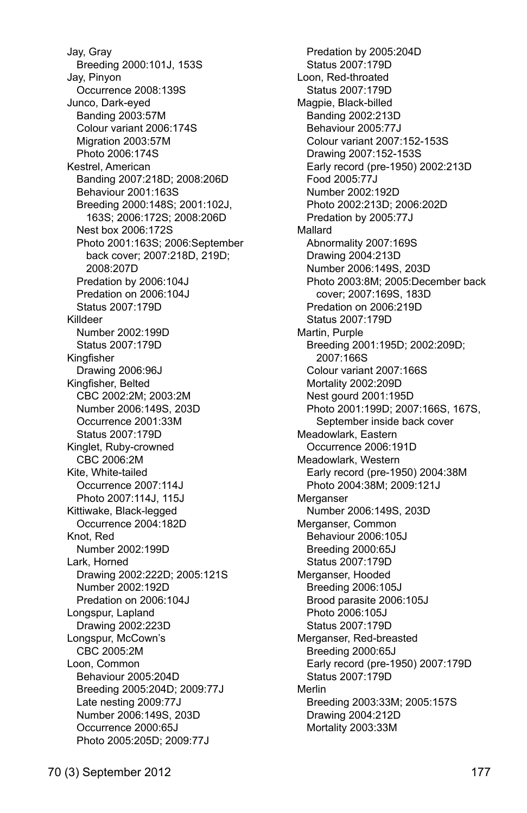Jay, Gray Breeding 2000:101J, 153S Jay, Pinyon Occurrence 2008:139S Junco, Dark-eyed Banding 2003:57M Colour variant 2006:174S Migration 2003:57M Photo 2006:174S Kestrel, American Banding 2007:218D; 2008:206D Behaviour 2001:163S Breeding 2000:148S; 2001:102J, 163S; 2006:172S; 2008:206D Nest box 2006:172S Photo 2001:163S; 2006:September back cover; 2007:218D, 219D; 2008:207D Predation by 2006:104J Predation on 2006:104J Status 2007:179D Killdeer Number 2002:199D Status 2007:179D Kingfisher Drawing 2006:96J Kingfisher, Belted CBC 2002:2M; 2003:2M Number 2006:149S, 203D Occurrence 2001:33M Status 2007:179D Kinglet, Ruby-crowned CBC 2006:2M Kite, White-tailed Occurrence 2007:114J Photo 2007:114J, 115J Kittiwake, Black-legged Occurrence 2004:182D Knot, Red Number 2002:199D Lark, Horned Drawing 2002:222D; 2005:121S Number 2002:192D Predation on 2006:104J Longspur, Lapland Drawing 2002:223D Longspur, McCown's CBC 2005:2M Loon, Common Behaviour 2005:204D Breeding 2005:204D; 2009:77J Late nesting 2009:77J Number 2006:149S, 203D Occurrence 2000:65J Photo 2005:205D; 2009:77J

 Predation by 2005:204D Status 2007:179D Loon, Red-throated Status 2007:179D Magpie, Black-billed Banding 2002:213D Behaviour 2005:77J Colour variant 2007:152-153S Drawing 2007:152-153S Early record (pre-1950) 2002:213D Food 2005:77J Number 2002:192D Photo 2002:213D; 2006:202D Predation by 2005:77J Mallard Abnormality 2007:169S Drawing 2004:213D Number 2006:149S, 203D Photo 2003:8M; 2005:December back cover; 2007:169S, 183D Predation on 2006:219D Status 2007:179D Martin, Purple Breeding 2001:195D; 2002:209D; 2007:166S Colour variant 2007:166S Mortality 2002:209D Nest gourd 2001:195D Photo 2001:199D; 2007:166S, 167S, September inside back cover Meadowlark, Eastern Occurrence 2006:191D Meadowlark, Western Early record (pre-1950) 2004:38M Photo 2004:38M; 2009:121J **Merganser**  Number 2006:149S, 203D Merganser, Common Behaviour 2006:105J Breeding 2000:65J Status 2007:179D Merganser, Hooded Breeding 2006:105J Brood parasite 2006:105J Photo 2006:105J Status 2007:179D Merganser, Red-breasted Breeding 2000:65J Early record (pre-1950) 2007:179D Status 2007:179D Merlin Breeding 2003:33M; 2005:157S Drawing 2004:212D Mortality 2003:33M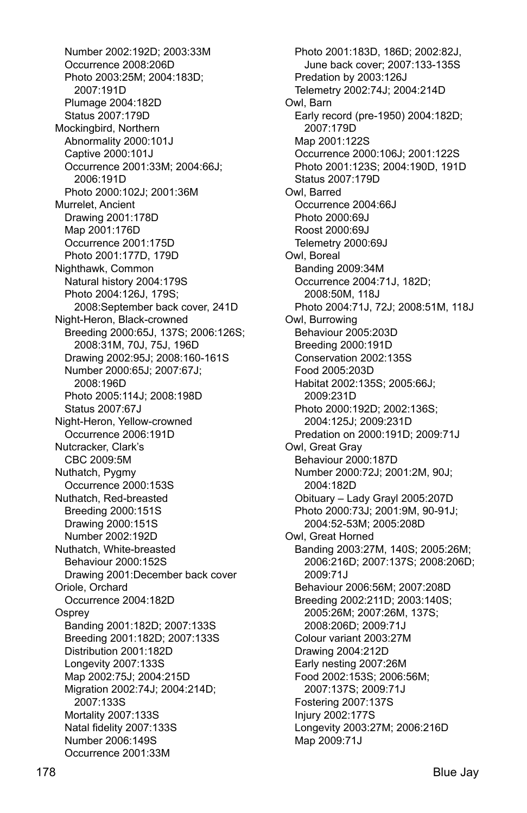Number 2002:192D; 2003:33M Occurrence 2008:206D Photo 2003:25M; 2004:183D; 2007:191D Plumage 2004:182D Status 2007:179D Mockingbird, Northern Abnormality 2000:101J Captive 2000:101J Occurrence 2001:33M; 2004:66J; 2006:191D Photo 2000:102J; 2001:36M Murrelet, Ancient Drawing 2001:178D Map 2001:176D Occurrence 2001:175D Photo 2001:177D, 179D Nighthawk, Common Natural history 2004:179S Photo 2004:126J, 179S; 2008:September back cover, 241D Night-Heron, Black-crowned Breeding 2000:65J, 137S; 2006:126S; 2008:31M, 70J, 75J, 196D Drawing 2002:95J; 2008:160-161S Number 2000:65J; 2007:67J; 2008:196D Photo 2005:114J; 2008:198D Status 2007:67J Night-Heron, Yellow-crowned Occurrence 2006:191D Nutcracker, Clark's CBC 2009:5M Nuthatch, Pygmy Occurrence 2000:153S Nuthatch, Red-breasted Breeding 2000:151S Drawing 2000:151S Number 2002:192D Nuthatch, White-breasted Behaviour 2000:152S Drawing 2001:December back cover Oriole, Orchard Occurrence 2004:182D **Osprev**  Banding 2001:182D; 2007:133S Breeding 2001:182D; 2007:133S Distribution 2001:182D Longevity 2007:133S Map 2002:75J; 2004:215D Migration 2002:74J; 2004:214D; 2007:133S Mortality 2007:133S Natal fidelity 2007:133S Number 2006:149S Occurrence 2001:33M

 Photo 2001:183D, 186D; 2002:82J, June back cover; 2007:133-135S Predation by 2003:126J Telemetry 2002:74J; 2004:214D Owl, Barn Early record (pre-1950) 2004:182D; 2007:179D Map 2001:122S Occurrence 2000:106J; 2001:122S Photo 2001:123S; 2004:190D, 191D Status 2007:179D Owl, Barred Occurrence 2004:66J Photo 2000:69J Roost 2000:69J Telemetry 2000:69J Owl, Boreal Banding 2009:34M Occurrence 2004:71J, 182D; 2008:50M, 118J Photo 2004:71J, 72J; 2008:51M, 118J Owl, Burrowing Behaviour 2005:203D Breeding 2000:191D Conservation 2002:135S Food 2005:203D Habitat 2002:135S; 2005:66J; 2009:231D Photo 2000:192D; 2002:136S; 2004:125J; 2009:231D Predation on 2000:191D; 2009:71J Owl, Great Gray Behaviour 2000:187D Number 2000:72J; 2001:2M, 90J; 2004:182D Obituary – Lady Grayl 2005:207D Photo 2000:73J; 2001:9M, 90-91J; 2004:52-53M; 2005:208D Owl, Great Horned Banding 2003:27M, 140S; 2005:26M; 2006:216D; 2007:137S; 2008:206D; 2009:71J Behaviour 2006:56M; 2007:208D Breeding 2002:211D; 2003:140S; 2005:26M; 2007:26M, 137S; 2008:206D; 2009:71J Colour variant 2003:27M Drawing 2004:212D Early nesting 2007:26M Food 2002:153S; 2006:56M; 2007:137S; 2009:71J Fostering 2007:137S Injury 2002:177S Longevity 2003:27M; 2006:216D Map 2009:71J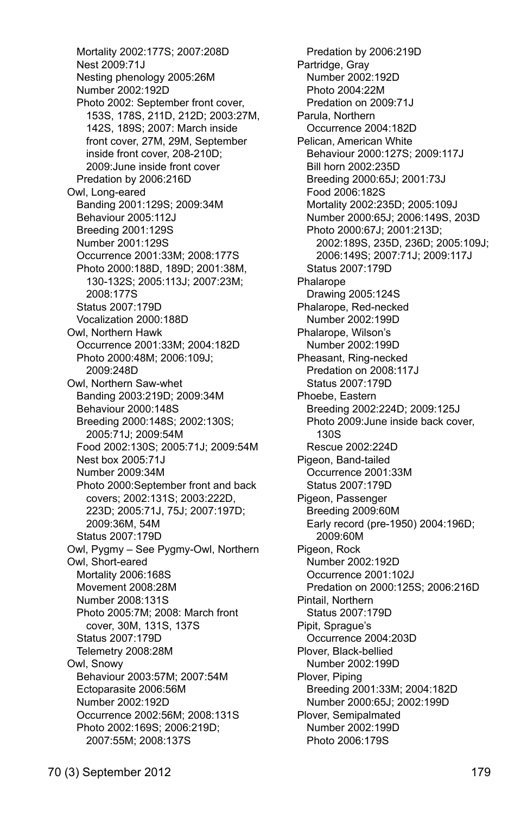Mortality 2002:177S; 2007:208D Nest 2009:71J Nesting phenology 2005:26M Number 2002:192D Photo 2002: September front cover, 153S, 178S, 211D, 212D; 2003:27M, 142S, 189S; 2007: March inside front cover, 27M, 29M, September inside front cover, 208-210D; 2009:June inside front cover Predation by 2006:216D Owl, Long-eared Banding 2001:129S; 2009:34M Behaviour 2005:112J Breeding 2001:129S Number 2001:129S Occurrence 2001:33M; 2008:177S Photo 2000:188D, 189D; 2001:38M, 130-132S; 2005:113J; 2007:23M; 2008:177S Status 2007:179D Vocalization 2000:188D Owl, Northern Hawk Occurrence 2001:33M; 2004:182D Photo 2000:48M; 2006:109J; 2009:248D Owl, Northern Saw-whet Banding 2003:219D; 2009:34M Behaviour 2000:148S Breeding 2000:148S; 2002:130S; 2005:71J; 2009:54M Food 2002:130S; 2005:71J; 2009:54M Nest box 2005:71J Number 2009:34M Photo 2000:September front and back covers; 2002:131S; 2003:222D, 223D; 2005:71J, 75J; 2007:197D; 2009:36M, 54M Status 2007:179D Owl, Pygmy – See Pygmy-Owl, Northern Owl, Short-eared Mortality 2006:168S Movement 2008:28M Number 2008:131S Photo 2005:7M; 2008: March front cover, 30M, 131S, 137S Status 2007:179D Telemetry 2008:28M Owl, Snowy Behaviour 2003:57M; 2007:54M Ectoparasite 2006:56M Number 2002:192D Occurrence 2002:56M; 2008:131S Photo 2002:169S; 2006:219D; 2007:55M; 2008:137S

 Predation by 2006:219D Partridge, Gray Number 2002:192D Photo 2004:22M Predation on 2009:71J Parula, Northern Occurrence 2004:182D Pelican, American White Behaviour 2000:127S; 2009:117J Bill horn 2002:235D Breeding 2000:65J; 2001:73J Food 2006:182S Mortality 2002:235D; 2005:109J Number 2000:65J; 2006:149S, 203D Photo 2000:67J; 2001:213D; 2002:189S, 235D, 236D; 2005:109J; 2006:149S; 2007:71J; 2009:117J Status 2007:179D Phalarope Drawing 2005:124S Phalarope, Red-necked Number 2002:199D Phalarope, Wilson's Number 2002:199D Pheasant, Ring-necked Predation on 2008:117J Status 2007:179D Phoebe, Eastern Breeding 2002:224D; 2009:125J Photo 2009:June inside back cover, 130S Rescue 2002:224D Pigeon, Band-tailed Occurrence 2001:33M Status 2007:179D Pigeon, Passenger Breeding 2009:60M Early record (pre-1950) 2004:196D; 2009:60M Pigeon, Rock Number 2002:192D Occurrence 2001:102J Predation on 2000:125S; 2006:216D Pintail, Northern Status 2007:179D Pipit, Sprague's Occurrence 2004:203D Plover, Black-bellied Number 2002:199D Plover, Piping Breeding 2001:33M; 2004:182D Number 2000:65J; 2002:199D Plover, Semipalmated Number 2002:199D Photo 2006:179S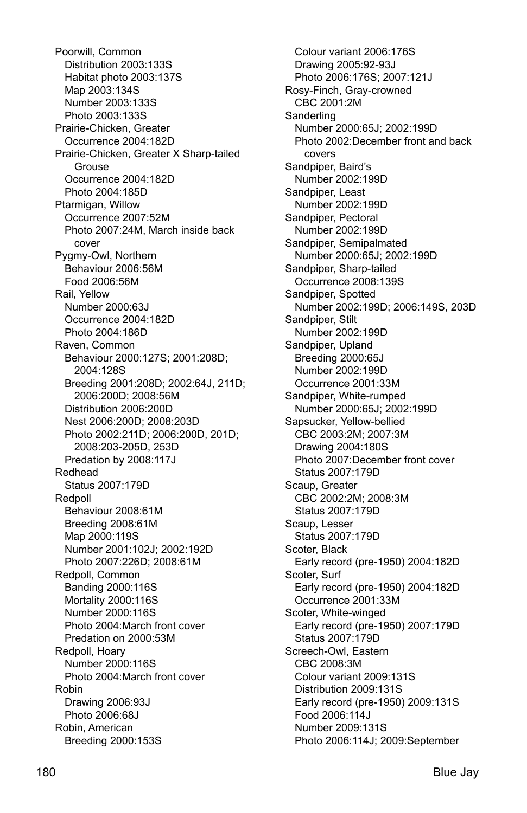Poorwill, Common Distribution 2003:133S Habitat photo 2003:137S Map 2003:134S Number 2003:133S Photo 2003:133S Prairie-Chicken, Greater Occurrence 2004:182D Prairie-Chicken, Greater X Sharp-tailed **Grouse**  Occurrence 2004:182D Photo 2004:185D Ptarmigan, Willow Occurrence 2007:52M Photo 2007:24M, March inside back cover Pygmy-Owl, Northern Behaviour 2006:56M Food 2006:56M Rail, Yellow Number 2000:63J Occurrence 2004:182D Photo 2004:186D Raven, Common Behaviour 2000:127S; 2001:208D; 2004:128S Breeding 2001:208D; 2002:64J, 211D; 2006:200D; 2008:56M Distribution 2006:200D Nest 2006:200D; 2008:203D Photo 2002:211D; 2006:200D, 201D; 2008:203-205D, 253D Predation by 2008:117J Redhead Status 2007:179D Redpoll Behaviour 2008:61M Breeding 2008:61M Map 2000:119S Number 2001:102J; 2002:192D Photo 2007:226D; 2008:61M Redpoll, Common Banding 2000:116S Mortality 2000:116S Number 2000:116S Photo 2004:March front cover Predation on 2000:53M Redpoll, Hoary Number 2000:116S Photo 2004:March front cover Robin Drawing 2006:93J Photo 2006:68J Robin, American Breeding 2000:153S

 Colour variant 2006:176S Drawing 2005:92-93J Photo 2006:176S; 2007:121J Rosy-Finch, Gray-crowned CBC 2001:2M **Sanderling**  Number 2000:65J; 2002:199D Photo 2002:December front and back covers Sandpiper, Baird's Number 2002:199D Sandpiper, Least Number 2002:199D Sandpiper, Pectoral Number 2002:199D Sandpiper, Semipalmated Number 2000:65J; 2002:199D Sandpiper, Sharp-tailed Occurrence 2008:139S Sandpiper, Spotted Number 2002:199D; 2006:149S, 203D Sandpiper, Stilt Number 2002:199D Sandpiper, Upland Breeding 2000:65J Number 2002:199D Occurrence 2001:33M Sandpiper, White-rumped Number 2000:65J; 2002:199D Sapsucker, Yellow-bellied CBC 2003:2M; 2007:3M Drawing 2004:180S Photo 2007:December front cover Status 2007:179D Scaup, Greater CBC 2002:2M; 2008:3M Status 2007:179D Scaup, Lesser Status 2007:179D Scoter, Black Early record (pre-1950) 2004:182D Scoter, Surf Early record (pre-1950) 2004:182D Occurrence 2001:33M Scoter, White-winged Early record (pre-1950) 2007:179D Status 2007:179D Screech-Owl, Eastern CBC 2008:3M Colour variant 2009:131S Distribution 2009:131S Early record (pre-1950) 2009:131S Food 2006:114J Number 2009:131S Photo 2006:114J; 2009:September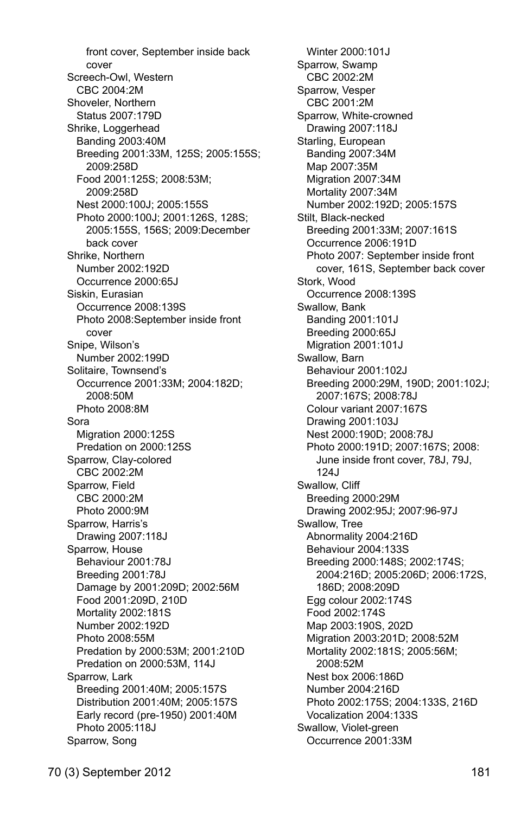front cover, September inside back cover Screech-Owl, Western CBC 2004:2M Shoveler, Northern Status 2007:179D Shrike, Loggerhead Banding 2003:40M Breeding 2001:33M, 125S; 2005:155S; 2009:258D Food 2001:125S; 2008:53M; 2009:258D Nest 2000:100J; 2005:155S Photo 2000:100J; 2001:126S, 128S; 2005:155S, 156S; 2009:December back cover Shrike, Northern Number 2002:192D Occurrence 2000:65J Siskin, Eurasian Occurrence 2008:139S Photo 2008:September inside front cover Snipe, Wilson's Number 2002:199D Solitaire, Townsend's Occurrence 2001:33M; 2004:182D; 2008:50M Photo 2008:8M Sora Migration 2000:125S Predation on 2000:125S Sparrow, Clay-colored CBC 2002:2M Sparrow, Field CBC 2000:2M Photo 2000:9M Sparrow, Harris's Drawing 2007:118J Sparrow, House Behaviour 2001:78J Breeding 2001:78J Damage by 2001:209D; 2002:56M Food 2001:209D, 210D Mortality 2002:181S Number 2002:192D Photo 2008:55M Predation by 2000:53M; 2001:210D Predation on 2000:53M, 114J Sparrow, Lark Breeding 2001:40M; 2005:157S Distribution 2001:40M; 2005:157S Early record (pre-1950) 2001:40M Photo 2005:118J Sparrow, Song

 Winter 2000:101J Sparrow, Swamp CBC 2002:2M Sparrow, Vesper CBC 2001:2M Sparrow, White-crowned Drawing 2007:118J Starling, European Banding 2007:34M Map 2007:35M Migration 2007:34M Mortality 2007:34M Number 2002:192D; 2005:157S Stilt, Black-necked Breeding 2001:33M; 2007:161S Occurrence 2006:191D Photo 2007: September inside front cover, 161S, September back cover Stork, Wood Occurrence 2008:139S Swallow, Bank Banding 2001:101J Breeding 2000:65J Migration 2001:101J Swallow, Barn Behaviour 2001:102J Breeding 2000:29M, 190D; 2001:102J; 2007:167S; 2008:78J Colour variant 2007:167S Drawing 2001:103J Nest 2000:190D; 2008:78J Photo 2000:191D; 2007:167S; 2008: June inside front cover, 78J, 79J, 124J Swallow, Cliff Breeding 2000:29M Drawing 2002:95J; 2007:96-97J Swallow, Tree Abnormality 2004:216D Behaviour 2004:133S Breeding 2000:148S; 2002:174S; 2004:216D; 2005:206D; 2006:172S, 186D; 2008:209D Egg colour 2002:174S Food 2002:174S Map 2003:190S, 202D Migration 2003:201D; 2008:52M Mortality 2002:181S; 2005:56M; 2008:52M Nest box 2006:186D Number 2004:216D Photo 2002:175S; 2004:133S, 216D Vocalization 2004:133S Swallow, Violet-green Occurrence 2001:33M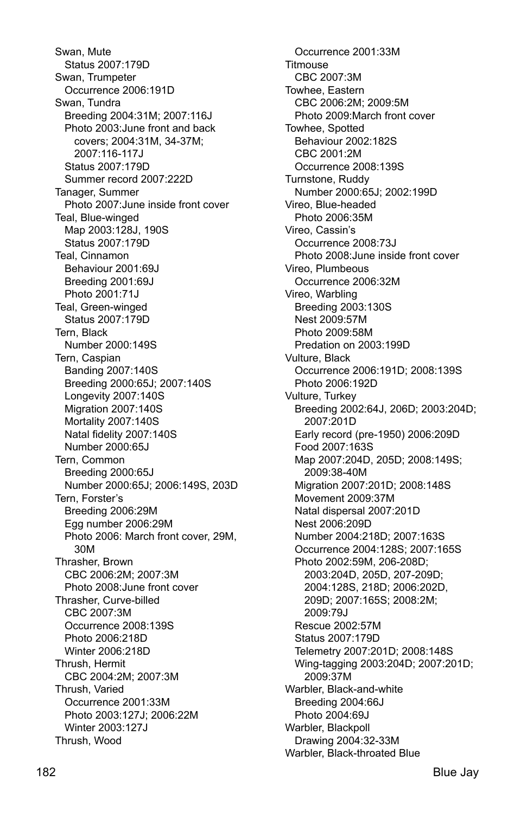Swan, Mute Status 2007:179D Swan, Trumpeter Occurrence 2006:191D Swan, Tundra Breeding 2004:31M; 2007:116J Photo 2003:June front and back covers; 2004:31M, 34-37M; 2007:116-117J Status 2007:179D Summer record 2007:222D Tanager, Summer Photo 2007:June inside front cover Teal, Blue-winged Map 2003:128J, 190S Status 2007:179D Teal, Cinnamon Behaviour 2001:69J Breeding 2001:69J Photo 2001:71J Teal, Green-winged Status 2007:179D Tern, Black Number 2000:149S Tern, Caspian Banding 2007:140S Breeding 2000:65J; 2007:140S Longevity 2007:140S Migration 2007:140S Mortality 2007:140S Natal fidelity 2007:140S Number 2000:65J Tern, Common Breeding 2000:65J Number 2000:65J; 2006:149S, 203D Tern, Forster's Breeding 2006:29M Egg number 2006:29M Photo 2006: March front cover, 29M, 30M Thrasher, Brown CBC 2006:2M; 2007:3M Photo 2008:June front cover Thrasher, Curve-billed CBC 2007:3M Occurrence 2008:139S Photo 2006:218D Winter 2006:218D Thrush, Hermit CBC 2004:2M; 2007:3M Thrush, Varied Occurrence 2001:33M Photo 2003:127J; 2006:22M Winter 2003:127J Thrush, Wood

 Occurrence 2001:33M Titmouse CBC 2007:3M Towhee, Eastern CBC 2006:2M; 2009:5M Photo 2009:March front cover Towhee, Spotted Behaviour 2002:182S CBC 2001:2M Occurrence 2008:139S Turnstone, Ruddy Number 2000:65J; 2002:199D Vireo, Blue-headed Photo 2006:35M Vireo, Cassin's Occurrence 2008:73J Photo 2008:June inside front cover Vireo, Plumbeous Occurrence 2006:32M Vireo, Warbling Breeding 2003:130S Nest 2009:57M Photo 2009:58M Predation on 2003:199D Vulture, Black Occurrence 2006:191D; 2008:139S Photo 2006:192D Vulture, Turkey Breeding 2002:64J, 206D; 2003:204D; 2007:201D Early record (pre-1950) 2006:209D Food 2007:163S Map 2007:204D, 205D; 2008:149S; 2009:38-40M Migration 2007:201D; 2008:148S Movement 2009:37M Natal dispersal 2007:201D Nest 2006:209D Number 2004:218D; 2007:163S Occurrence 2004:128S; 2007:165S Photo 2002:59M, 206-208D; 2003:204D, 205D, 207-209D; 2004:128S, 218D; 2006:202D, 209D; 2007:165S; 2008:2M; 2009:79J Rescue 2002:57M Status 2007:179D Telemetry 2007:201D; 2008:148S Wing-tagging 2003:204D; 2007:201D; 2009:37M Warbler, Black-and-white Breeding 2004:66J Photo 2004:69J Warbler, Blackpoll Drawing 2004:32-33M

Warbler, Black-throated Blue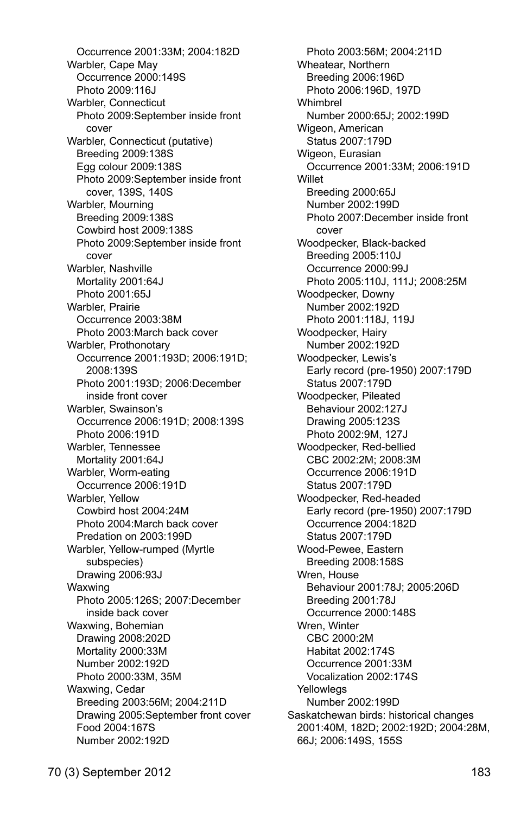Occurrence 2001:33M; 2004:182D Warbler, Cape May Occurrence 2000:149S Photo 2009:116J Warbler, Connecticut Photo 2009:September inside front cover Warbler, Connecticut (putative) Breeding 2009:138S Egg colour 2009:138S Photo 2009:September inside front cover, 139S, 140S Warbler, Mourning Breeding 2009:138S Cowbird host 2009:138S Photo 2009:September inside front cover Warbler, Nashville Mortality 2001:64J Photo 2001:65J Warbler, Prairie Occurrence 2003:38M Photo 2003:March back cover Warbler, Prothonotary Occurrence 2001:193D; 2006:191D; 2008:139S Photo 2001:193D; 2006:December inside front cover Warbler, Swainson's Occurrence 2006:191D; 2008:139S Photo 2006:191D Warbler, Tennessee Mortality 2001:64J Warbler, Worm-eating Occurrence 2006:191D Warbler, Yellow Cowbird host 2004:24M Photo 2004:March back cover Predation on 2003:199D Warbler, Yellow-rumped (Myrtle subspecies) Drawing 2006:93J Waxwing Photo 2005:126S; 2007:December inside back cover Waxwing, Bohemian Drawing 2008:202D Mortality 2000:33M Number 2002:192D Photo 2000:33M, 35M Waxwing, Cedar Breeding 2003:56M; 2004:211D Drawing 2005:September front cover Food 2004:167S Number 2002:192D

 Photo 2003:56M; 2004:211D Wheatear, Northern Breeding 2006:196D Photo 2006:196D, 197D **Whimbrel**  Number 2000:65J; 2002:199D Wigeon, American Status 2007:179D Wigeon, Eurasian Occurrence 2001:33M; 2006:191D **Willet**  Breeding 2000:65J Number 2002:199D Photo 2007:December inside front cover Woodpecker, Black-backed Breeding 2005:110J Occurrence 2000:99J Photo 2005:110J, 111J; 2008:25M Woodpecker, Downy Number 2002:192D Photo 2001:118J, 119J Woodpecker, Hairy Number 2002:192D Woodpecker, Lewis's Early record (pre-1950) 2007:179D Status 2007:179D Woodpecker, Pileated Behaviour 2002:127J Drawing 2005:123S Photo 2002:9M, 127J Woodpecker, Red-bellied CBC 2002:2M; 2008:3M Occurrence 2006:191D Status 2007:179D Woodpecker, Red-headed Early record (pre-1950) 2007:179D Occurrence 2004:182D Status 2007:179D Wood-Pewee, Eastern Breeding 2008:158S Wren, House Behaviour 2001:78J; 2005:206D Breeding 2001:78J Occurrence 2000:148S Wren, Winter CBC 2000:2M Habitat 2002:174S Occurrence 2001:33M Vocalization 2002:174S Yellowlegs Number 2002:199D Saskatchewan birds: historical changes 2001:40M, 182D; 2002:192D; 2004:28M, 66J; 2006:149S, 155S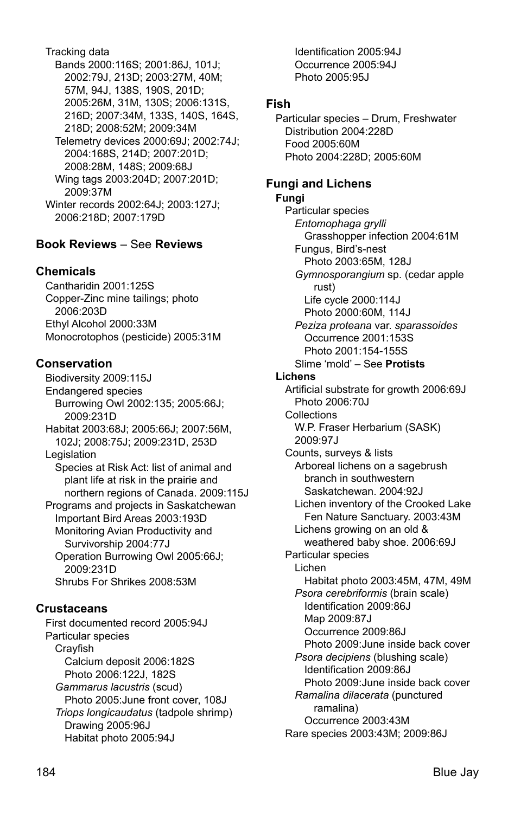Tracking data Bands 2000:116S; 2001:86J, 101J; 2002:79J, 213D; 2003:27M, 40M; 57M, 94J, 138S, 190S, 201D; 2005:26M, 31M, 130S; 2006:131S, 216D; 2007:34M, 133S, 140S, 164S, 218D; 2008:52M; 2009:34M Telemetry devices 2000:69J; 2002:74J; 2004:168S, 214D; 2007:201D; 2008:28M, 148S; 2009:68J Wing tags 2003:204D; 2007:201D; 2009:37M Winter records 2002:64J; 2003:127J; 2006:218D; 2007:179D

# **Book Reviews** – See **Reviews**

## **Chemicals**

Cantharidin 2001:125S Copper-Zinc mine tailings; photo 2006:203D Ethyl Alcohol 2000:33M Monocrotophos (pesticide) 2005:31M

## **Conservation**

Biodiversity 2009:115J Endangered species Burrowing Owl 2002:135; 2005:66J; 2009:231D Habitat 2003:68J; 2005:66J; 2007:56M, 102J; 2008:75J; 2009:231D, 253D Legislation Species at Risk Act: list of animal and plant life at risk in the prairie and northern regions of Canada. 2009:115J Programs and projects in Saskatchewan Important Bird Areas 2003:193D Monitoring Avian Productivity and Survivorship 2004:77J Operation Burrowing Owl 2005:66J; 2009:231D Shrubs For Shrikes 2008:53M

## **Crustaceans**

First documented record 2005:94J Particular species Crayfish Calcium deposit 2006:182S Photo 2006:122J, 182S *Gammarus lacustris* (scud) Photo 2005:June front cover, 108J *Triops longicaudatus* (tadpole shrimp) Drawing 2005:96J Habitat photo 2005:94J

 Occurrence 2005:94J Photo 2005:95J **Fish** Particular species – Drum, Freshwater Distribution 2004:228D Food 2005:60M Photo 2004:228D; 2005:60M **Fungi and Lichens Fungi**  Particular species *Entomophaga grylli*  Grasshopper infection 2004:61M Fungus, Bird's-nest Photo 2003:65M, 128J *Gymnosporangium* sp. (cedar apple rust) Life cycle 2000:114J Photo 2000:60M, 114J *Peziza proteana* var. *sparassoides* Occurrence 2001:153S Photo 2001:154-155S Slime 'mold' – See **Protists Lichens**  Artificial substrate for growth 2006:69J Photo 2006:70J **Collections**  W.P. Fraser Herbarium (SASK) 2009:97J Counts, surveys & lists Arboreal lichens on a sagebrush branch in southwestern Saskatchewan. 2004:92J Lichen inventory of the Crooked Lake Fen Nature Sanctuary. 2003:43M Lichens growing on an old & weathered baby shoe. 2006:69J Particular species Lichen Habitat photo 2003:45M, 47M, 49M *Psora cerebriformis* (brain scale) Identification 2009:86J Map 2009:87J Occurrence 2009:86J Photo 2009:June inside back cover *Psora decipiens* (blushing scale) Identification 2009:86J Photo 2009:June inside back cover *Ramalina dilacerata* (punctured ramalina) Occurrence 2003:43M

Identification 2005:94J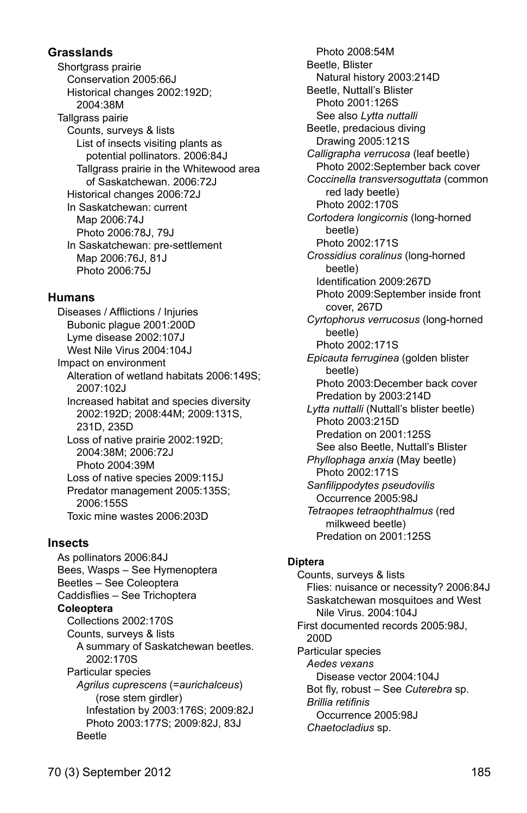## **Grasslands**

Shortgrass prairie Conservation 2005:66J Historical changes 2002:192D; 2004:38M Tallgrass pairie Counts, surveys & lists List of insects visiting plants as potential pollinators. 2006:84J Tallgrass prairie in the Whitewood area of Saskatchewan. 2006:72J Historical changes 2006:72J In Saskatchewan: current Map 2006:74J Photo 2006:78J, 79J In Saskatchewan: pre-settlement Map 2006:76J, 81J Photo 2006:75J

## **Humans**

Diseases / Afflictions / Injuries Bubonic plague 2001:200D Lyme disease 2002:107J West Nile Virus 2004:104.1 Impact on environment Alteration of wetland habitats 2006:149S; 2007:102J Increased habitat and species diversity 2002:192D; 2008:44M; 2009:131S, 231D, 235D Loss of native prairie 2002:192D; 2004:38M; 2006:72J Photo 2004:39M Loss of native species 2009:115J Predator management 2005:135S; 2006:155S Toxic mine wastes 2006:203D

### **Insects**

As pollinators 2006:84J Bees, Wasps – See Hymenoptera Beetles – See Coleoptera Caddisflies – See Trichoptera **Coleoptera**  Collections 2002:170S Counts, surveys & lists A summary of Saskatchewan beetles. 2002:170S Particular species *Agrilus cuprescens* (=*aurichalceus*) (rose stem girdler) Infestation by 2003:176S; 2009:82J Photo 2003:177S; 2009:82J, 83J Beetle

 Photo 2008:54M Beetle, Blister Natural history 2003:214D Beetle, Nuttall's Blister Photo 2001:126S See also *Lytta nuttalli* Beetle, predacious diving Drawing 2005:121S *Calligrapha verrucosa* (leaf beetle) Photo 2002:September back cover *Coccinella transversoguttata* (common red lady beetle) Photo 2002:170S *Cortodera longicornis* (long-horned beetle) Photo 2002:171S *Crossidius coralinus* (long-horned beetle) Identification 2009:267D Photo 2009:September inside front cover, 267D *Cyrtophorus verrucosus* (long-horned beetle) Photo 2002:171S *Epicauta ferruginea* (golden blister beetle) Photo 2003:December back cover Predation by 2003:214D *Lytta nuttalli* (Nuttall's blister beetle) Photo 2003:215D Predation on 2001:125S See also Beetle, Nuttall's Blister *Phyllophaga anxia* (May beetle) Photo 2002:171S *Sanfilippodytes pseudovilis*  Occurrence 2005:98J *Tetraopes tetraophthalmus* (red milkweed beetle) Predation on 2001:125S

### **Diptera**

 Counts, surveys & lists Flies: nuisance or necessity? 2006:84J Saskatchewan mosquitoes and West Nile Virus. 2004:104J First documented records 2005:98J, 200D Particular species *Aedes vexans*  Disease vector 2004:104J Bot fly, robust – See *Cuterebra* sp. *Brillia retifinis*  Occurrence 2005:98J *Chaetocladius* sp.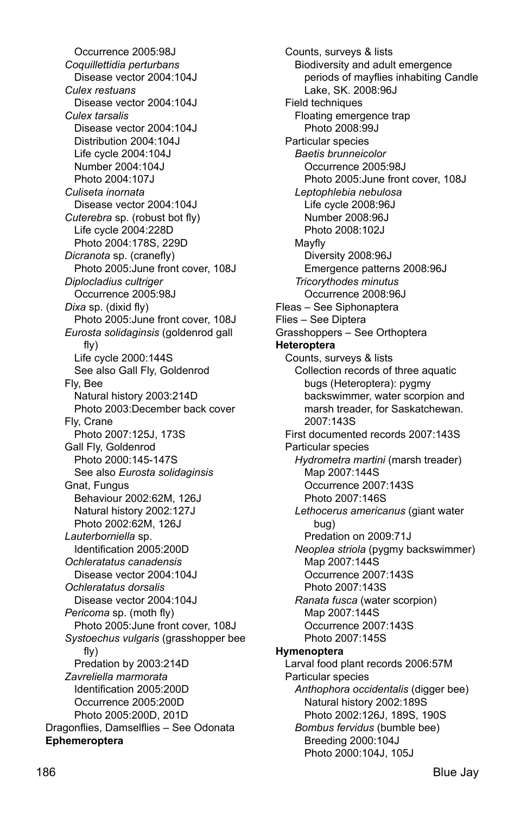Occurrence 2005:98J *Coquillettidia perturbans*  Disease vector 2004:104J *Culex restuans*  Disease vector 2004:104J *Culex tarsalis*  Disease vector 2004:104J Distribution 2004:104J Life cycle 2004:104J Number 2004:104J Photo 2004:107J *Culiseta inornata*  Disease vector 2004:104J *Cuterebra* sp. (robust bot fly) Life cycle 2004:228D Photo 2004:178S, 229D *Dicranota* sp. (cranefly) Photo 2005:June front cover, 108J *Diplocladius cultriger*  Occurrence 2005:98J *Dixa* sp. (dixid fly) Photo 2005:June front cover, 108J *Eurosta solidaginsis* (goldenrod gall fly) Life cycle 2000:144S See also Gall Fly, Goldenrod Fly, Bee Natural history 2003:214D Photo 2003:December back cover Fly, Crane Photo 2007:125J, 173S Gall Fly, Goldenrod Photo 2000:145-147S See also *Eurosta solidaginsis* Gnat, Fungus Behaviour 2002:62M, 126J Natural history 2002:127J Photo 2002:62M, 126J *Lauterborniella* sp. Identification 2005:200D *Ochleratatus canadensis*  Disease vector 2004:104J *Ochleratatus dorsalis*  Disease vector 2004:104J *Pericoma* sp. (moth fly) Photo 2005:June front cover, 108J *Systoechus vulgaris* (grasshopper bee fly) Predation by 2003:214D *Zavreliella marmorata*  Identification 2005:200D Occurrence 2005:200D Photo 2005:200D, 201D Dragonflies, Damselflies – See Odonata **Ephemeroptera** 

 Counts, surveys & lists Biodiversity and adult emergence periods of mayflies inhabiting Candle Lake, SK. 2008:96J Field techniques Floating emergence trap Photo 2008:99J Particular species *Baetis brunneicolor*  Occurrence 2005:98J Photo 2005:June front cover, 108J *Leptophlebia nebulosa*  Life cycle 2008:96J Number 2008:96J Photo 2008:102J Mayfly Diversity 2008:96J Emergence patterns 2008:96J *Tricorythodes minutus*  Occurrence 2008:96J Fleas – See Siphonaptera Flies – See Diptera Grasshoppers – See Orthoptera **Heteroptera**  Counts, surveys & lists Collection records of three aquatic bugs (Heteroptera): pygmy backswimmer, water scorpion and marsh treader, for Saskatchewan. 2007:143S First documented records 2007:143S Particular species *Hydrometra martini* (marsh treader) Map 2007:144S Occurrence 2007:143S Photo 2007:146S *Lethocerus americanus* (giant water bug) Predation on 2009:71J *Neoplea striola* (pygmy backswimmer) Map 2007:144S Occurrence 2007:143S Photo 2007:143S *Ranata fusca* (water scorpion) Map 2007:144S Occurrence 2007:143S Photo 2007:145S **Hymenoptera**  Larval food plant records 2006:57M Particular species *Anthophora occidentalis* (digger bee) Natural history 2002:189S Photo 2002:126J, 189S, 190S *Bombus fervidus* (bumble bee) Breeding 2000:104J Photo 2000:104J, 105J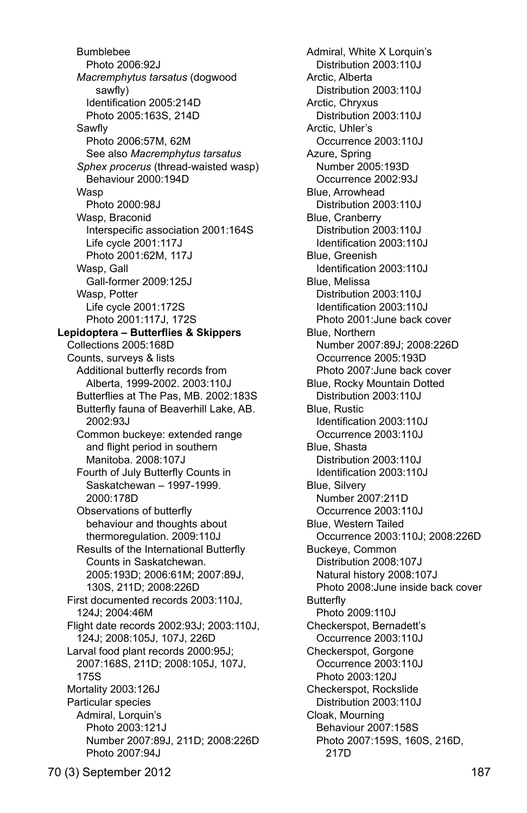Bumblebee Photo 2006:92J *Macremphytus tarsatus* (dogwood sawfly) Identification 2005:214D Photo 2005:163S, 214D Sawfly Photo 2006:57M, 62M See also *Macremphytus tarsatus Sphex procerus* (thread-waisted wasp) Behaviour 2000:194D Wasp Photo 2000:98J Wasp, Braconid Interspecific association 2001:164S Life cycle 2001:117J Photo 2001:62M, 117J Wasp, Gall Gall-former 2009:125J Wasp, Potter Life cycle 2001:172S Photo 2001:117J, 172S  **Lepidoptera – Butterflies & Skippers** Collections 2005:168D Counts, surveys & lists Additional butterfly records from Alberta, 1999-2002. 2003:110J Butterflies at The Pas, MB. 2002:183S Butterfly fauna of Beaverhill Lake, AB. 2002:93J Common buckeye: extended range and flight period in southern Manitoba. 2008:107J Fourth of July Butterfly Counts in Saskatchewan – 1997-1999. 2000:178D Observations of butterfly behaviour and thoughts about thermoregulation. 2009:110J Results of the International Butterfly Counts in Saskatchewan. 2005:193D; 2006:61M; 2007:89J, 130S, 211D; 2008:226D First documented records 2003:110J, 124J; 2004:46M Flight date records 2002:93J; 2003:110J, 124J; 2008:105J, 107J, 226D Larval food plant records 2000:95J; 2007:168S, 211D; 2008:105J, 107J, 175S Mortality 2003:126J Particular species Admiral, Lorquin's Photo 2003:121J Number 2007:89J, 211D; 2008:226D Photo 2007:94J

 Admiral, White X Lorquin's Distribution 2003:110J Arctic, Alberta Distribution 2003:110J Arctic, Chryxus Distribution 2003:110J Arctic, Uhler's Occurrence 2003:110J Azure, Spring Number 2005:193D Occurrence 2002:93J Blue, Arrowhead Distribution 2003:110J Blue, Cranberry Distribution 2003:110J Identification 2003:110J Blue, Greenish Identification 2003:110J Blue, Melissa Distribution 2003:110J Identification 2003:110J Photo 2001:June back cover Blue, Northern Number 2007:89J; 2008:226D Occurrence 2005:193D Photo 2007:June back cover Blue, Rocky Mountain Dotted Distribution 2003:110J Blue, Rustic Identification 2003:110J Occurrence 2003:110J Blue, Shasta Distribution 2003:110J Identification 2003:110J Blue, Silvery Number 2007:211D Occurrence 2003:110J Blue, Western Tailed Occurrence 2003:110J; 2008:226D Buckeye, Common Distribution 2008:107J Natural history 2008:107J Photo 2008:June inside back cover Butterfly Photo 2009:110J Checkerspot, Bernadett's Occurrence 2003:110J Checkerspot, Gorgone Occurrence 2003:110J Photo 2003:120J Checkerspot, Rockslide Distribution 2003:110J Cloak, Mourning Behaviour 2007:158S Photo 2007:159S, 160S, 216D, 217D

70 (3) September 2012 187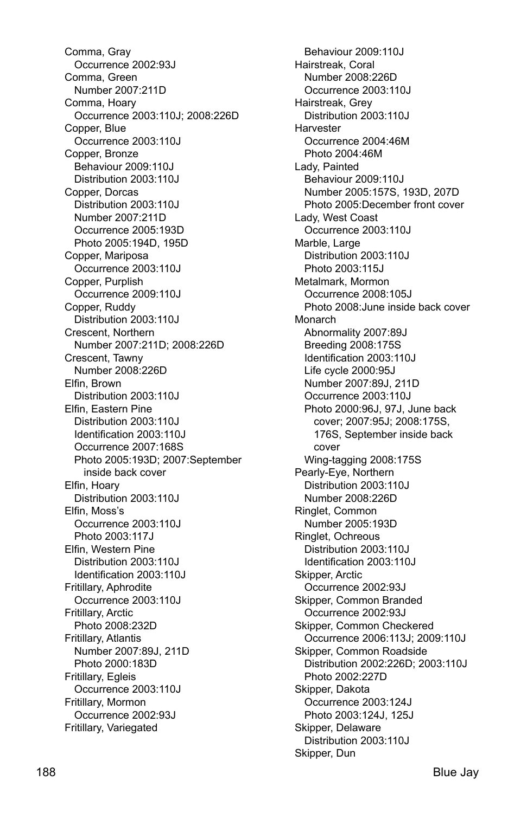Comma, Gray Occurrence 2002:93J Comma, Green Number 2007:211D Comma, Hoary Occurrence 2003:110J; 2008:226D Copper, Blue Occurrence 2003:110J Copper, Bronze Behaviour 2009:110J Distribution 2003:110J Copper, Dorcas Distribution 2003:110J Number 2007:211D Occurrence 2005:193D Photo 2005:194D, 195D Copper, Mariposa Occurrence 2003:110J Copper, Purplish Occurrence 2009:110J Copper, Ruddy Distribution 2003:110J Crescent, Northern Number 2007:211D; 2008:226D Crescent, Tawny Number 2008:226D Elfin, Brown Distribution 2003:110J Elfin, Eastern Pine Distribution 2003:110J Identification 2003:110J Occurrence 2007:168S Photo 2005:193D; 2007:September inside back cover Elfin, Hoary Distribution 2003:110J Elfin, Moss's Occurrence 2003:110J Photo 2003:117J Elfin, Western Pine Distribution 2003:110J Identification 2003:110J Fritillary, Aphrodite Occurrence 2003:110J Fritillary, Arctic Photo 2008:232D Fritillary, Atlantis Number 2007:89J, 211D Photo 2000:183D Fritillary, Egleis Occurrence 2003:110J Fritillary, Mormon Occurrence 2002:93J Fritillary, Variegated

 Behaviour 2009:110J Hairstreak, Coral Number 2008:226D Occurrence 2003:110J Hairstreak, Grey Distribution 2003:110J **Harvester**  Occurrence 2004:46M Photo 2004:46M Lady, Painted Behaviour 2009:110J Number 2005:157S, 193D, 207D Photo 2005:December front cover Lady, West Coast Occurrence 2003:110J Marble, Large Distribution 2003:110J Photo 2003:115J Metalmark, Mormon Occurrence 2008:105J Photo 2008:June inside back cover Monarch Abnormality 2007:89J Breeding 2008:175S Identification 2003:110J Life cycle 2000:95J Number 2007:89J, 211D Occurrence 2003:110J Photo 2000:96J, 97J, June back cover; 2007:95J; 2008:175S, 176S, September inside back cover Wing-tagging 2008:175S Pearly-Eye, Northern Distribution 2003:110J Number 2008:226D Ringlet, Common Number 2005:193D Ringlet, Ochreous Distribution 2003:110J Identification 2003:110J Skipper, Arctic Occurrence 2002:93J Skipper, Common Branded Occurrence 2002:93J Skipper, Common Checkered Occurrence 2006:113J; 2009:110J Skipper, Common Roadside Distribution 2002:226D; 2003:110J Photo 2002:227D Skipper, Dakota Occurrence 2003:124J Photo 2003:124J, 125J Skipper, Delaware Distribution 2003:110J Skipper, Dun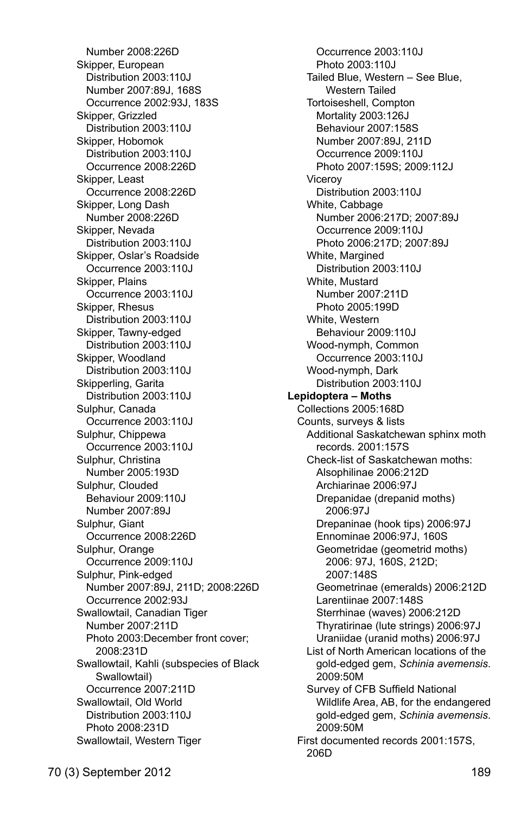Number 2008:226D Skipper, European Distribution 2003:110J Number 2007:89J, 168S Occurrence 2002:93J, 183S Skipper, Grizzled Distribution 2003:110J Skipper, Hobomok Distribution 2003:110J Occurrence 2008:226D Skipper, Least Occurrence 2008:226D Skipper, Long Dash Number 2008:226D Skipper, Nevada Distribution 2003:110J Skipper, Oslar's Roadside Occurrence 2003:110J Skipper, Plains Occurrence 2003:110J Skipper, Rhesus Distribution 2003:110J Skipper, Tawny-edged Distribution 2003:110J Skipper, Woodland Distribution 2003:110J Skipperling, Garita Distribution 2003:110J Sulphur, Canada Occurrence 2003:110J Sulphur, Chippewa Occurrence 2003:110J Sulphur, Christina Number 2005:193D Sulphur, Clouded Behaviour 2009:110J Number 2007:89J Sulphur, Giant Occurrence 2008:226D Sulphur, Orange Occurrence 2009:110J Sulphur, Pink-edged Number 2007:89J, 211D; 2008:226D Occurrence 2002:93J Swallowtail, Canadian Tiger Number 2007:211D Photo 2003:December front cover; 2008:231D Swallowtail, Kahli (subspecies of Black Swallowtail) Occurrence 2007:211D Swallowtail, Old World Distribution 2003:110J Photo 2008:231D Swallowtail, Western Tiger

 Occurrence 2003:110J Photo 2003:110J Tailed Blue, Western – See Blue, Western Tailed Tortoiseshell, Compton Mortality 2003:126J Behaviour 2007:158S Number 2007:89J, 211D Occurrence 2009:110J Photo 2007:159S; 2009:112J Viceroy Distribution 2003:110J White, Cabbage Number 2006:217D; 2007:89J Occurrence 2009:110J Photo 2006:217D; 2007:89J White, Margined Distribution 2003:110J White, Mustard Number 2007:211D Photo 2005:199D White, Western Behaviour 2009:110J Wood-nymph, Common Occurrence 2003:110J Wood-nymph, Dark Distribution 2003:110J **Lepidoptera – Moths**  Collections 2005:168D Counts, surveys & lists Additional Saskatchewan sphinx moth records. 2001:157S Check-list of Saskatchewan moths: Alsophilinae 2006:212D Archiarinae 2006:97J Drepanidae (drepanid moths) 2006:97J Drepaninae (hook tips) 2006:97J Ennominae 2006:97J, 160S Geometridae (geometrid moths) 2006: 97J, 160S, 212D; 2007:148S Geometrinae (emeralds) 2006:212D Larentiinae 2007:148S Sterrhinae (waves) 2006:212D Thyratirinae (lute strings) 2006:97J Uraniidae (uranid moths) 2006:97J List of North American locations of the gold-edged gem, *Schinia avemensis*. 2009:50M Survey of CFB Suffield National Wildlife Area, AB, for the endangered gold-edged gem, *Schinia avemensis*. 2009:50M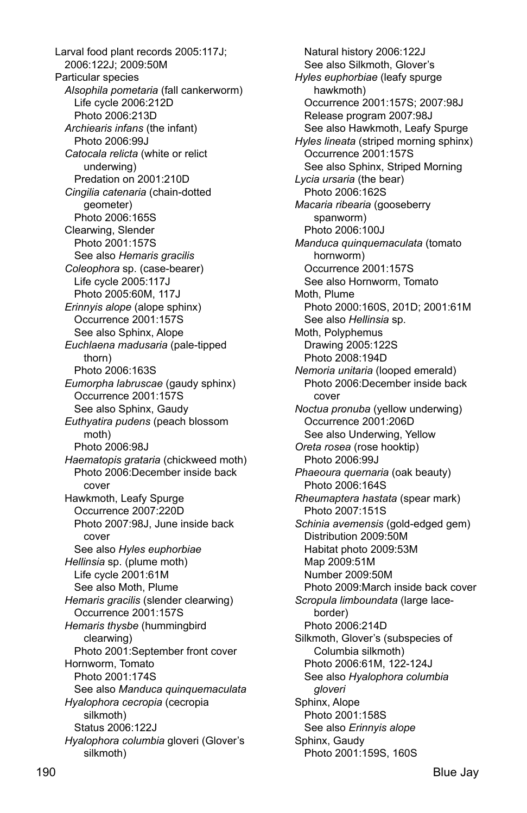Larval food plant records 2005:117J; 2006:122J; 2009:50M Particular species *Alsophila pometaria* (fall cankerworm) Life cycle 2006:212D Photo 2006:213D *Archiearis infans* (the infant) Photo 2006:99J *Catocala relicta* (white or relict underwing) Predation on 2001:210D *Cingilia catenaria* (chain-dotted geometer) Photo 2006:165S Clearwing, Slender Photo 2001:157S See also *Hemaris gracilis Coleophora* sp. (case-bearer) Life cycle 2005:117J Photo 2005:60M, 117J *Erinnyis alope* (alope sphinx) Occurrence 2001:157S See also Sphinx, Alope *Euchlaena madusaria* (pale-tipped thorn) Photo 2006:163S *Eumorpha labruscae* (gaudy sphinx) Occurrence 2001:157S See also Sphinx, Gaudy *Euthyatira pudens* (peach blossom moth) Photo 2006:98J *Haematopis grataria* (chickweed moth) Photo 2006:December inside back cover Hawkmoth, Leafy Spurge Occurrence 2007:220D Photo 2007:98J, June inside back cover See also *Hyles euphorbiae Hellinsia* sp. (plume moth) Life cycle 2001:61M See also Moth, Plume *Hemaris gracilis* (slender clearwing) Occurrence 2001:157S *Hemaris thysbe* (hummingbird clearwing) Photo 2001:September front cover Hornworm, Tomato Photo 2001:174S See also *Manduca quinquemaculata Hyalophora cecropia* (cecropia silkmoth) Status 2006:122J *Hyalophora columbia* gloveri (Glover's silkmoth)

 Natural history 2006:122J See also Silkmoth, Glover's *Hyles euphorbiae* (leafy spurge hawkmoth) Occurrence 2001:157S; 2007:98J Release program 2007:98J See also Hawkmoth, Leafy Spurge *Hyles lineata* (striped morning sphinx) Occurrence 2001:157S See also Sphinx, Striped Morning *Lycia ursaria* (the bear) Photo 2006:162S *Macaria ribearia* (gooseberry spanworm) Photo 2006:100J *Manduca quinquemaculata* (tomato hornworm) Occurrence 2001:157S See also Hornworm, Tomato Moth, Plume Photo 2000:160S, 201D; 2001:61M See also *Hellinsia* sp. Moth, Polyphemus Drawing 2005:122S Photo 2008:194D *Nemoria unitaria* (looped emerald) Photo 2006:December inside back cover *Noctua pronuba* (yellow underwing) Occurrence 2001:206D See also Underwing, Yellow *Oreta rosea* (rose hooktip) Photo 2006:99J *Phaeoura quernaria* (oak beauty) Photo 2006:164S *Rheumaptera hastata* (spear mark) Photo 2007:151S *Schinia avemensis* (gold-edged gem) Distribution 2009:50M Habitat photo 2009:53M Map 2009:51M Number 2009:50M Photo 2009:March inside back cover *Scropula limboundata* (large laceborder) Photo 2006:214D Silkmoth, Glover's (subspecies of Columbia silkmoth) Photo 2006:61M, 122-124J See also *Hyalophora columbia gloveri* Sphinx, Alope Photo 2001:158S See also *Erinnyis alope* Sphinx, Gaudy Photo 2001:159S, 160S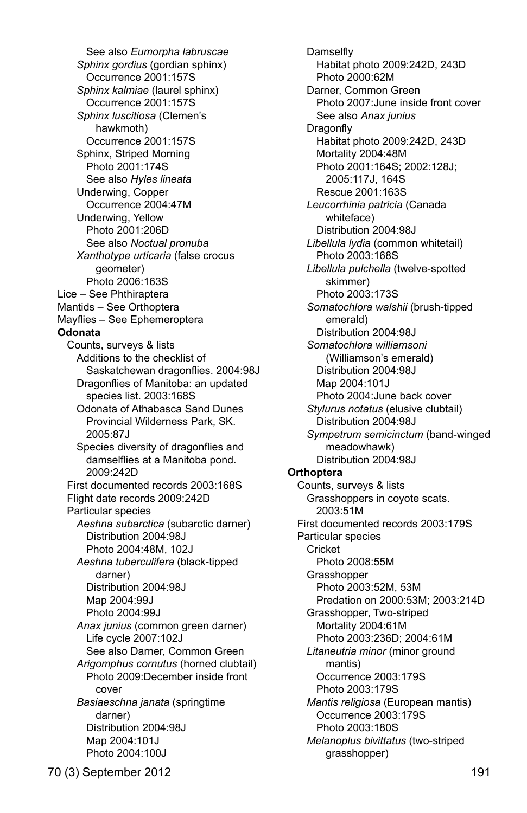See also *Eumorpha labruscae Sphinx gordius* (gordian sphinx) Occurrence 2001:157S *Sphinx kalmiae* (laurel sphinx) Occurrence 2001:157S *Sphinx luscitiosa* (Clemen's hawkmoth) Occurrence 2001:157S Sphinx, Striped Morning Photo 2001:174S See also *Hyles lineata* Underwing, Copper Occurrence 2004:47M Underwing, Yellow Photo 2001:206D See also *Noctual pronuba Xanthotype urticaria* (false crocus geometer) Photo 2006:163S Lice – See Phthiraptera Mantids – See Orthoptera Mayflies – See Ephemeroptera **Odonata**  Counts, surveys & lists Additions to the checklist of Saskatchewan dragonflies. 2004:98J Dragonflies of Manitoba: an updated species list. 2003:168S Odonata of Athabasca Sand Dunes Provincial Wilderness Park, SK. 2005:87J Species diversity of dragonflies and damselflies at a Manitoba pond. 2009:242D First documented records 2003:168S Flight date records 2009:242D Particular species *Aeshna subarctica* (subarctic darner) Distribution 2004:98J Photo 2004:48M, 102J *Aeshna tuberculifera* (black-tipped darner) Distribution 2004:98J Map 2004:99J Photo 2004:99J *Anax junius* (common green darner) Life cycle 2007:102J See also Darner, Common Green *Arigomphus cornutus* (horned clubtail) Photo 2009:December inside front cover *Basiaeschna janata* (springtime darner) Distribution 2004:98J Map 2004:101J Photo 2004:100J

**Damselfly**  Habitat photo 2009:242D, 243D Photo 2000:62M Darner, Common Green Photo 2007:June inside front cover See also *Anax junius*  Dragonfly Habitat photo 2009:242D, 243D Mortality 2004:48M Photo 2001:164S; 2002:128J; 2005:117J, 164S Rescue 2001:163S *Leucorrhinia patricia* (Canada whiteface) Distribution 2004:98J *Libellula lydia* (common whitetail) Photo 2003:168S *Libellula pulchella* (twelve-spotted skimmer) Photo 2003:173S *Somatochlora walshii* (brush-tipped emerald) Distribution 2004:98J *Somatochlora williamsoni*  (Williamson's emerald) Distribution 2004:98J Map 2004:101J Photo 2004:June back cover *Stylurus notatus* (elusive clubtail) Distribution 2004:98J *Sympetrum semicinctum* (band-winged meadowhawk) Distribution 2004:98J **Orthoptera**  Counts, surveys & lists Grasshoppers in coyote scats. 2003:51M First documented records 2003:179S Particular species **Cricket**  Photo 2008:55M **Grasshopper**  Photo 2003:52M, 53M Predation on 2000:53M; 2003:214D Grasshopper, Two-striped Mortality 2004:61M Photo 2003:236D; 2004:61M *Litaneutria minor* (minor ground mantis) Occurrence 2003:179S Photo 2003:179S *Mantis religiosa* (European mantis) Occurrence 2003:179S Photo 2003:180S *Melanoplus bivittatus* (two-striped grasshopper)

70 (3) September 2012 191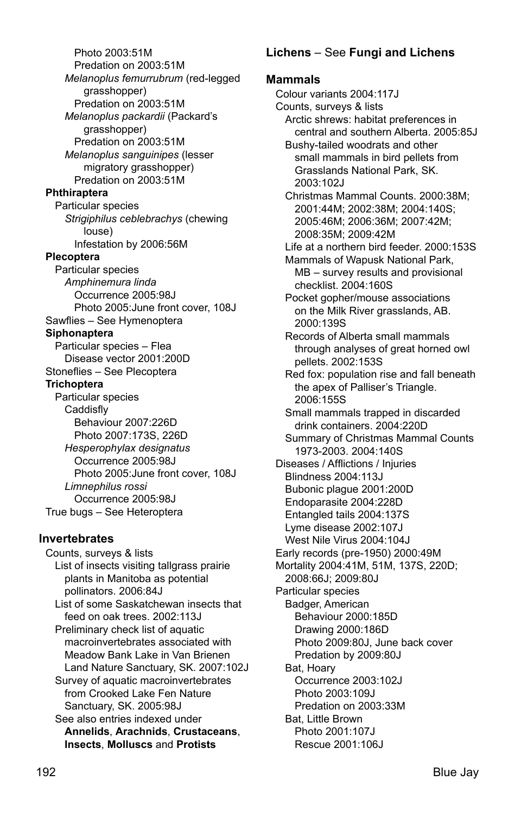Photo 2003:51M Predation on 2003:51M *Melanoplus femurrubrum* (red-legged grasshopper) Predation on 2003:51M *Melanoplus packardii* (Packard's grasshopper) Predation on 2003:51M *Melanoplus sanguinipes* (lesser migratory grasshopper) Predation on 2003:51M **Phthiraptera**  Particular species *Strigiphilus ceblebrachys* (chewing louse) Infestation by 2006:56M **Plecoptera**  Particular species *Amphinemura linda*  Occurrence 2005:98J Photo 2005:June front cover, 108J Sawflies – See Hymenoptera **Siphonaptera**  Particular species – Flea Disease vector 2001:200D Stoneflies – See Plecoptera **Trichoptera**  Particular species Caddisfly Behaviour 2007:226D Photo 2007:173S, 226D *Hesperophylax designatus*  Occurrence 2005:98J Photo 2005:June front cover, 108J *Limnephilus rossi*  Occurrence 2005:98J True bugs – See Heteroptera **Invertebrates** Counts, surveys & lists List of insects visiting tallgrass prairie plants in Manitoba as potential pollinators. 2006:84J List of some Saskatchewan insects that feed on oak trees. 2002:113J Preliminary check list of aquatic macroinvertebrates associated with Meadow Bank Lake in Van Brienen Land Nature Sanctuary, SK. 2007:102J

 Survey of aquatic macroinvertebrates from Crooked Lake Fen Nature Sanctuary, SK. 2005:98J

 See also entries indexed under **Annelids**, **Arachnids**, **Crustaceans**, **Insects**, **Molluscs** and **Protists**

# **Lichens** – See **Fungi and Lichens**

## **Mammals**

Colour variants 2004:117J Counts, surveys & lists Arctic shrews: habitat preferences in central and southern Alberta. 2005:85J Bushy-tailed woodrats and other small mammals in bird pellets from Grasslands National Park, SK. 2003:102J Christmas Mammal Counts. 2000:38M; 2001:44M; 2002:38M; 2004:140S; 2005:46M; 2006:36M; 2007:42M; 2008:35M; 2009:42M Life at a northern bird feeder. 2000:153S Mammals of Wapusk National Park, MB – survey results and provisional checklist. 2004:160S Pocket gopher/mouse associations on the Milk River grasslands, AB. 2000:139S Records of Alberta small mammals through analyses of great horned owl pellets. 2002:153S Red fox: population rise and fall beneath the apex of Palliser's Triangle. 2006:155S Small mammals trapped in discarded drink containers. 2004:220D Summary of Christmas Mammal Counts 1973-2003. 2004:140S Diseases / Afflictions / Injuries Blindness 2004:113J Bubonic plague 2001:200D Endoparasite 2004:228D Entangled tails 2004:137S Lyme disease 2002:107J West Nile Virus 2004:104J Early records (pre-1950) 2000:49M Mortality 2004:41M, 51M, 137S, 220D; 2008:66J; 2009:80J Particular species Badger, American Behaviour 2000:185D Drawing 2000:186D Photo 2009:80J, June back cover Predation by 2009:80J Bat, Hoary Occurrence 2003:102J Photo 2003:109J Predation on 2003:33M Bat, Little Brown Photo 2001:107J Rescue 2001:106J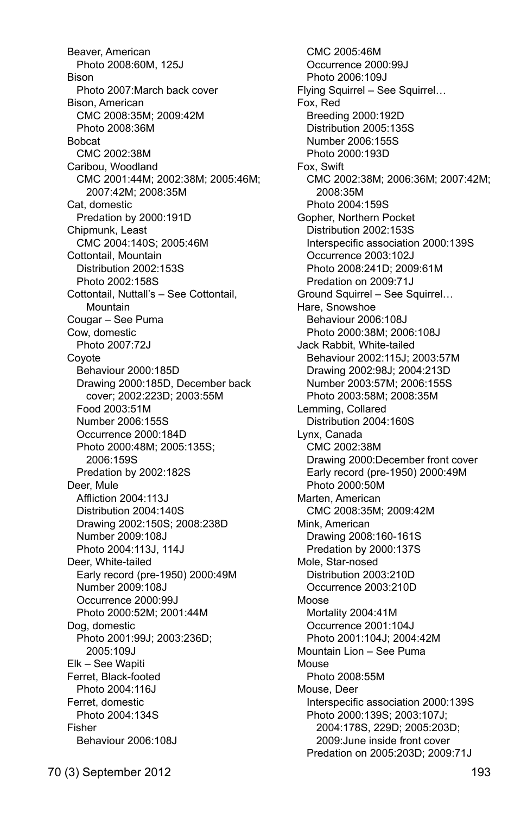Beaver, American Photo 2008:60M, 125J Bison Photo 2007:March back cover Bison, American CMC 2008:35M; 2009:42M Photo 2008:36M Bobcat CMC 2002:38M Caribou, Woodland CMC 2001:44M; 2002:38M; 2005:46M; 2007:42M; 2008:35M Cat, domestic Predation by 2000:191D Chipmunk, Least CMC 2004:140S; 2005:46M Cottontail, Mountain Distribution 2002:153S Photo 2002:158S Cottontail, Nuttall's – See Cottontail, **Mountain**  Cougar – See Puma Cow, domestic Photo 2007:72J Coyote Behaviour 2000:185D Drawing 2000:185D, December back cover; 2002:223D; 2003:55M Food 2003:51M Number 2006:155S Occurrence 2000:184D Photo 2000:48M; 2005:135S; 2006:159S Predation by 2002:182S Deer, Mule Affliction 2004:113J Distribution 2004:140S Drawing 2002:150S; 2008:238D Number 2009:108J Photo 2004:113J, 114J Deer, White-tailed Early record (pre-1950) 2000:49M Number 2009:108J Occurrence 2000:99J Photo 2000:52M; 2001:44M Dog, domestic Photo 2001:99J; 2003:236D; 2005:109J Elk – See Wapiti Ferret, Black-footed Photo 2004:116J Ferret, domestic Photo 2004:134S Fisher Behaviour 2006:108J

 CMC 2005:46M Occurrence 2000:99J Photo 2006:109J Flying Squirrel – See Squirrel… Fox, Red Breeding 2000:192D Distribution 2005:135S Number 2006:155S Photo 2000:193D Fox, Swift CMC 2002:38M; 2006:36M; 2007:42M; 2008:35M Photo 2004:159S Gopher, Northern Pocket Distribution 2002:153S Interspecific association 2000:139S Occurrence 2003:102J Photo 2008:241D; 2009:61M Predation on 2009:71J Ground Squirrel – See Squirrel… Hare, Snowshoe Behaviour 2006:108J Photo 2000:38M; 2006:108J Jack Rabbit, White-tailed Behaviour 2002:115J; 2003:57M Drawing 2002:98J; 2004:213D Number 2003:57M; 2006:155S Photo 2003:58M; 2008:35M Lemming, Collared Distribution 2004:160S Lynx, Canada CMC 2002:38M Drawing 2000:December front cover Early record (pre-1950) 2000:49M Photo 2000:50M Marten, American CMC 2008:35M; 2009:42M Mink, American Drawing 2008:160-161S Predation by 2000:137S Mole, Star-nosed Distribution 2003:210D Occurrence 2003:210D Moose Mortality 2004:41M Occurrence 2001:104J Photo 2001:104J; 2004:42M Mountain Lion – See Puma Mouse Photo 2008:55M Mouse, Deer Interspecific association 2000:139S Photo 2000:139S; 2003:107J; 2004:178S, 229D; 2005:203D; 2009:June inside front cover Predation on 2005:203D; 2009:71J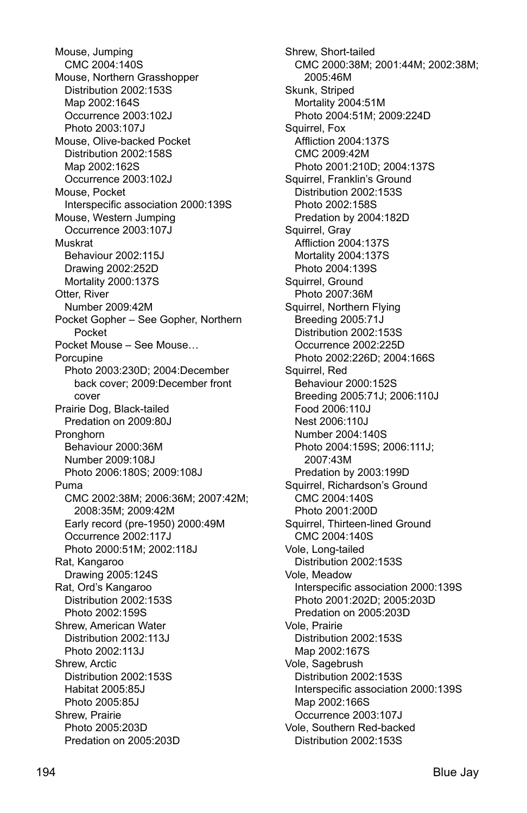Mouse, Jumping CMC 2004:140S Mouse, Northern Grasshopper Distribution 2002:153S Map 2002:164S Occurrence 2003:102J Photo 2003:107J Mouse, Olive-backed Pocket Distribution 2002:158S Map 2002:162S Occurrence 2003:102J Mouse, Pocket Interspecific association 2000:139S Mouse, Western Jumping Occurrence 2003:107J Muskrat Behaviour 2002:115J Drawing 2002:252D Mortality 2000:137S Otter, River Number 2009:42M Pocket Gopher – See Gopher, Northern Pocket Pocket Mouse – See Mouse… Porcupine Photo 2003:230D; 2004:December back cover; 2009:December front cover Prairie Dog, Black-tailed Predation on 2009:80J **Pronghorn**  Behaviour 2000:36M Number 2009:108J Photo 2006:180S; 2009:108J Puma CMC 2002:38M; 2006:36M; 2007:42M; 2008:35M; 2009:42M Early record (pre-1950) 2000:49M Occurrence 2002:117J Photo 2000:51M; 2002:118J Rat, Kangaroo Drawing 2005:124S Rat, Ord's Kangaroo Distribution 2002:153S Photo 2002:159S Shrew, American Water Distribution 2002:113J Photo 2002:113J Shrew, Arctic Distribution 2002:153S Habitat 2005:85J Photo 2005:85J Shrew, Prairie Photo 2005:203D Predation on 2005:203D

 Shrew, Short-tailed CMC 2000:38M; 2001:44M; 2002:38M; 2005:46M Skunk, Striped Mortality 2004:51M Photo 2004:51M; 2009:224D Squirrel, Fox Affliction 2004:137S CMC 2009:42M Photo 2001:210D; 2004:137S Squirrel, Franklin's Ground Distribution 2002:153S Photo 2002:158S Predation by 2004:182D Squirrel, Gray Affliction 2004:137S Mortality 2004:137S Photo 2004:139S Squirrel, Ground Photo 2007:36M Squirrel, Northern Flying Breeding 2005:71J Distribution 2002:153S Occurrence 2002:225D Photo 2002:226D; 2004:166S Squirrel, Red Behaviour 2000:152S Breeding 2005:71J; 2006:110J Food 2006:110J Nest 2006:110J Number 2004:140S Photo 2004:159S; 2006:111J; 2007:43M Predation by 2003:199D Squirrel, Richardson's Ground CMC 2004:140S Photo 2001:200D Squirrel, Thirteen-lined Ground CMC 2004:140S Vole, Long-tailed Distribution 2002:153S Vole, Meadow Interspecific association 2000:139S Photo 2001:202D; 2005:203D Predation on 2005:203D Vole, Prairie Distribution 2002:153S Map 2002:167S Vole, Sagebrush Distribution 2002:153S Interspecific association 2000:139S Map 2002:166S Occurrence 2003:107J Vole, Southern Red-backed Distribution 2002:153S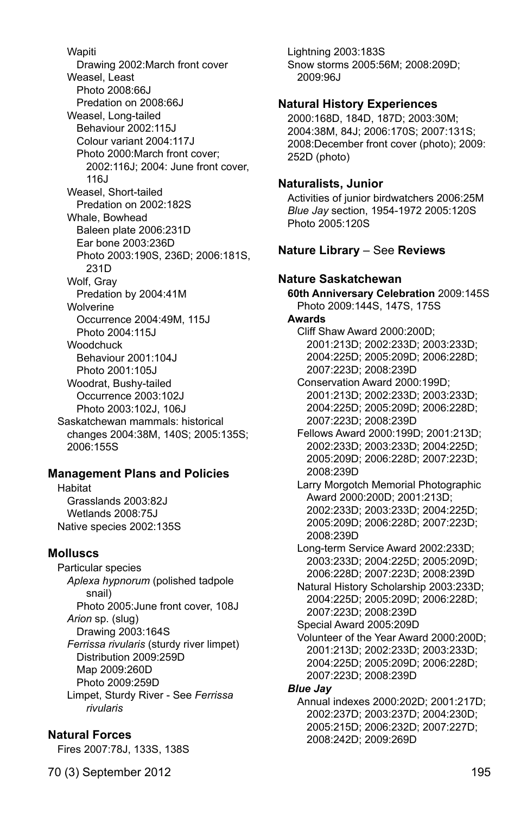**Wapiti**  Drawing 2002:March front cover Weasel, Least Photo 2008:66J Predation on 2008:66J Weasel, Long-tailed Behaviour 2002:115J Colour variant 2004:117J Photo 2000:March front cover; 2002:116J; 2004: June front cover, 116J Weasel, Short-tailed Predation on 2002:182S Whale, Bowhead Baleen plate 2006:231D Ear bone 2003:236D Photo 2003:190S, 236D; 2006:181S, 231D Wolf, Gray Predation by 2004:41M **Wolverine**  Occurrence 2004:49M, 115J Photo 2004:115J **Woodchuck**  Behaviour 2001:104J Photo 2001:105J Woodrat, Bushy-tailed Occurrence 2003:102J Photo 2003:102J, 106J Saskatchewan mammals: historical changes 2004:38M, 140S; 2005:135S; 2006:155S

### **Management Plans and Policies**

Habitat Grasslands 2003:82J Wetlands 2008:75J Native species 2002:135S

### **Molluscs**

Particular species *Aplexa hypnorum* (polished tadpole snail) Photo 2005:June front cover, 108J *Arion* sp. (slug) Drawing 2003:164S *Ferrissa rivularis* (sturdy river limpet) Distribution 2009:259D Map 2009:260D Photo 2009:259D Limpet, Sturdy River - See *Ferrissa rivularis*

### **Natural Forces**

Fires 2007:78J, 133S, 138S

Lightning 2003:183S Snow storms 2005:56M; 2008:209D; 2009:96J

#### **Natural History Experiences**

2000:168D, 184D, 187D; 2003:30M; 2004:38M, 84J; 2006:170S; 2007:131S; 2008:December front cover (photo); 2009: 252D (photo)

#### **Naturalists, Junior**

Activities of junior birdwatchers 2006:25M *Blue Jay* section, 1954-1972 2005:120S Photo 2005:120S

## **Nature Library** – See **Reviews**

## **Nature Saskatchewan**

**60th Anniversary Celebration** 2009:145S Photo 2009:144S, 147S, 175S **Awards**  Cliff Shaw Award 2000:200D; 2001:213D; 2002:233D; 2003:233D; 2004:225D; 2005:209D; 2006:228D; 2007:223D; 2008:239D Conservation Award 2000:199D; 2001:213D; 2002:233D; 2003:233D; 2004:225D; 2005:209D; 2006:228D; 2007:223D; 2008:239D Fellows Award 2000:199D; 2001:213D; 2002:233D; 2003:233D; 2004:225D; 2005:209D; 2006:228D; 2007:223D; 2008:239D Larry Morgotch Memorial Photographic Award 2000:200D; 2001:213D; 2002:233D; 2003:233D; 2004:225D; 2005:209D; 2006:228D; 2007:223D; 2008:239D Long-term Service Award 2002:233D; 2003:233D; 2004:225D; 2005:209D; 2006:228D; 2007:223D; 2008:239D Natural History Scholarship 2003:233D; 2004:225D; 2005:209D; 2006:228D; 2007:223D; 2008:239D Special Award 2005:209D Volunteer of the Year Award 2000:200D; 2001:213D; 2002:233D; 2003:233D; 2004:225D; 2005:209D; 2006:228D; 2007:223D; 2008:239D *Blue Jay* Annual indexes 2000:202D; 2001:217D; 2002:237D; 2003:237D; 2004:230D; 2005:215D; 2006:232D; 2007:227D;

2008:242D; 2009:269D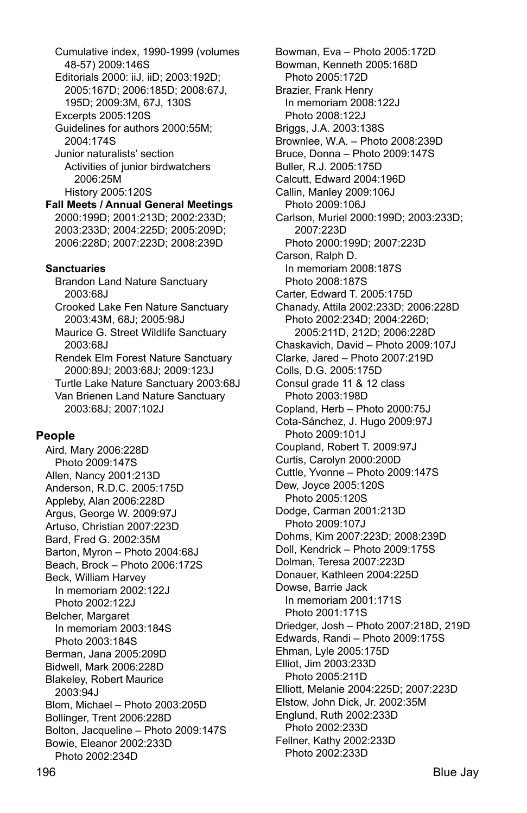Cumulative index, 1990-1999 (volumes 48-57) 2009:146S Editorials 2000: iiJ, iiD; 2003:192D; 2005:167D; 2006:185D; 2008:67J, 195D; 2009:3M, 67J, 130S Excerpts 2005:120S Guidelines for authors 2000:55M; 2004:174S Junior naturalists' section Activities of junior birdwatchers 2006:25M History 2005:120S **Fall Meets / Annual General Meetings** 2000:199D; 2001:213D; 2002:233D; 2003:233D; 2004:225D; 2005:209D; 2006:228D; 2007:223D; 2008:239D **Sanctuaries**  Brandon Land Nature Sanctuary 2003:68J Crooked Lake Fen Nature Sanctuary 2003:43M, 68J; 2005:98J Maurice G. Street Wildlife Sanctuary 2003:68J Rendek Elm Forest Nature Sanctuary 2000:89J; 2003:68J; 2009:123J Turtle Lake Nature Sanctuary 2003:68J

 Van Brienen Land Nature Sanctuary 2003:68J; 2007:102J

### **People**

Aird, Mary 2006:228D Photo 2009:147S Allen, Nancy 2001:213D Anderson, R.D.C. 2005:175D Appleby, Alan 2006:228D Argus, George W. 2009:97J Artuso, Christian 2007:223D Bard, Fred G. 2002:35M Barton, Myron – Photo 2004:68J Beach, Brock – Photo 2006:172S Beck, William Harvey In memoriam 2002:122J Photo 2002:122J Belcher, Margaret In memoriam 2003:184S Photo 2003:184S Berman, Jana 2005:209D Bidwell, Mark 2006:228D Blakeley, Robert Maurice 2003:94J Blom, Michael – Photo 2003:205D Bollinger, Trent 2006:228D Bolton, Jacqueline – Photo 2009:147S Bowie, Eleanor 2002:233D Photo 2002:234D

Bowman, Eva – Photo 2005:172D Bowman, Kenneth 2005:168D Photo 2005:172D Brazier, Frank Henry In memoriam 2008:122J Photo 2008:122J Briggs, J.A. 2003:138S Brownlee, W.A. – Photo 2008:239D Bruce, Donna – Photo 2009:147S Buller, R.J. 2005:175D Calcutt, Edward 2004:196D Callin, Manley 2009:106J Photo 2009:106J Carlson, Muriel 2000:199D; 2003:233D; 2007:223D Photo 2000:199D; 2007:223D Carson, Ralph D. In memoriam 2008:187S Photo 2008:187S Carter, Edward T. 2005:175D Chanady, Attila 2002:233D; 2006:228D Photo 2002:234D; 2004:226D; 2005:211D, 212D; 2006:228D Chaskavich, David – Photo 2009:107J Clarke, Jared – Photo 2007:219D Colls, D.G. 2005:175D Consul grade 11 & 12 class Photo 2003:198D Copland, Herb – Photo 2000:75J Cota-Sánchez, J. Hugo 2009:97J Photo 2009:101J Coupland, Robert T. 2009:97J Curtis, Carolyn 2000:200D Cuttle, Yvonne – Photo 2009:147S Dew, Joyce 2005:120S Photo 2005:120S Dodge, Carman 2001:213D Photo 2009:107J Dohms, Kim 2007:223D; 2008:239D Doll, Kendrick – Photo 2009:175S Dolman, Teresa 2007:223D Donauer, Kathleen 2004:225D Dowse, Barrie Jack In memoriam 2001:171S Photo 2001:171S Driedger, Josh – Photo 2007:218D, 219D Edwards, Randi – Photo 2009:175S Ehman, Lyle 2005:175D Elliot, Jim 2003:233D Photo 2005:211D Elliott, Melanie 2004:225D; 2007:223D Elstow, John Dick, Jr. 2002:35M Englund, Ruth 2002:233D Photo 2002:233D Fellner, Kathy 2002:233D Photo 2002:233D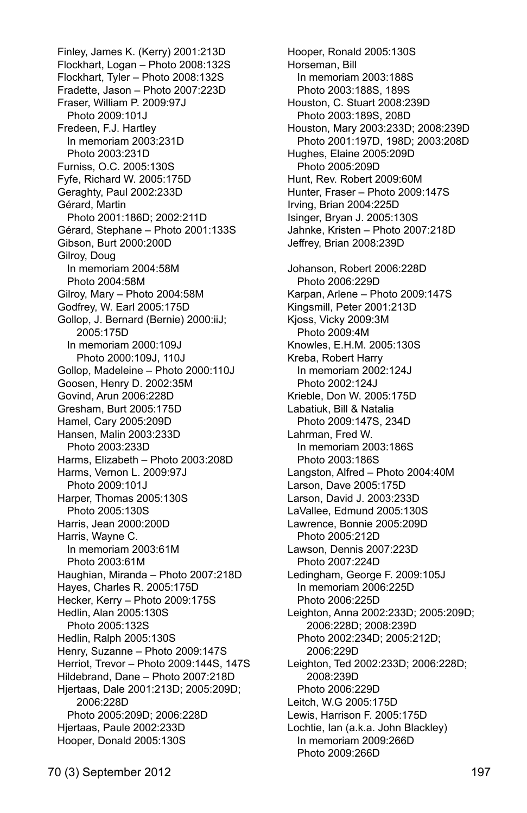Finley, James K. (Kerry) 2001:213D Flockhart, Logan – Photo 2008:132S Flockhart, Tyler – Photo 2008:132S Fradette, Jason – Photo 2007:223D Fraser, William P. 2009:97J Photo 2009:101J Fredeen, F.J. Hartley In memoriam 2003:231D Photo 2003:231D Furniss, O.C. 2005:130S Fyfe, Richard W. 2005:175D Geraghty, Paul 2002:233D Gérard, Martin Photo 2001:186D; 2002:211D Gérard, Stephane – Photo 2001:133S Gibson, Burt 2000:200D Gilroy, Doug In memoriam 2004:58M Photo 2004:58M Gilroy, Mary – Photo 2004:58M Godfrey, W. Earl 2005:175D Gollop, J. Bernard (Bernie) 2000:iiJ; 2005:175D In memoriam 2000:109J Photo 2000:109J, 110J Gollop, Madeleine – Photo 2000:110J Goosen, Henry D. 2002:35M Govind, Arun 2006:228D Gresham, Burt 2005:175D Hamel, Cary 2005:209D Hansen, Malin 2003:233D Photo 2003:233D Harms, Elizabeth – Photo 2003:208D Harms, Vernon L. 2009:97J Photo 2009:101J Harper, Thomas 2005:130S Photo 2005:130S Harris, Jean 2000:200D Harris, Wayne C. In memoriam 2003:61M Photo 2003:61M Haughian, Miranda – Photo 2007:218D Hayes, Charles R. 2005:175D Hecker, Kerry – Photo 2009:175S Hedlin, Alan 2005:130S Photo 2005:132S Hedlin, Ralph 2005:130S Henry, Suzanne – Photo 2009:147S Herriot, Trevor – Photo 2009:144S, 147S Hildebrand, Dane – Photo 2007:218D Hjertaas, Dale 2001:213D; 2005:209D; 2006:228D Photo 2005:209D; 2006:228D Hjertaas, Paule 2002:233D Hooper, Donald 2005:130S

Hooper, Ronald 2005:130S Horseman, Bill In memoriam 2003:188S Photo 2003:188S, 189S Houston, C. Stuart 2008:239D Photo 2003:189S, 208D Houston, Mary 2003:233D; 2008:239D Photo 2001:197D, 198D; 2003:208D Hughes, Elaine 2005:209D Photo 2005:209D Hunt, Rev. Robert 2009:60M Hunter, Fraser – Photo 2009:147S Irving, Brian 2004:225D Isinger, Bryan J. 2005:130S Jahnke, Kristen – Photo 2007:218D Jeffrey, Brian 2008:239D Johanson, Robert 2006:228D Photo 2006:229D Karpan, Arlene – Photo 2009:147S Kingsmill, Peter 2001:213D Kjoss, Vicky 2009:3M Photo 2009:4M Knowles, E.H.M. 2005:130S Kreba, Robert Harry In memoriam 2002:124J Photo 2002:124J Krieble, Don W. 2005:175D Labatiuk, Bill & Natalia Photo 2009:147S, 234D Lahrman, Fred W. In memoriam 2003:186S Photo 2003:186S Langston, Alfred – Photo 2004:40M Larson, Dave 2005:175D Larson, David J. 2003:233D LaVallee, Edmund 2005:130S Lawrence, Bonnie 2005:209D Photo 2005:212D Lawson, Dennis 2007:223D Photo 2007:224D Ledingham, George F. 2009:105J In memoriam 2006:225D Photo 2006:225D Leighton, Anna 2002:233D; 2005:209D; 2006:228D; 2008:239D Photo 2002:234D; 2005:212D; 2006:229D Leighton, Ted 2002:233D; 2006:228D; 2008:239D Photo 2006:229D Leitch, W.G 2005:175D Lewis, Harrison F. 2005:175D Lochtie, Ian (a.k.a. John Blackley) In memoriam 2009:266D Photo 2009:266D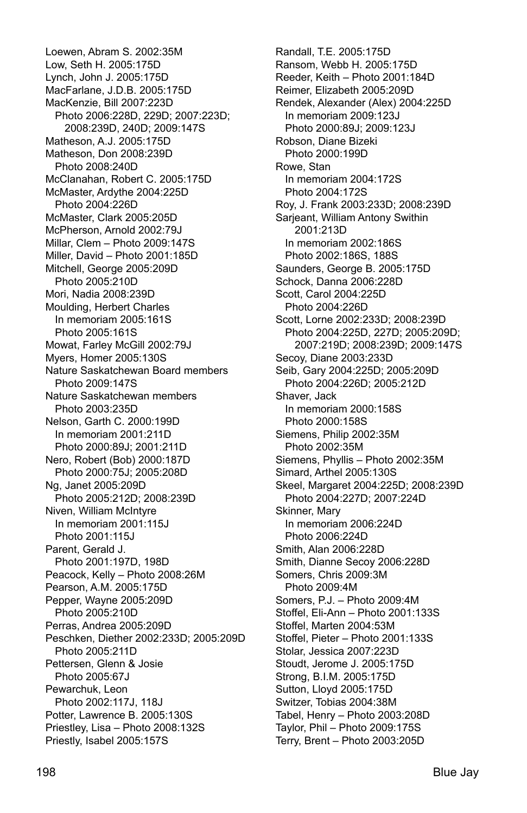Loewen, Abram S. 2002:35M Low, Seth H. 2005:175D Lynch, John J. 2005:175D MacFarlane, J.D.B. 2005:175D MacKenzie, Bill 2007:223D Photo 2006:228D, 229D; 2007:223D; 2008:239D, 240D; 2009:147S Matheson, A.J. 2005:175D Matheson, Don 2008:239D Photo 2008:240D McClanahan, Robert C. 2005:175D McMaster, Ardythe 2004:225D Photo 2004:226D McMaster, Clark 2005:205D McPherson, Arnold 2002:79J Millar, Clem – Photo 2009:147S Miller, David – Photo 2001:185D Mitchell, George 2005:209D Photo 2005:210D Mori, Nadia 2008:239D Moulding, Herbert Charles In memoriam 2005:161S Photo 2005:161S Mowat, Farley McGill 2002:79J Myers, Homer 2005:130S Nature Saskatchewan Board members Photo 2009:147S Nature Saskatchewan members Photo 2003:235D Nelson, Garth C. 2000:199D In memoriam 2001:211D Photo 2000:89J; 2001:211D Nero, Robert (Bob) 2000:187D Photo 2000:75J; 2005:208D Ng, Janet 2005:209D Photo 2005:212D; 2008:239D Niven, William McIntyre In memoriam 2001:115J Photo 2001:115J Parent, Gerald J. Photo 2001:197D, 198D Peacock, Kelly – Photo 2008:26M Pearson, A.M. 2005:175D Pepper, Wayne 2005:209D Photo 2005:210D Perras, Andrea 2005:209D Peschken, Diether 2002:233D; 2005:209D Photo 2005:211D Pettersen, Glenn & Josie Photo 2005:67J Pewarchuk, Leon Photo 2002:117J, 118J Potter, Lawrence B. 2005:130S Priestley, Lisa – Photo 2008:132S Priestly, Isabel 2005:157S

Randall, T.E. 2005:175D Ransom, Webb H. 2005:175D Reeder, Keith – Photo 2001:184D Reimer, Elizabeth 2005:209D Rendek, Alexander (Alex) 2004:225D In memoriam 2009:123J Photo 2000:89J; 2009:123J Robson, Diane Bizeki Photo 2000:199D Rowe, Stan In memoriam 2004:172S Photo 2004:172S Roy, J. Frank 2003:233D; 2008:239D Sarjeant, William Antony Swithin 2001:213D In memoriam 2002:186S Photo 2002:186S, 188S Saunders, George B. 2005:175D Schock, Danna 2006:228D Scott, Carol 2004:225D Photo 2004:226D Scott, Lorne 2002:233D; 2008:239D Photo 2004:225D, 227D; 2005:209D; 2007:219D; 2008:239D; 2009:147S Secoy, Diane 2003:233D Seib, Gary 2004:225D; 2005:209D Photo 2004:226D; 2005:212D Shaver, Jack In memoriam 2000:158S Photo 2000:158S Siemens, Philip 2002:35M Photo 2002:35M Siemens, Phyllis – Photo 2002:35M Simard, Arthel 2005:130S Skeel, Margaret 2004:225D; 2008:239D Photo 2004:227D; 2007:224D Skinner, Mary In memoriam 2006:224D Photo 2006:224D Smith, Alan 2006:228D Smith, Dianne Secoy 2006:228D Somers, Chris 2009:3M Photo 2009:4M Somers, P.J. – Photo 2009:4M Stoffel, Eli-Ann – Photo 2001:133S Stoffel, Marten 2004:53M Stoffel, Pieter – Photo 2001:133S Stolar, Jessica 2007:223D Stoudt, Jerome J. 2005:175D Strong, B.I.M. 2005:175D Sutton, Lloyd 2005:175D Switzer, Tobias 2004:38M Tabel, Henry – Photo 2003:208D Taylor, Phil – Photo 2009:175S Terry, Brent – Photo 2003:205D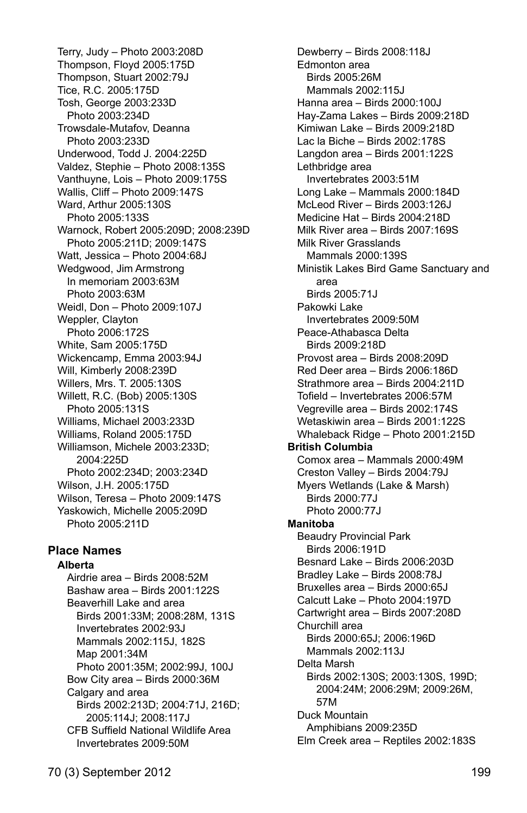Terry, Judy – Photo 2003:208D Thompson, Floyd 2005:175D Thompson, Stuart 2002:79J Tice, R.C. 2005:175D Tosh, George 2003:233D Photo 2003:234D Trowsdale-Mutafov, Deanna Photo 2003:233D Underwood, Todd J. 2004:225D Valdez, Stephie – Photo 2008:135S Vanthuyne, Lois – Photo 2009:175S Wallis, Cliff – Photo 2009:147S Ward, Arthur 2005:130S Photo 2005:133S Warnock, Robert 2005:209D; 2008:239D Photo 2005:211D; 2009:147S Watt, Jessica – Photo 2004:68J Wedgwood, Jim Armstrong In memoriam 2003:63M Photo 2003:63M Weidl, Don – Photo 2009:107J Weppler, Clayton Photo 2006:172S White, Sam 2005:175D Wickencamp, Emma 2003:94J Will, Kimberly 2008:239D Willers, Mrs. T. 2005:130S Willett, R.C. (Bob) 2005:130S Photo 2005:131S Williams, Michael 2003:233D Williams, Roland 2005:175D Williamson, Michele 2003:233D; 2004:225D Photo 2002:234D; 2003:234D Wilson, J.H. 2005:175D Wilson, Teresa – Photo 2009:147S Yaskowich, Michelle 2005:209D Photo 2005:211D

# **Place Names**

#### **Alberta**

 Airdrie area – Birds 2008:52M Bashaw area – Birds 2001:122S Beaverhill Lake and area Birds 2001:33M; 2008:28M, 131S Invertebrates 2002:93J Mammals 2002:115J, 182S Map 2001:34M Photo 2001:35M; 2002:99J, 100J Bow City area – Birds 2000:36M Calgary and area Birds 2002:213D; 2004:71J, 216D; 2005:114J; 2008:117J CFB Suffield National Wildlife Area Invertebrates 2009:50M

 Dewberry – Birds 2008:118J Edmonton area Birds 2005:26M Mammals 2002:115J Hanna area – Birds 2000:100J Hay-Zama Lakes – Birds 2009:218D Kimiwan Lake – Birds 2009:218D Lac la Biche – Birds 2002:178S Langdon area – Birds 2001:122S Lethbridge area Invertebrates 2003:51M Long Lake – Mammals 2000:184D McLeod River – Birds 2003:126J Medicine Hat – Birds 2004:218D Milk River area – Birds 2007:169S Milk River Grasslands Mammals 2000:139S Ministik Lakes Bird Game Sanctuary and area Birds 2005:71J Pakowki Lake Invertebrates 2009:50M Peace-Athabasca Delta Birds 2009:218D Provost area – Birds 2008:209D Red Deer area – Birds 2006:186D Strathmore area – Birds 2004:211D Tofield – Invertebrates 2006:57M Vegreville area – Birds 2002:174S Wetaskiwin area – Birds 2001:122S Whaleback Ridge – Photo 2001:215D **British Columbia**  Comox area – Mammals 2000:49M Creston Valley – Birds 2004:79J Myers Wetlands (Lake & Marsh) Birds 2000:77J Photo 2000:77J **Manitoba**  Beaudry Provincial Park Birds 2006:191D Besnard Lake – Birds 2006:203D Bradley Lake – Birds 2008:78J Bruxelles area – Birds 2000:65J Calcutt Lake – Photo 2004:197D Cartwright area – Birds 2007:208D Churchill area Birds 2000:65J; 2006:196D Mammals 2002:113J Delta Marsh Birds 2002:130S; 2003:130S, 199D; 2004:24M; 2006:29M; 2009:26M, 57M Duck Mountain Amphibians 2009:235D Elm Creek area – Reptiles 2002:183S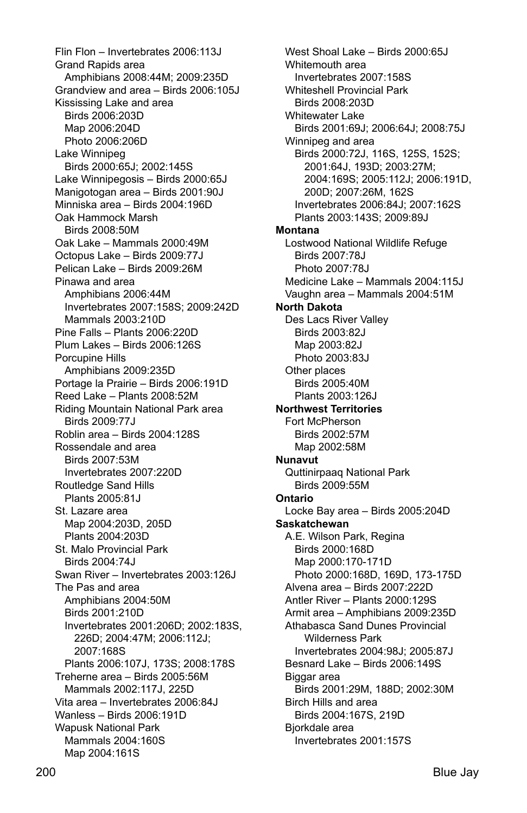Flin Flon – Invertebrates 2006:113J Grand Rapids area Amphibians 2008:44M; 2009:235D Grandview and area – Birds 2006:105J Kississing Lake and area Birds 2006:203D Map 2006:204D Photo 2006:206D Lake Winnipeg Birds 2000:65J; 2002:145S Lake Winnipegosis – Birds 2000:65J Manigotogan area – Birds 2001:90J Minniska area – Birds 2004:196D Oak Hammock Marsh Birds 2008:50M Oak Lake – Mammals 2000:49M Octopus Lake – Birds 2009:77J Pelican Lake – Birds 2009:26M Pinawa and area Amphibians 2006:44M Invertebrates 2007:158S; 2009:242D Mammals 2003:210D Pine Falls – Plants 2006:220D Plum Lakes – Birds 2006:126S Porcupine Hills Amphibians 2009:235D Portage la Prairie – Birds 2006:191D Reed Lake – Plants 2008:52M Riding Mountain National Park area Birds 2009:77J Roblin area – Birds 2004:128S Rossendale and area Birds 2007:53M Invertebrates 2007:220D Routledge Sand Hills Plants 2005:81J St. Lazare area Map 2004:203D, 205D Plants 2004:203D St. Malo Provincial Park Birds 2004:74J Swan River – Invertebrates 2003:126J The Pas and area Amphibians 2004:50M Birds 2001:210D Invertebrates 2001:206D; 2002:183S, 226D; 2004:47M; 2006:112J; 2007:168S Plants 2006:107J, 173S; 2008:178S Treherne area – Birds 2005:56M Mammals 2002:117J, 225D Vita area – Invertebrates 2006:84J Wanless – Birds 2006:191D Wapusk National Park Mammals 2004:160S Map 2004:161S

West Shoal Lake – Birds 2000:65J Whitemouth area Invertebrates 2007:158S Whiteshell Provincial Park Birds 2008:203D Whitewater Lake Birds 2001:69J; 2006:64J; 2008:75J Winnipeg and area Birds 2000:72J, 116S, 125S, 152S; 2001:64J, 193D; 2003:27M; 2004:169S; 2005:112J; 2006:191D, 200D; 2007:26M, 162S Invertebrates 2006:84J; 2007:162S Plants 2003:143S; 2009:89J **Montana**  Lostwood National Wildlife Refuge Birds 2007:78J Photo 2007:78J Medicine Lake – Mammals 2004:115J Vaughn area – Mammals 2004:51M **North Dakota**  Des Lacs River Valley Birds 2003:82J Map 2003:82J Photo 2003:83J Other places Birds 2005:40M Plants 2003:126J **Northwest Territories**  Fort McPherson Birds 2002:57M Map 2002:58M **Nunavut**  Quttinirpaaq National Park Birds 2009:55M **Ontario**  Locke Bay area – Birds 2005:204D **Saskatchewan**  A.E. Wilson Park, Regina Birds 2000:168D Map 2000:170-171D Photo 2000:168D, 169D, 173-175D Alvena area – Birds 2007:222D Antler River – Plants 2000:129S Armit area – Amphibians 2009:235D Athabasca Sand Dunes Provincial Wilderness Park Invertebrates 2004:98J; 2005:87J Besnard Lake – Birds 2006:149S Biggar area Birds 2001:29M, 188D; 2002:30M Birch Hills and area Birds 2004:167S, 219D Bjorkdale area Invertebrates 2001:157S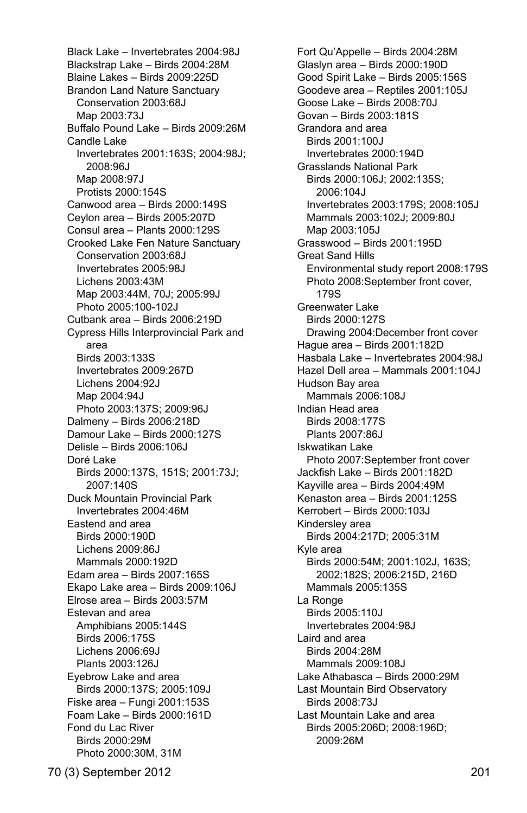Black Lake – Invertebrates 2004:98J Blackstrap Lake – Birds 2004:28M Blaine Lakes – Birds 2009:225D Brandon Land Nature Sanctuary Conservation 2003:68J Map 2003:73J Buffalo Pound Lake – Birds 2009:26M Candle Lake Invertebrates 2001:163S; 2004:98J; 2008:96J Map 2008:97J Protists 2000:154S Canwood area – Birds 2000:149S Ceylon area – Birds 2005:207D Consul area – Plants 2000:129S Crooked Lake Fen Nature Sanctuary Conservation 2003:68J Invertebrates 2005:98J Lichens 2003:43M Map 2003:44M, 70J; 2005:99J Photo 2005:100-102J Cutbank area – Birds 2006:219D Cypress Hills Interprovincial Park and area Birds 2003:133S Invertebrates 2009:267D Lichens 2004:92J Map 2004:94J Photo 2003:137S; 2009:96J Dalmeny – Birds 2006:218D Damour Lake – Birds 2000:127S Delisle – Birds 2006:106J Doré Lake Birds 2000:137S, 151S; 2001:73J; 2007:140S Duck Mountain Provincial Park Invertebrates 2004:46M Eastend and area Birds 2000:190D Lichens 2009:86J Mammals 2000:192D Edam area – Birds 2007:165S Ekapo Lake area – Birds 2009:106J Elrose area – Birds 2003:57M Estevan and area Amphibians 2005:144S Birds 2006:175S Lichens 2006:69J Plants 2003:126J Eyebrow Lake and area Birds 2000:137S; 2005:109J Fiske area – Fungi 2001:153S Foam Lake – Birds 2000:161D Fond du Lac River Birds 2000:29M Photo 2000:30M, 31M

 Fort Qu'Appelle – Birds 2004:28M Glaslyn area – Birds 2000:190D Good Spirit Lake – Birds 2005:156S Goodeve area – Reptiles 2001:105J Goose Lake – Birds 2008:70J Govan – Birds 2003:181S Grandora and area Birds 2001:100J Invertebrates 2000:194D Grasslands National Park Birds 2000:106J; 2002:135S; 2006:104J Invertebrates 2003:179S; 2008:105J Mammals 2003:102J; 2009:80J Map 2003:105J Grasswood – Birds 2001:195D Great Sand Hills Environmental study report 2008:179S Photo 2008:September front cover, 179S Greenwater Lake Birds 2000:127S Drawing 2004:December front cover Hague area – Birds 2001:182D Hasbala Lake – Invertebrates 2004:98J Hazel Dell area – Mammals 2001:104J Hudson Bay area Mammals 2006:108J Indian Head area Birds 2008:177S Plants 2007:86J Iskwatikan Lake Photo 2007:September front cover Jackfish Lake – Birds 2001:182D Kayville area – Birds 2004:49M Kenaston area – Birds 2001:125S Kerrobert – Birds 2000:103J Kindersley area Birds 2004:217D; 2005:31M Kyle area Birds 2000:54M; 2001:102J, 163S; 2002:182S; 2006:215D, 216D Mammals 2005:135S La Ronge Birds 2005:110J Invertebrates 2004:98J Laird and area Birds 2004:28M Mammals 2009:108J Lake Athabasca – Birds 2000:29M Last Mountain Bird Observatory Birds 2008:73J Last Mountain Lake and area Birds 2005:206D; 2008:196D; 2009:26M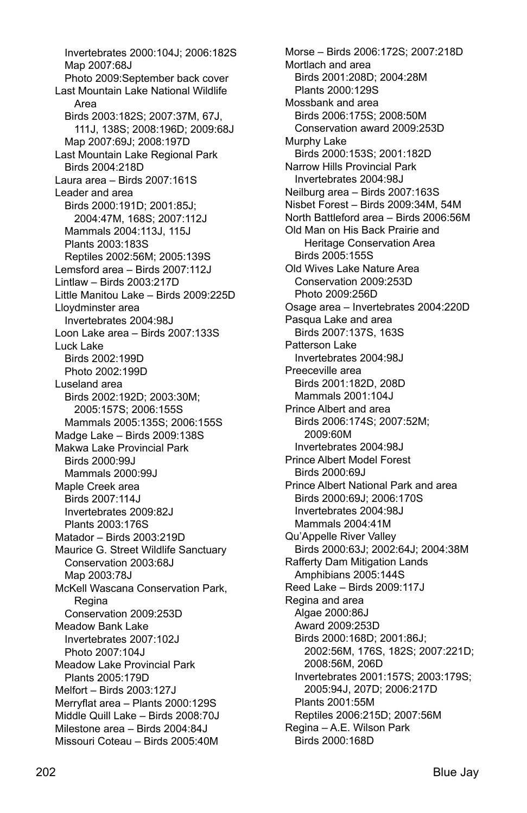Invertebrates 2000:104J; 2006:182S Map 2007:68J Photo 2009:September back cover Last Mountain Lake National Wildlife Area Birds 2003:182S; 2007:37M, 67J, 111J, 138S; 2008:196D; 2009:68J Map 2007:69J; 2008:197D Last Mountain Lake Regional Park Birds 2004:218D Laura area – Birds 2007:161S Leader and area Birds 2000:191D; 2001:85J; 2004:47M, 168S; 2007:112J Mammals 2004:113J, 115J Plants 2003:183S Reptiles 2002:56M; 2005:139S Lemsford area – Birds 2007:112J Lintlaw – Birds 2003:217D Little Manitou Lake – Birds 2009:225D Lloydminster area Invertebrates 2004:98J Loon Lake area – Birds 2007:133S Luck Lake Birds 2002:199D Photo 2002:199D Luseland area Birds 2002:192D; 2003:30M; 2005:157S; 2006:155S Mammals 2005:135S; 2006:155S Madge Lake – Birds 2009:138S Makwa Lake Provincial Park Birds 2000:99J Mammals 2000:99J Maple Creek area Birds 2007:114J Invertebrates 2009:82J Plants 2003:176S Matador – Birds 2003:219D Maurice G. Street Wildlife Sanctuary Conservation 2003:68J Map 2003:78J McKell Wascana Conservation Park, **Regina**  Conservation 2009:253D Meadow Bank Lake Invertebrates 2007:102J Photo 2007:104J Meadow Lake Provincial Park Plants 2005:179D Melfort – Birds 2003:127J Merryflat area – Plants 2000:129S Middle Quill Lake – Birds 2008:70J Milestone area – Birds 2004:84J Missouri Coteau – Birds 2005:40M

 Morse – Birds 2006:172S; 2007:218D Mortlach and area Birds 2001:208D; 2004:28M Plants 2000:129S Mossbank and area Birds 2006:175S; 2008:50M Conservation award 2009:253D Murphy Lake Birds 2000:153S; 2001:182D Narrow Hills Provincial Park Invertebrates 2004:98J Neilburg area – Birds 2007:163S Nisbet Forest – Birds 2009:34M, 54M North Battleford area – Birds 2006:56M Old Man on His Back Prairie and Heritage Conservation Area Birds 2005:155S Old Wives Lake Nature Area Conservation 2009:253D Photo 2009:256D Osage area – Invertebrates 2004:220D Pasqua Lake and area Birds 2007:137S, 163S Patterson Lake Invertebrates 2004:98J Preeceville area Birds 2001:182D, 208D Mammals 2001:104J Prince Albert and area Birds 2006:174S; 2007:52M; 2009:60M Invertebrates 2004:98J Prince Albert Model Forest Birds 2000:69J Prince Albert National Park and area Birds 2000:69J; 2006:170S Invertebrates 2004:98J Mammals 2004:41M Qu'Appelle River Valley Birds 2000:63J; 2002:64J; 2004:38M Rafferty Dam Mitigation Lands Amphibians 2005:144S Reed Lake – Birds 2009:117J Regina and area Algae 2000:86J Award 2009:253D Birds 2000:168D; 2001:86J; 2002:56M, 176S, 182S; 2007:221D; 2008:56M, 206D Invertebrates 2001:157S; 2003:179S; 2005:94J, 207D; 2006:217D Plants 2001:55M Reptiles 2006:215D; 2007:56M Regina – A.E. Wilson Park Birds 2000:168D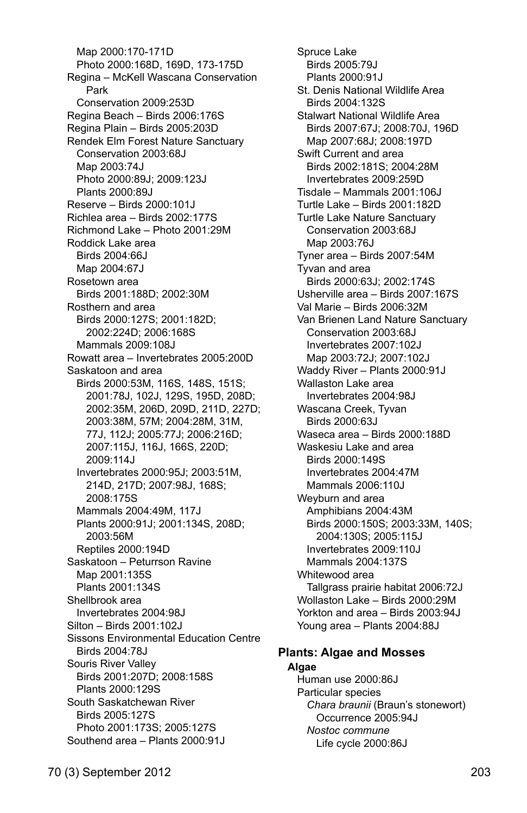Map 2000:170-171D Photo 2000:168D, 169D, 173-175D Regina – McKell Wascana Conservation Park Conservation 2009:253D Regina Beach – Birds 2006:176S Regina Plain – Birds 2005:203D Rendek Elm Forest Nature Sanctuary Conservation 2003:68J Map 2003:74J Photo 2000:89J; 2009:123J Plants 2000:89J Reserve – Birds 2000:101J Richlea area – Birds 2002:177S Richmond Lake – Photo 2001:29M Roddick Lake area Birds 2004:66J Map 2004:67J Rosetown area Birds 2001:188D; 2002:30M Rosthern and area Birds 2000:127S; 2001:182D; 2002:224D; 2006:168S Mammals 2009:108J Rowatt area – Invertebrates 2005:200D Saskatoon and area Birds 2000:53M, 116S, 148S, 151S; 2001:78J, 102J, 129S, 195D, 208D; 2002:35M, 206D, 209D, 211D, 227D; 2003:38M, 57M; 2004:28M, 31M, 77J, 112J; 2005:77J; 2006:216D; 2007:115J, 116J, 166S, 220D; 2009:114J Invertebrates 2000:95J; 2003:51M, 214D, 217D; 2007:98J, 168S; 2008:175S Mammals 2004:49M, 117J Plants 2000:91J; 2001:134S, 208D; 2003:56M Reptiles 2000:194D Saskatoon – Peturrson Ravine Map 2001:135S Plants 2001:134S Shellbrook area Invertebrates 2004:98J Silton – Birds 2001:102J Sissons Environmental Education Centre Birds 2004:78J Souris River Valley Birds 2001:207D; 2008:158S Plants 2000:129S South Saskatchewan River Birds 2005:127S Photo 2001:173S; 2005:127S Southend area – Plants 2000:91J

70 (3) September 2012 203

 Spruce Lake Birds 2005:79J Plants 2000:91J St. Denis National Wildlife Area Birds 2004:132S Stalwart National Wildlife Area Birds 2007:67J; 2008:70J, 196D Map 2007:68J; 2008:197D Swift Current and area Birds 2002:181S; 2004:28M Invertebrates 2009:259D Tisdale – Mammals 2001:106J Turtle Lake – Birds 2001:182D Turtle Lake Nature Sanctuary Conservation 2003:68J Map 2003:76J Tyner area – Birds 2007:54M Tyvan and area Birds 2000:63J; 2002:174S Usherville area – Birds 2007:167S Val Marie – Birds 2006:32M Van Brienen Land Nature Sanctuary Conservation 2003:68J Invertebrates 2007:102J Map 2003:72J; 2007:102J Waddy River – Plants 2000:91J Wallaston Lake area Invertebrates 2004:98J Wascana Creek, Tyvan Birds 2000:63J Waseca area – Birds 2000:188D Waskesiu Lake and area Birds 2000:149S Invertebrates 2004:47M Mammals 2006:110J Weyburn and area Amphibians 2004:43M Birds 2000:150S; 2003:33M, 140S; 2004:130S; 2005:115J Invertebrates 2009:110J Mammals 2004:137S Whitewood area Tallgrass prairie habitat 2006:72J Wollaston Lake – Birds 2000:29M Yorkton and area – Birds 2003:94J Young area – Plants 2004:88J

#### **Plants: Algae and Mosses Algae**

 Human use 2000:86J Particular species *Chara braunii* (Braun's stonewort) Occurrence 2005:94J *Nostoc commune*  Life cycle 2000:86J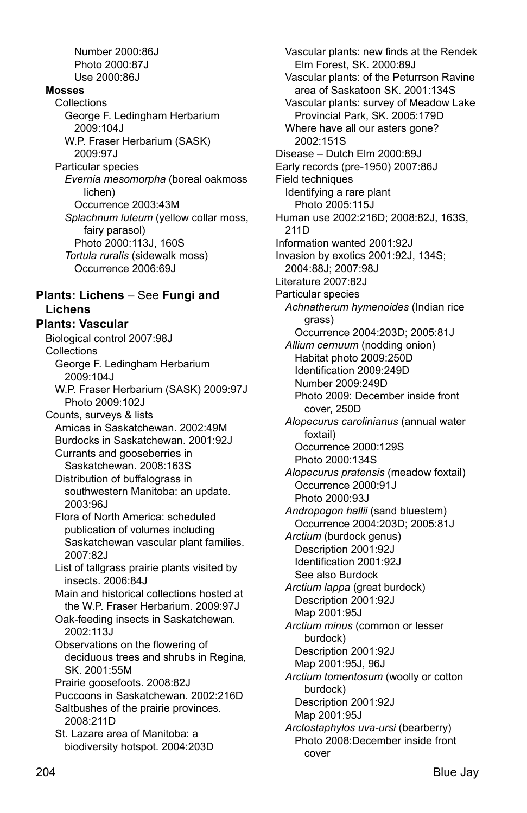Number 2000:86J Photo 2000:87J Use 2000:86J **Mosses Collections**  George F. Ledingham Herbarium 2009:104J W.P. Fraser Herbarium (SASK) 2009:97J Particular species *Evernia mesomorpha* (boreal oakmoss lichen) Occurrence 2003:43M *Splachnum luteum* (yellow collar moss, fairy parasol) Photo 2000:113J, 160S *Tortula ruralis* (sidewalk moss) Occurrence 2006:69J **Plants: Lichens** – See **Fungi and Lichens Plants: Vascular**  Biological control 2007:98J **Collections**  George F. Ledingham Herbarium 2009:104J W.P. Fraser Herbarium (SASK) 2009:97J Photo 2009:102J Counts, surveys & lists Arnicas in Saskatchewan. 2002:49M Burdocks in Saskatchewan. 2001:92J Currants and gooseberries in Saskatchewan. 2008:163S Distribution of buffalograss in southwestern Manitoba: an update. 2003:96J Flora of North America: scheduled publication of volumes including Saskatchewan vascular plant families. 2007:82J List of tallgrass prairie plants visited by insects. 2006:84J Main and historical collections hosted at the W.P. Fraser Herbarium. 2009:97J Oak-feeding insects in Saskatchewan. 2002:113J Observations on the flowering of deciduous trees and shrubs in Regina, SK. 2001:55M Prairie goosefoots. 2008:82J Puccoons in Saskatchewan. 2002:216D Saltbushes of the prairie provinces. 2008:211D St. Lazare area of Manitoba: a biodiversity hotspot. 2004:203D

Vascular plants: new finds at the Rendek Elm Forest, SK. 2000:89J Vascular plants: of the Peturrson Ravine area of Saskatoon SK. 2001:134S Vascular plants: survey of Meadow Lake Provincial Park, SK. 2005:179D Where have all our asters gone? 2002:151S Disease – Dutch Elm 2000:89J Early records (pre-1950) 2007:86J Field techniques Identifying a rare plant Photo 2005:115J Human use 2002:216D; 2008:82J, 163S, 211D Information wanted 2001:92J Invasion by exotics 2001:92J, 134S; 2004:88J; 2007:98J Literature 2007:82J Particular species *Achnatherum hymenoides* (Indian rice grass) Occurrence 2004:203D; 2005:81J *Allium cernuum* (nodding onion) Habitat photo 2009:250D Identification 2009:249D Number 2009:249D Photo 2009: December inside front cover, 250D *Alopecurus carolinianus* (annual water foxtail) Occurrence 2000:129S Photo 2000:134S *Alopecurus pratensis* (meadow foxtail) Occurrence 2000:91J Photo 2000:93J *Andropogon hallii* (sand bluestem) Occurrence 2004:203D; 2005:81J *Arctium* (burdock genus) Description 2001:92J Identification 2001:92J See also Burdock *Arctium lappa* (great burdock) Description 2001:92J Map 2001:95J *Arctium minus* (common or lesser burdock) Description 2001:92J Map 2001:95J, 96J *Arctium tomentosum* (woolly or cotton burdock) Description 2001:92J Map 2001:95J *Arctostaphylos uva-ursi* (bearberry) Photo 2008:December inside front cover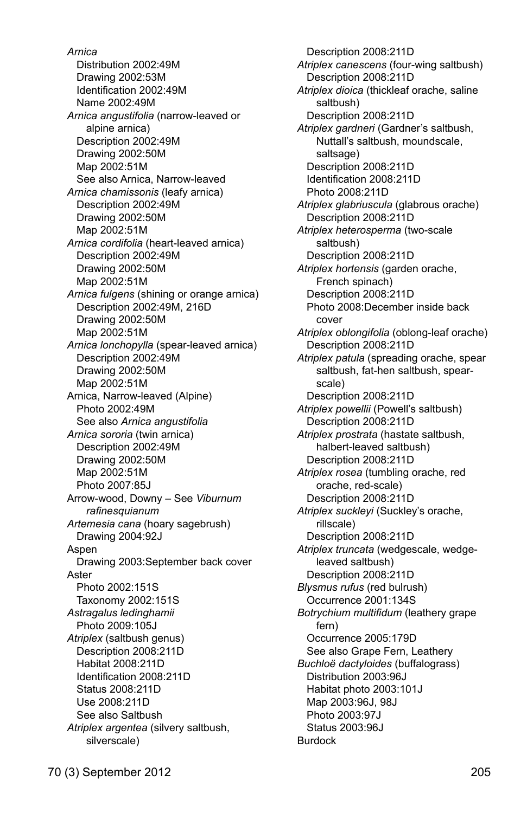*Arnica*  Distribution 2002:49M Drawing 2002:53M Identification 2002:49M Name 2002:49M *Arnica angustifolia* (narrow-leaved or alpine arnica) Description 2002:49M Drawing 2002:50M Map 2002:51M See also Arnica, Narrow-leaved *Arnica chamissonis* (leafy arnica) Description 2002:49M Drawing 2002:50M Map 2002:51M *Arnica cordifolia* (heart-leaved arnica) Description 2002:49M Drawing 2002:50M Map 2002:51M *Arnica fulgens* (shining or orange arnica) Description 2002:49M, 216D Drawing 2002:50M Map 2002:51M *Arnica lonchopylla* (spear-leaved arnica) Description 2002:49M Drawing 2002:50M Map 2002:51M Arnica, Narrow-leaved (Alpine) Photo 2002:49M See also *Arnica angustifolia Arnica sororia* (twin arnica) Description 2002:49M Drawing 2002:50M Map 2002:51M Photo 2007:85J Arrow-wood, Downy – See *Viburnum rafinesquianum Artemesia cana* (hoary sagebrush) Drawing 2004:92J Aspen Drawing 2003:September back cover Aster Photo 2002:151S Taxonomy 2002:151S *Astragalus ledinghamii*  Photo 2009:105J *Atriplex* (saltbush genus) Description 2008:211D Habitat 2008:211D Identification 2008:211D Status 2008:211D Use 2008:211D See also Saltbush *Atriplex argentea* (silvery saltbush, silverscale)

 Description 2008:211D *Atriplex canescens* (four-wing saltbush) Description 2008:211D *Atriplex dioica* (thickleaf orache, saline saltbush) Description 2008:211D *Atriplex gardneri* (Gardner's saltbush, Nuttall's saltbush, moundscale, saltsage) Description 2008:211D Identification 2008:211D Photo 2008:211D *Atriplex glabriuscula* (glabrous orache) Description 2008:211D *Atriplex heterosperma* (two-scale saltbush) Description 2008:211D *Atriplex hortensis* (garden orache, French spinach) Description 2008:211D Photo 2008:December inside back cover *Atriplex oblongifolia* (oblong-leaf orache) Description 2008:211D *Atriplex patula* (spreading orache, spear saltbush, fat-hen saltbush, spearscale) Description 2008:211D *Atriplex powellii* (Powell's saltbush) Description 2008:211D *Atriplex prostrata* (hastate saltbush, halbert-leaved saltbush) Description 2008:211D *Atriplex rosea* (tumbling orache, red orache, red-scale) Description 2008:211D *Atriplex suckleyi* (Suckley's orache, rillscale) Description 2008:211D *Atriplex truncata* (wedgescale, wedgeleaved saltbush) Description 2008:211D *Blysmus rufus* (red bulrush) Occurrence 2001:134S *Botrychium multifidum* (leathery grape fern) Occurrence 2005:179D See also Grape Fern, Leathery *Buchloё dactyloides* (buffalograss) Distribution 2003:96J Habitat photo 2003:101J Map 2003:96J, 98J Photo 2003:97J Status 2003:96J Burdock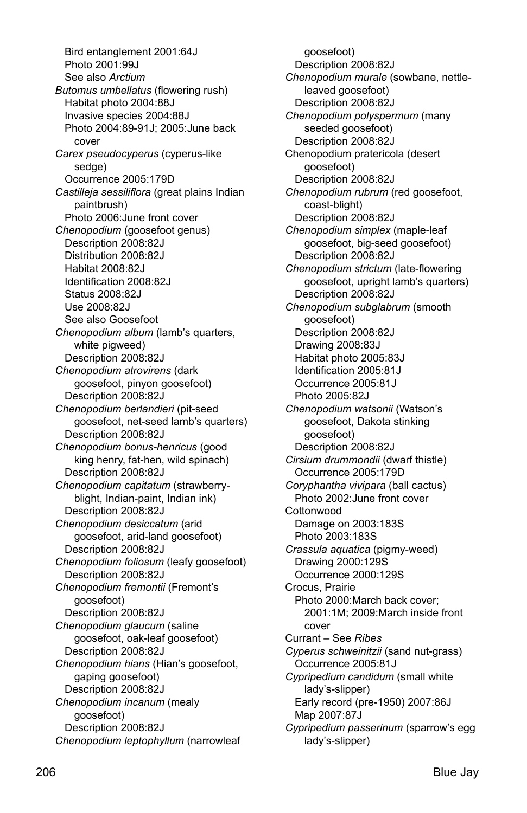Bird entanglement 2001:64J Photo 2001:99J See also *Arctium Butomus umbellatus* (flowering rush) Habitat photo 2004:88J Invasive species 2004:88J Photo 2004:89-91J; 2005:June back cover *Carex pseudocyperus* (cyperus-like sedge) Occurrence 2005:179D *Castilleja sessiliflora* (great plains Indian paintbrush) Photo 2006:June front cover *Chenopodium* (goosefoot genus) Description 2008:82J Distribution 2008:82J Habitat 2008:82J Identification 2008:82J Status 2008:82J Use 2008:82J See also Goosefoot *Chenopodium album* (lamb's quarters, white pigweed) Description 2008:82J *Chenopodium atrovirens* (dark goosefoot, pinyon goosefoot) Description 2008:82J *Chenopodium berlandieri* (pit-seed goosefoot, net-seed lamb's quarters) Description 2008:82J *Chenopodium bonus-henricus* (good king henry, fat-hen, wild spinach) Description 2008:82J *Chenopodium capitatum* (strawberryblight, Indian-paint, Indian ink) Description 2008:82J *Chenopodium desiccatum* (arid goosefoot, arid-land goosefoot) Description 2008:82J *Chenopodium foliosum* (leafy goosefoot) Description 2008:82J *Chenopodium fremontii* (Fremont's goosefoot) Description 2008:82J *Chenopodium glaucum* (saline goosefoot, oak-leaf goosefoot) Description 2008:82J *Chenopodium hians* (Hian's goosefoot, gaping goosefoot) Description 2008:82J *Chenopodium incanum* (mealy goosefoot) Description 2008:82J *Chenopodium leptophyllum* (narrowleaf

goosefoot) Description 2008:82J *Chenopodium murale* (sowbane, nettleleaved goosefoot) Description 2008:82J *Chenopodium polyspermum* (many seeded goosefoot) Description 2008:82J Chenopodium pratericola (desert goosefoot) Description 2008:82J *Chenopodium rubrum* (red goosefoot, coast-blight) Description 2008:82J *Chenopodium simplex* (maple-leaf goosefoot, big-seed goosefoot) Description 2008:82J *Chenopodium strictum* (late-flowering goosefoot, upright lamb's quarters) Description 2008:82J *Chenopodium subglabrum* (smooth goosefoot) Description 2008:82J Drawing 2008:83J Habitat photo 2005:83J Identification 2005:81J Occurrence 2005:81J Photo 2005:82J *Chenopodium watsonii* (Watson's goosefoot, Dakota stinking goosefoot) Description 2008:82J *Cirsium drummondii* (dwarf thistle) Occurrence 2005:179D *Coryphantha vivipara* (ball cactus) Photo 2002:June front cover **Cottonwood**  Damage on 2003:183S Photo 2003:183S *Crassula aquatica* (pigmy-weed) Drawing 2000:129S Occurrence 2000:129S Crocus, Prairie Photo 2000:March back cover; 2001:1M; 2009:March inside front cover Currant – See *Ribes Cyperus schweinitzii* (sand nut-grass) Occurrence 2005:81J *Cypripedium candidum* (small white lady's-slipper) Early record (pre-1950) 2007:86J Map 2007:87J *Cypripedium passerinum* (sparrow's egg lady's-slipper)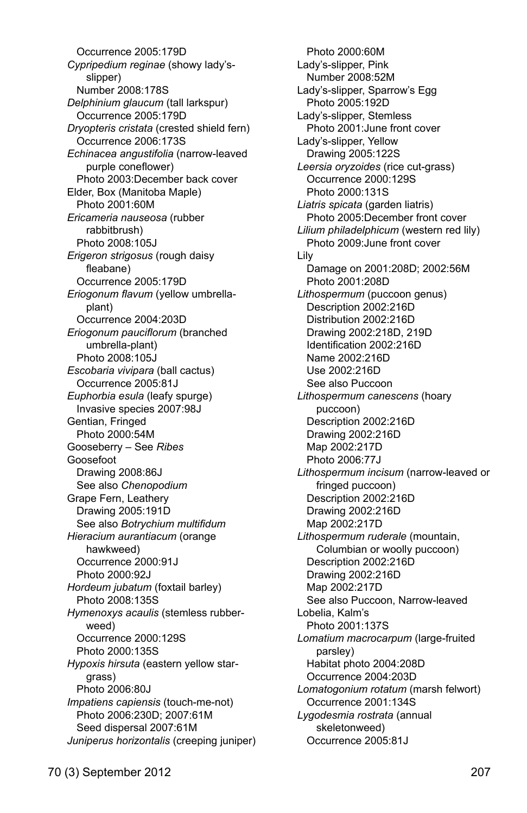Occurrence 2005:179D *Cypripedium reginae* (showy lady'sslipper) Number 2008:178S *Delphinium glaucum* (tall larkspur) Occurrence 2005:179D *Dryopteris cristata* (crested shield fern) Occurrence 2006:173S *Echinacea angustifolia* (narrow-leaved purple coneflower) Photo 2003:December back cover Elder, Box (Manitoba Maple) Photo 2001:60M *Ericameria nauseosa* (rubber rabbitbrush) Photo 2008:105J *Erigeron strigosus* (rough daisy fleabane) Occurrence 2005:179D *Eriogonum flavum* (yellow umbrellaplant) Occurrence 2004:203D *Eriogonum pauciflorum* (branched umbrella-plant) Photo 2008:105J *Escobaria vivipara* (ball cactus) Occurrence 2005:81J *Euphorbia esula* (leafy spurge) Invasive species 2007:98J Gentian, Fringed Photo 2000:54M Gooseberry – See *Ribes*  Goosefoot Drawing 2008:86J See also *Chenopodium*  Grape Fern, Leathery Drawing 2005:191D See also *Botrychium multifidum Hieracium aurantiacum* (orange hawkweed) Occurrence 2000:91J Photo 2000:92J *Hordeum jubatum* (foxtail barley) Photo 2008:135S *Hymenoxys acaulis* (stemless rubberweed) Occurrence 2000:129S Photo 2000:135S *Hypoxis hirsuta* (eastern yellow stargrass) Photo 2006:80J *Impatiens capiensis* (touch-me-not) Photo 2006:230D; 2007:61M Seed dispersal 2007:61M *Juniperus horizontalis* (creeping juniper)

 Photo 2000:60M Lady's-slipper, Pink Number 2008:52M Lady's-slipper, Sparrow's Egg Photo 2005:192D Lady's-slipper, Stemless Photo 2001:June front cover Lady's-slipper, Yellow Drawing 2005:122S *Leersia oryzoides* (rice cut-grass) Occurrence 2000:129S Photo 2000:131S *Liatris spicata* (garden liatris) Photo 2005:December front cover *Lilium philadelphicum* (western red lily) Photo 2009:June front cover Lily Damage on 2001:208D; 2002:56M Photo 2001:208D *Lithospermum* (puccoon genus) Description 2002:216D Distribution 2002:216D Drawing 2002:218D, 219D Identification 2002:216D Name 2002:216D Use 2002:216D See also Puccoon *Lithospermum canescens* (hoary puccoon) Description 2002:216D Drawing 2002:216D Map 2002:217D Photo 2006:77J *Lithospermum incisum* (narrow-leaved or fringed puccoon) Description 2002:216D Drawing 2002:216D Map 2002:217D *Lithospermum ruderale* (mountain, Columbian or woolly puccoon) Description 2002:216D Drawing 2002:216D Map 2002:217D See also Puccoon, Narrow-leaved Lobelia, Kalm's Photo 2001:137S *Lomatium macrocarpum* (large-fruited parsley) Habitat photo 2004:208D Occurrence 2004:203D *Lomatogonium rotatum* (marsh felwort) Occurrence 2001:134S *Lygodesmia rostrata* (annual skeletonweed) Occurrence 2005:81J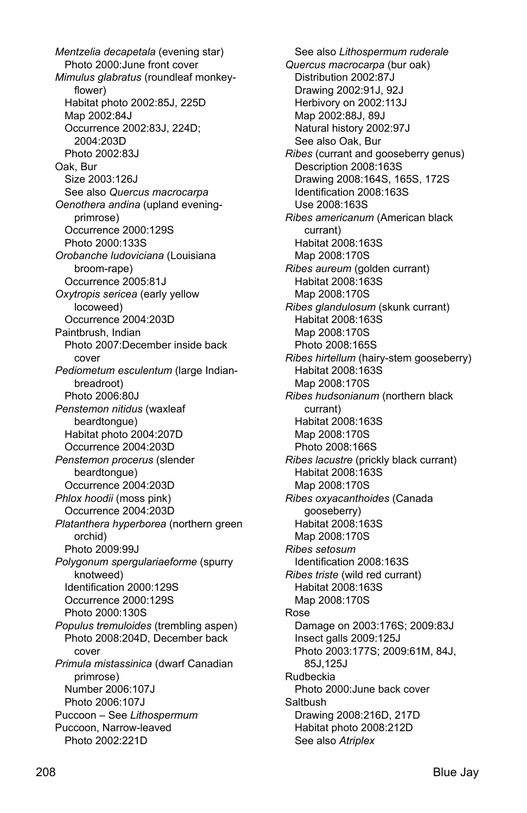*Mentzelia decapetala* (evening star) Photo 2000:June front cover *Mimulus glabratus* (roundleaf monkeyflower) Habitat photo 2002:85J, 225D Map 2002:84J Occurrence 2002:83J, 224D; 2004:203D Photo 2002:83J Oak, Bur Size 2003:126J See also *Quercus macrocarpa Oenothera andina* (upland eveningprimrose) Occurrence 2000:129S Photo 2000:133S *Orobanche ludoviciana* (Louisiana broom-rape) Occurrence 2005:81J *Oxytropis sericea* (early yellow locoweed) Occurrence 2004:203D Paintbrush, Indian Photo 2007:December inside back cover *Pediometum esculentum* (large Indianbreadroot) Photo 2006:80J *Penstemon nitidus* (waxleaf beardtongue) Habitat photo 2004:207D Occurrence 2004:203D *Penstemon procerus* (slender beardtongue) Occurrence 2004:203D *Phlox hoodii* (moss pink) Occurrence 2004:203D *Platanthera hyperborea* (northern green orchid) Photo 2009:99J *Polygonum spergulariaeforme* (spurry knotweed) Identification 2000:129S Occurrence 2000:129S Photo 2000:130S *Populus tremuloides* (trembling aspen) Photo 2008:204D, December back cover *Primula mistassinica* (dwarf Canadian primrose) Number 2006:107J Photo 2006:107J Puccoon – See *Lithospermum* Puccoon, Narrow-leaved Photo 2002:221D

 See also *Lithospermum ruderale Quercus macrocarpa* (bur oak) Distribution 2002:87J Drawing 2002:91J, 92J Herbivory on 2002:113J Map 2002:88J, 89J Natural history 2002:97J See also Oak, Bur *Ribes* (currant and gooseberry genus) Description 2008:163S Drawing 2008:164S, 165S, 172S Identification 2008:163S Use 2008:163S *Ribes americanum* (American black currant) Habitat 2008:163S Map 2008:170S *Ribes aureum* (golden currant) Habitat 2008:163S Map 2008:170S *Ribes glandulosum* (skunk currant) Habitat 2008:163S Map 2008:170S Photo 2008:165S *Ribes hirtellum* (hairy-stem gooseberry) Habitat 2008:163S Map 2008:170S *Ribes hudsonianum* (northern black currant) Habitat 2008:163S Map 2008:170S Photo 2008:166S *Ribes lacustre* (prickly black currant) Habitat 2008:163S Map 2008:170S *Ribes oxyacanthoides* (Canada gooseberry) Habitat 2008:163S Map 2008:170S *Ribes setosum*  Identification 2008:163S *Ribes triste* (wild red currant) Habitat 2008:163S Map 2008:170S Rose Damage on 2003:176S; 2009:83J Insect galls 2009:125J Photo 2003:177S; 2009:61M, 84J, 85J,125J Rudbeckia Photo 2000:June back cover Saltbush Drawing 2008:216D, 217D Habitat photo 2008:212D See also *Atriplex*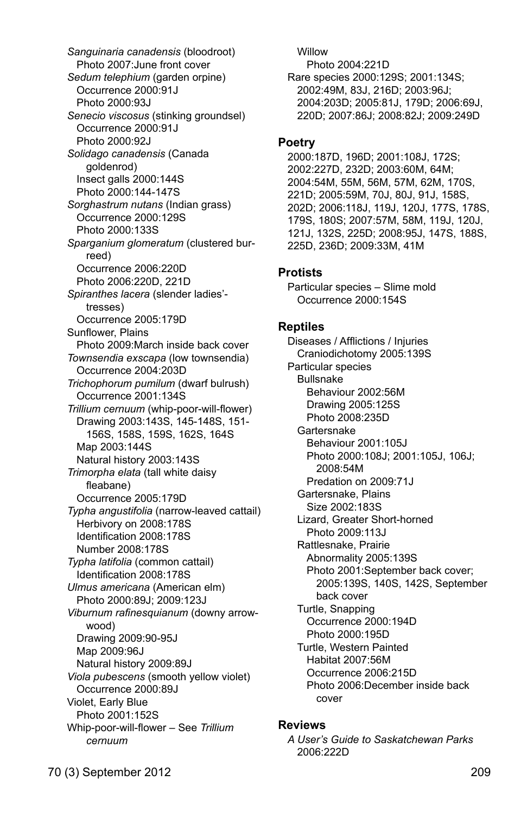*Sanguinaria canadensis* (bloodroot) Photo 2007:June front cover *Sedum telephium* (garden orpine) Occurrence 2000:91J Photo 2000:93J *Senecio viscosus* (stinking groundsel) Occurrence 2000:91J Photo 2000:92J *Solidago canadensis* (Canada goldenrod) Insect galls 2000:144S Photo 2000:144-147S *Sorghastrum nutans* (Indian grass) Occurrence 2000:129S Photo 2000:133S *Sparganium glomeratum* (clustered burreed) Occurrence 2006:220D Photo 2006:220D, 221D *Spiranthes lacera* (slender ladies' tresses) Occurrence 2005:179D Sunflower, Plains Photo 2009:March inside back cover *Townsendia exscapa* (low townsendia) Occurrence 2004:203D *Trichophorum pumilum* (dwarf bulrush) Occurrence 2001:134S *Trillium cernuum* (whip-poor-will-flower) Drawing 2003:143S, 145-148S, 151- 156S, 158S, 159S, 162S, 164S Map 2003:144S Natural history 2003:143S *Trimorpha elata* (tall white daisy fleabane) Occurrence 2005:179D *Typha angustifolia* (narrow-leaved cattail) Herbivory on 2008:178S Identification 2008:178S Number 2008:178S *Typha latifolia* (common cattail) Identification 2008:178S *Ulmus americana* (American elm) Photo 2000:89J; 2009:123J *Viburnum rafinesquianum* (downy arrowwood) Drawing 2009:90-95J Map 2009:96J Natural history 2009:89J *Viola pubescens* (smooth yellow violet) Occurrence 2000:89J Violet, Early Blue Photo 2001:152S Whip-poor-will-flower – See *Trillium cernuum*

 Willow Photo 2004:221D Rare species 2000:129S; 2001:134S; 2002:49M, 83J, 216D; 2003:96J; 2004:203D; 2005:81J, 179D; 2006:69J, 220D; 2007:86J; 2008:82J; 2009:249D

#### **Poetry**

2000:187D, 196D; 2001:108J, 172S; 2002:227D, 232D; 2003:60M, 64M; 2004:54M, 55M, 56M, 57M, 62M, 170S, 221D; 2005:59M, 70J, 80J, 91J, 158S, 202D; 2006:118J, 119J, 120J, 177S, 178S, 179S, 180S; 2007:57M, 58M, 119J, 120J, 121J, 132S, 225D; 2008:95J, 147S, 188S, 225D, 236D; 2009:33M, 41M

## **Protists**

Particular species – Slime mold Occurrence 2000:154S

### **Reptiles**

Diseases / Afflictions / Injuries Craniodichotomy 2005:139S Particular species Bullsnake Behaviour 2002:56M Drawing 2005:125S Photo 2008:235D Gartersnake Behaviour 2001:105J Photo 2000:108J; 2001:105J, 106J; 2008:54M Predation on 2009:71J Gartersnake, Plains Size 2002:183S Lizard, Greater Short-horned Photo 2009:113J Rattlesnake, Prairie Abnormality 2005:139S Photo 2001:September back cover; 2005:139S, 140S, 142S, September back cover Turtle, Snapping Occurrence 2000:194D Photo 2000:195D Turtle, Western Painted Habitat 2007:56M Occurrence 2006:215D Photo 2006:December inside back cover

### **Reviews**

*A User's Guide to Saskatchewan Parks* 2006:222D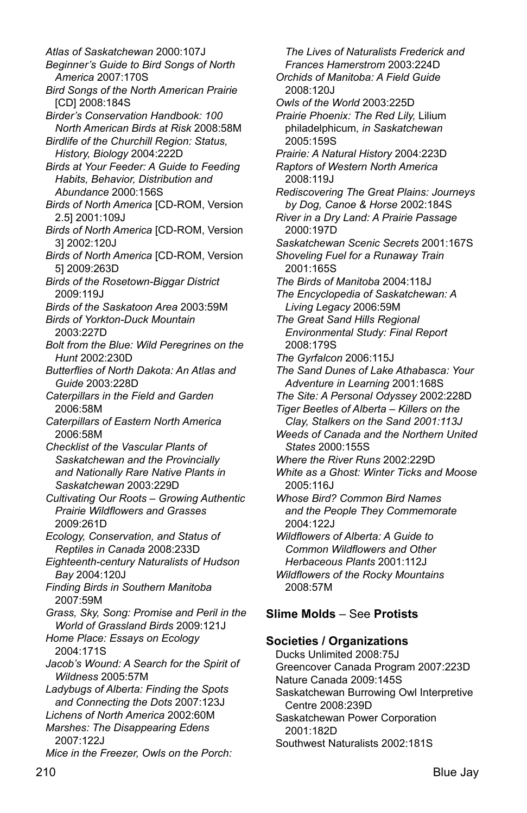210 Blue Jay *Atlas of Saskatchewan* 2000:107J *Beginner's Guide to Bird Songs of North America* 2007:170S *Bird Songs of the North American Prairie* [CD] 2008:184S *Birder's Conservation Handbook: 100 North American Birds at Risk* 2008:58M *Birdlife of the Churchill Region: Status, History, Biology* 2004:222D *Birds at Your Feeder: A Guide to Feeding Habits, Behavior, Distribution and Abundance* 2000:156S *Birds of North America* [CD-ROM, Version 2.5] 2001:109J *Birds of North America* [CD-ROM, Version 3] 2002:120J *Birds of North America* [CD-ROM, Version 5] 2009:263D *Birds of the Rosetown-Biggar District* 2009:119J *Birds of the Saskatoon Area* 2003:59M *Birds of Yorkton-Duck Mountain* 2003:227D *Bolt from the Blue: Wild Peregrines on the Hunt* 2002:230D *Butterflies of North Dakota: An Atlas and Guide* 2003:228D *Caterpillars in the Field and Garden* 2006:58M *Caterpillars of Eastern North America* 2006:58M *Checklist of the Vascular Plants of Saskatchewan and the Provincially and Nationally Rare Native Plants in Saskatchewan* 2003:229D *Cultivating Our Roots – Growing Authentic Prairie Wildflowers and Grasses* 2009:261D *Ecology, Conservation, and Status of Reptiles in Canada* 2008:233D *Eighteenth-century Naturalists of Hudson Bay* 2004:120J *Finding Birds in Southern Manitoba* 2007:59M *Grass, Sky, Song: Promise and Peril in the World of Grassland Birds* 2009:121J *Home Place: Essays on Ecology* 2004:171S *Jacob's Wound: A Search for the Spirit of Wildness* 2005:57M *Ladybugs of Alberta: Finding the Spots and Connecting the Dots* 2007:123J *Lichens of North America* 2002:60M *Marshes: The Disappearing Edens* 2007:122J *Mice in the Freezer, Owls on the Porch:* 

*The Lives of Naturalists Frederick and Frances Hamerstrom* 2003:224D *Orchids of Manitoba: A Field Guide* 2008:120J *Owls of the World* 2003:225D *Prairie Phoenix: The Red Lily,* Lilium philadelphicum*, in Saskatchewan* 2005:159S *Prairie: A Natural History* 2004:223D *Raptors of Western North America* 2008:119J *Rediscovering The Great Plains: Journeys by Dog, Canoe & Horse* 2002:184S *River in a Dry Land: A Prairie Passage* 2000:197D *Saskatchewan Scenic Secrets* 2001:167S *Shoveling Fuel for a Runaway Train* 2001:165S *The Birds of Manitoba* 2004:118J *The Encyclopedia of Saskatchewan: A Living Legacy* 2006:59M *The Great Sand Hills Regional Environmental Study: Final Report* 2008:179S *The Gyrfalcon* 2006:115J *The Sand Dunes of Lake Athabasca: Your Adventure in Learning* 2001:168S *The Site: A Personal Odyssey* 2002:228D *Tiger Beetles of Alberta – Killers on the Clay, Stalkers on the Sand 2001:113J Weeds of Canada and the Northern United States* 2000:155S *Where the River Runs* 2002:229D *White as a Ghost: Winter Ticks and Moose* 2005:116J *Whose Bird? Common Bird Names and the People They Commemorate* 2004:122J *Wildflowers of Alberta: A Guide to Common Wildflowers and Other Herbaceous Plants* 2001:112J *Wildflowers of the Rocky Mountains* 2008:57M **Slime Molds** – See **Protists**

# **Societies / Organizations**

Ducks Unlimited 2008:75J Greencover Canada Program 2007:223D Nature Canada 2009:145S Saskatchewan Burrowing Owl Interpretive Centre 2008:239D Saskatchewan Power Corporation 2001:182D Southwest Naturalists 2002:181S